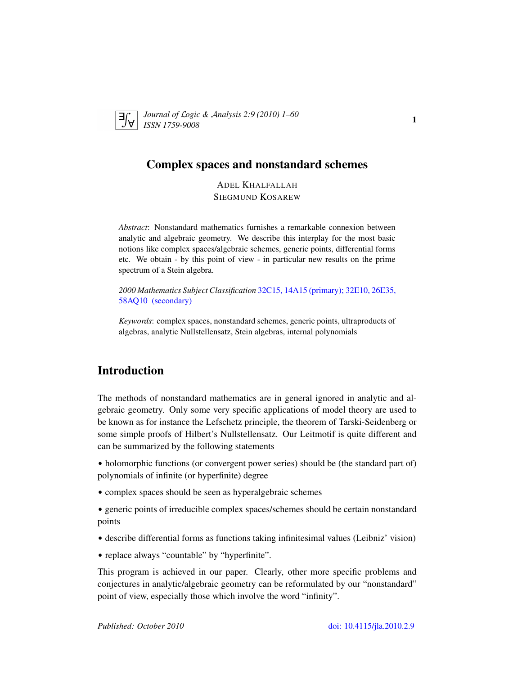<span id="page-0-1"></span>

*Journal of* L*ogic &* A*nalysis 2:9 (2010) 1–60 ISSN 1759-9008* 1

# Complex spaces and nonstandard schemes

ADEL KHALFALLAH SIEGMUND KOSAREW

*Abstract*: Nonstandard mathematics furnishes a remarkable connexion between analytic and algebraic geometry. We describe this interplay for the most basic notions like complex spaces/algebraic schemes, generic points, differential forms etc. We obtain - by this point of view - in particular new results on the prime spectrum of a Stein algebra.

*2000 Mathematics Subject Classification* [32C15, 14A15 \(primary\); 32E10, 26E35,](http://www.ams.org/mathscinet/search/mscdoc.html?code=32C15, 14A15,(32E10, 26E35, 58AQ10 )) [58AQ10 \(secondary\)](http://www.ams.org/mathscinet/search/mscdoc.html?code=32C15, 14A15,(32E10, 26E35, 58AQ10 ))

*Keywords*: complex spaces, nonstandard schemes, generic points, ultraproducts of algebras, analytic Nullstellensatz, Stein algebras, internal polynomials

# Introduction

<span id="page-0-0"></span>The methods of nonstandard mathematics are in general ignored in analytic and algebraic geometry. Only some very specific applications of model theory are used to be known as for instance the Lefschetz principle, the theorem of Tarski-Seidenberg or some simple proofs of Hilbert's Nullstellensatz. Our Leitmotif is quite different and can be summarized by the following statements

- holomorphic functions (or convergent power series) should be (the standard part of) polynomials of infinite (or hyperfinite) degree
- complex spaces should be seen as hyperalgebraic schemes
- generic points of irreducible complex spaces/schemes should be certain nonstandard points
- describe differential forms as functions taking infinitesimal values (Leibniz' vision)
- replace always "countable" by "hyperfinite".

This program is achieved in our paper. Clearly, other more specific problems and conjectures in analytic/algebraic geometry can be reformulated by our "nonstandard" point of view, especially those which involve the word "infinity".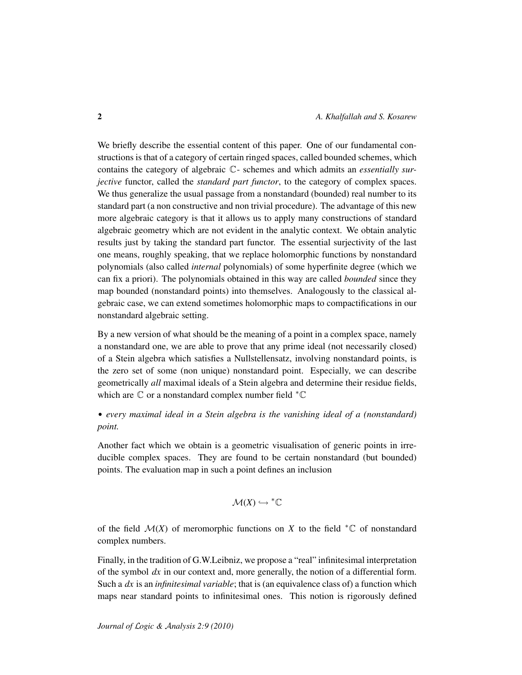We briefly describe the essential content of this paper. One of our fundamental constructions is that of a category of certain ringed spaces, called bounded schemes, which contains the category of algebraic C- schemes and which admits an *essentially surjective* functor, called the *standard part functor*, to the category of complex spaces. We thus generalize the usual passage from a nonstandard (bounded) real number to its standard part (a non constructive and non trivial procedure). The advantage of this new more algebraic category is that it allows us to apply many constructions of standard algebraic geometry which are not evident in the analytic context. We obtain analytic results just by taking the standard part functor. The essential surjectivity of the last one means, roughly speaking, that we replace holomorphic functions by nonstandard polynomials (also called *internal* polynomials) of some hyperfinite degree (which we can fix a priori). The polynomials obtained in this way are called *bounded* since they map bounded (nonstandard points) into themselves. Analogously to the classical algebraic case, we can extend sometimes holomorphic maps to compactifications in our nonstandard algebraic setting.

By a new version of what should be the meaning of a point in a complex space, namely a nonstandard one, we are able to prove that any prime ideal (not necessarily closed) of a Stein algebra which satisfies a Nullstellensatz, involving nonstandard points, is the zero set of some (non unique) nonstandard point. Especially, we can describe geometrically *all* maximal ideals of a Stein algebra and determine their residue fields, which are  $\mathbb C$  or a nonstandard complex number field  ${}^* \mathbb C$ 

• *every maximal ideal in a Stein algebra is the vanishing ideal of a (nonstandard) point.*

Another fact which we obtain is a geometric visualisation of generic points in irreducible complex spaces. They are found to be certain nonstandard (but bounded) points. The evaluation map in such a point defines an inclusion

$$
\mathcal{M}(X)\hookrightarrow {^*\mathbb{C}}
$$

of the field  $\mathcal{M}(X)$  of meromorphic functions on X to the field  ${}^*\mathbb{C}$  of nonstandard complex numbers.

Finally, in the tradition of G.W.Leibniz, we propose a "real" infinitesimal interpretation of the symbol *dx* in our context and, more generally, the notion of a differential form. Such a *dx* is an *infinitesimal variable*; that is (an equivalence class of) a function which maps near standard points to infinitesimal ones. This notion is rigorously defined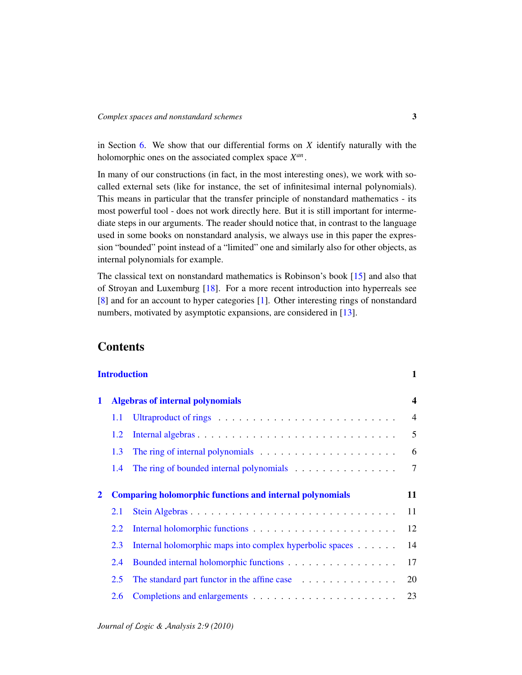in Section [6.](#page-46-0) We show that our differential forms on *X* identify naturally with the holomorphic ones on the associated complex space *X an* .

In many of our constructions (in fact, in the most interesting ones), we work with socalled external sets (like for instance, the set of infinitesimal internal polynomials). This means in particular that the transfer principle of nonstandard mathematics - its most powerful tool - does not work directly here. But it is still important for intermediate steps in our arguments. The reader should notice that, in contrast to the language used in some books on nonstandard analysis, we always use in this paper the expression "bounded" point instead of a "limited" one and similarly also for other objects, as internal polynomials for example.

The classical text on nonstandard mathematics is Robinson's book [\[15\]](#page-58-0) and also that of Stroyan and Luxemburg [\[18\]](#page-59-0). For a more recent introduction into hyperreals see [\[8\]](#page-58-1) and for an account to hyper categories [\[1\]](#page-58-2). Other interesting rings of nonstandard numbers, motivated by asymptotic expansions, are considered in [\[13\]](#page-58-3).

# **Contents**

| <b>Introduction</b> |                                                                 |                                                                                     |                |  |
|---------------------|-----------------------------------------------------------------|-------------------------------------------------------------------------------------|----------------|--|
| 1                   | <b>Algebras of internal polynomials</b>                         |                                                                                     |                |  |
|                     | 1.1                                                             |                                                                                     | $\overline{4}$ |  |
|                     | 1.2                                                             |                                                                                     | 5              |  |
|                     | 1.3                                                             | The ring of internal polynomials $\ldots \ldots \ldots \ldots \ldots \ldots \ldots$ | 6              |  |
|                     | 1.4                                                             |                                                                                     | $\tau$         |  |
| $\mathbf{2}$        | <b>Comparing holomorphic functions and internal polynomials</b> |                                                                                     |                |  |
|                     | 2.1                                                             | Stein Algebras                                                                      | 11             |  |
|                     | 2.2                                                             |                                                                                     | 12             |  |
|                     | 2.3                                                             | Internal holomorphic maps into complex hyperbolic spaces                            | 14             |  |
|                     | 2.4                                                             |                                                                                     | 17             |  |
|                     | 2.5                                                             |                                                                                     | 20             |  |
|                     | 2.6                                                             |                                                                                     | 23             |  |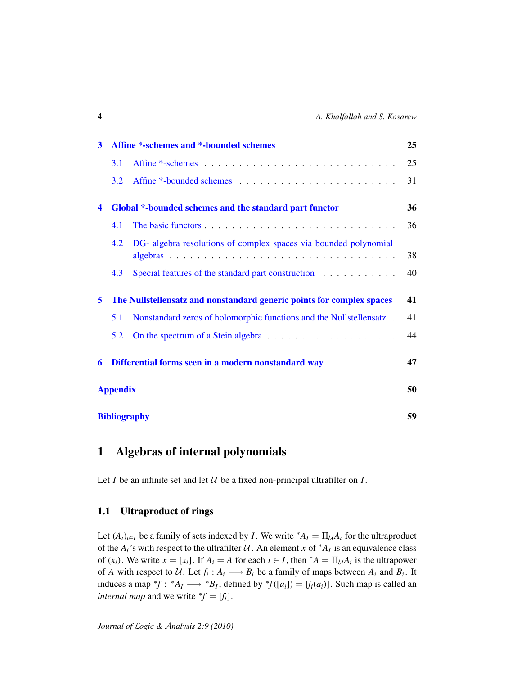| Affine *-schemes and *-bounded schemes<br>3 |                                                     |                                                                              | 25 |
|---------------------------------------------|-----------------------------------------------------|------------------------------------------------------------------------------|----|
|                                             | 3.1                                                 |                                                                              | 25 |
|                                             | 3.2                                                 |                                                                              | 31 |
| $\blacktriangleleft$                        |                                                     | Global *-bounded schemes and the standard part functor                       | 36 |
|                                             | 4.1                                                 |                                                                              | 36 |
|                                             | 4.2                                                 | DG- algebra resolutions of complex spaces via bounded polynomial<br>algebras | 38 |
|                                             | 4.3                                                 | Special features of the standard part construction                           | 40 |
| 5                                           |                                                     | The Nullstellensatz and nonstandard generic points for complex spaces        | 41 |
|                                             | 5.1                                                 | Nonstandard zeros of holomorphic functions and the Nullstellensatz.          | 41 |
|                                             | 5.2                                                 |                                                                              | 44 |
| 6                                           | Differential forms seen in a modern nonstandard way |                                                                              | 47 |
|                                             | <b>Appendix</b>                                     |                                                                              |    |
|                                             | <b>Bibliography</b>                                 |                                                                              |    |

# <span id="page-3-0"></span>1 Algebras of internal polynomials

Let  $I$  be an infinite set and let  $U$  be a fixed non-principal ultrafilter on  $I$ .

# <span id="page-3-1"></span>1.1 Ultraproduct of rings

Let  $(A_i)_{i \in I}$  be a family of sets indexed by *I*. We write \* $A_I = \prod_{\mathcal{U}} A_i$  for the ultraproduct of the  $A_i$ 's with respect to the ultrafilter  $U$ . An element x of  $^*A_I$  is an equivalence class of  $(x_i)$ . We write  $x = [x_i]$ . If  $A_i = A$  for each  $i \in I$ , then  $^*A = \prod_{\mathcal{U}} A_i$  is the ultrapower of *A* with respect to U. Let  $f_i : A_i \longrightarrow B_i$  be a family of maps between  $A_i$  and  $B_i$ . It induces a map  ${}^*f$ :  ${}^*A_I \longrightarrow {}^*B_I$ , defined by  ${}^*f([a_i]) = [f_i(a_i)]$ . Such map is called an *internal map* and we write  ${}^*f = [f_i]$ .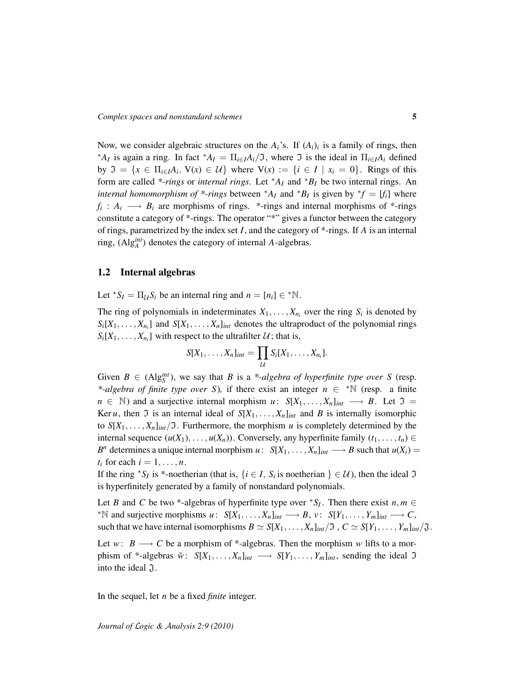Now, we consider algebraic structures on the  $A_i$ 's. If  $(A_i)_i$  is a family of rings, then <sup>\*</sup>*A*<sub>*I*</sub> is again a ring. In fact <sup>\*</sup>*A*<sub>*I*</sub> =  $\Pi$ <sub>*i*∈*I*</sub>*A*<sub>*i*</sub>/ $\Im$ , where  $\Im$  is the ideal in  $\Pi$ <sub>*i*∈*IA*<sub>*i*</sub> defined</sub> by  $\mathfrak{I} = \{x \in \Pi_{i \in I} A_i, V(x) \in U\}$  where  $V(x) := \{i \in I \mid x_i = 0\}$ . Rings of this form are called *\*-rings* or *internal rings*. Let <sup>∗</sup>*A<sup>I</sup>* and <sup>∗</sup>*B<sup>I</sup>* be two internal rings. An *internal homomorphism of \*-rings* between  $^*A_I$  and  $^*B_I$  is given by  $^*f = [f_i]$  where  $f_i: A_i \longrightarrow B_i$  are morphisms of rings. \*-rings and internal morphisms of \*-rings constitute a category of \*-rings. The operator "\*" gives a functor between the category of rings, parametrized by the index set *I*, and the category of \*-rings. If *A* is an internal ring, (Alg*int A* ) denotes the category of internal *A*-algebras.

## <span id="page-4-0"></span>1.2 Internal algebras

Let  $^*S_I = \prod_{\mathcal{U}} S_i$  be an internal ring and  $n = [n_i] \in ^* \mathbb{N}$ .

The ring of polynomials in indeterminates  $X_1, \ldots, X_{n_i}$  over the ring  $S_i$  is denoted by  $S_i[X_1, \ldots, X_{n_i}]$  and  $S[X_1, \ldots, X_n]_{int}$  denotes the ultraproduct of the polynomial rings  $S_i[X_1, \ldots, X_{n_i}]$  with respect to the ultrafilter  $\mathcal{U}$ ; that is,

$$
S[X_1,\ldots,X_n]_{int}=\prod_{\mathcal{U}}S_i[X_1,\ldots,X_{n_i}].
$$

Given  $B \in (Alg_{S}^{int})$ , we say that *B* is a *\*-algebra of hyperfinite type over S* (resp. *\*-algebra of finite type over* S), if there exist an integer  $n \in \mathbb{N}$  (resp. a finite  $n \in \mathbb{N}$ ) and a surjective internal morphism *u*:  $S[X_1, \ldots, X_n]_{int} \longrightarrow B$ . Let  $\mathfrak{I} =$ Ker *u*, then  $\Im$  is an internal ideal of  $S[X_1, \ldots, X_n]_{int}$  and *B* is internally isomorphic to  $S[X_1, \ldots, X_n]_{int}/\mathfrak{I}$ . Furthermore, the morphism *u* is completely determined by the internal sequence  $(u(X_1), \ldots, u(X_n))$ . Conversely, any hyperfinite family  $(t_1, \ldots, t_n) \in$ *B*<sup>*n*</sup> determines a unique internal morphism *u* :  $S[X_1, \ldots, X_n]_{int} \longrightarrow B$  such that  $u(X_i) =$  $t_i$  for each  $i = 1, \ldots, n$ .

If the ring  $^*S_I$  is \*-noetherian (that is,  $\{i \in I, S_i$  is noetherian  $\} \in \mathcal{U}$ ), then the ideal  $\mathfrak{I}$ is hyperfinitely generated by a family of nonstandard polynomials.

Let *B* and *C* be two \*-algebras of hyperfinite type over  ${}^*S_I$ . Then there exist  $n, m \in$  $*N$  and surjective morphisms *u* :  $S[X_1, \ldots, X_n]_{int}$  → *B*, *v* :  $S[Y_1, \ldots, Y_m]_{int}$  → *C*, such that we have internal isomorphisms  $B \simeq S[X_1, \ldots, X_n]_{int}/\mathfrak{I}$ ,  $C \simeq S[Y_1, \ldots, Y_m]_{int}/\mathfrak{I}$ .

Let *w*: *B*  $\longrightarrow$  *C* be a morphism of \*-algebras. Then the morphism *w* lifts to a morphism of \*-algebras  $\tilde{w}$ :  $S[X_1, \ldots, X_n]_{int} \longrightarrow S[Y_1, \ldots, Y_m]_{int}$ , sending the ideal  $\mathfrak I$ into the ideal  $\mathfrak{J}$ .

In the sequel, let *n* be a fixed *finite* integer.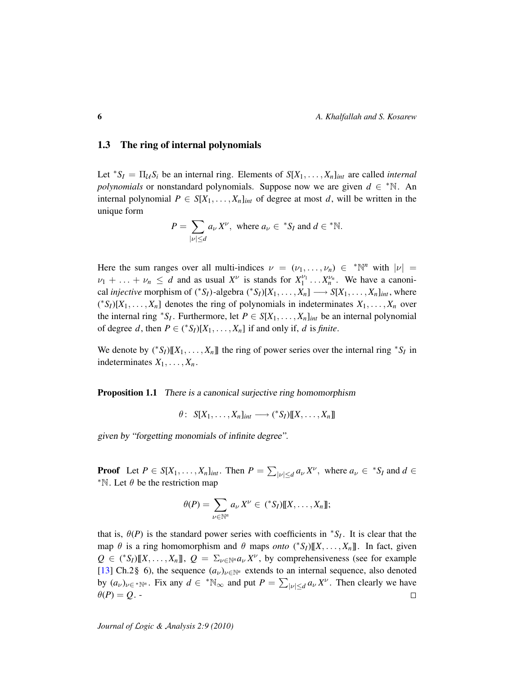### <span id="page-5-0"></span>1.3 The ring of internal polynomials

Let  ${}^*S_I = \prod_{\mathcal{U}} S_i$  be an internal ring. Elements of  $S[X_1, \ldots, X_n]_{int}$  are called *internal polynomials* or nonstandard polynomials. Suppose now we are given  $d \in \mathbb{N}$ . An internal polynomial  $P \in S[X_1, \ldots, X_n]_{int}$  of degree at most *d*, will be written in the unique form

$$
P = \sum_{|\nu| \le d} a_{\nu} X^{\nu}, \text{ where } a_{\nu} \in {}^{*}S_{I} \text{ and } d \in {}^{*} \mathbb{N}.
$$

Here the sum ranges over all multi-indices  $\nu = (\nu_1, \dots, \nu_n) \in {^*}\mathbb{N}^n$  with  $|\nu| =$  $\nu_1 + \ldots + \nu_n \leq d$  and as usual  $X^{\nu}$  is stands for  $X_1^{\nu_1} \ldots X_n^{\nu_n}$ . We have a canonical *injective* morphism of  $({}^*S_I)$ -algebra  $({}^*S_I)[X_1, \ldots, X_n] \longrightarrow S[X_1, \ldots, X_n]_{int}$ , where  $({}^*S_I)[X_1,\ldots,X_n]$  denotes the ring of polynomials in indeterminates  $X_1,\ldots,X_n$  over the internal ring <sup>\*</sup>*S*<sup>*I*</sup>. Furthermore, let  $P \in S[X_1, \ldots, X_n]_{int}$  be an internal polynomial of degree *d*, then  $P \in {S_I}([X_1, \ldots, X_n])$  if and only if, *d* is *finite*.

We denote by  $({}^*S_I)[[X_1, \ldots, X_n]]$  the ring of power series over the internal ring  ${}^*S_I$  in indeterminates  $X_1, \ldots, X_n$ .

<span id="page-5-1"></span>**Proposition 1.1** There is a canonical surjective ring homomorphism

$$
\theta\colon S[X_1,\ldots,X_n]_{int} \longrightarrow ({}^*S_I)[[X,\ldots,X_n]]
$$

given by "forgetting monomials of infinite degree".

**Proof** Let  $P \in S[X_1, \ldots, X_n]_{int}$ . Then  $P = \sum_{|\nu| \leq d} a_{\nu} X^{\nu}$ , where  $a_{\nu} \in {^*S_I}$  and  $d \in$ <sup>\*</sup>N. Let  $\theta$  be the restriction map

$$
\theta(P) = \sum_{\nu \in \mathbb{N}^n} a_{\nu} X^{\nu} \in {\binom{\ast} {S_I}} {\llbracket X, \ldots, X_n \rrbracket};
$$

that is,  $\theta(P)$  is the standard power series with coefficients in  ${}^*S_I$ . It is clear that the map  $\theta$  is a ring homomorphism and  $\theta$  maps *onto* (\* $S_I$ )[[X, ...,  $X_n$ ]]. In fact, given  $Q \in (*S_I)[[X, \ldots, X_n]]$ ,  $Q = \sum_{\nu \in \mathbb{N}^n} a_{\nu} X^{\nu}$ , by comprehensiveness (see for example [\[13\]](#page-58-3) Ch.2§ 6), the sequence  $(a_{\nu})_{\nu \in \mathbb{N}^n}$  extends to an internal sequence, also denoted by  $(a_\nu)_{\nu \in \mathbb{N}^n}$ . Fix any  $d \in \mathbb{N}_{\infty}$  and put  $P = \sum_{|\nu| \leq d} a_\nu X^\nu$ . Then clearly we have  $\theta(P) = Q$ .  $\Box$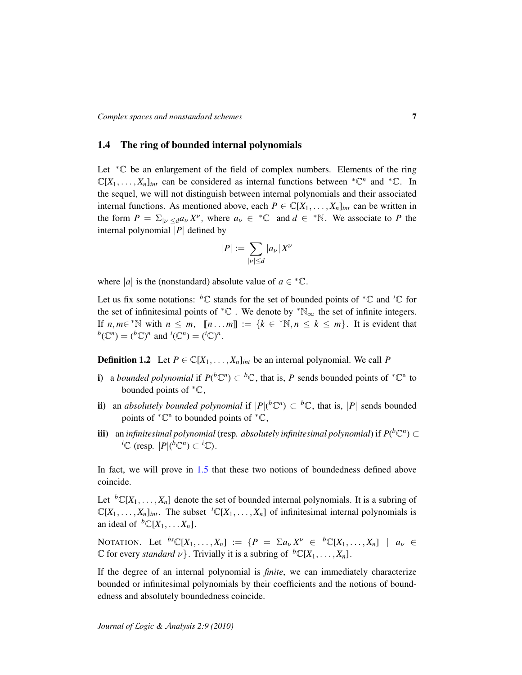## <span id="page-6-0"></span>1.4 The ring of bounded internal polynomials

Let <sup>∗</sup>C be an enlargement of the field of complex numbers. Elements of the ring  $\mathbb{C}[X_1,\ldots,X_n]_{int}$  can be considered as internal functions between  ${}^*\mathbb{C}^n$  and  ${}^*\mathbb{C}$ . In the sequel, we will not distinguish between internal polynomials and their associated internal functions. As mentioned above, each  $P \in \mathbb{C}[X_1, \ldots, X_n]_{int}$  can be written in the form  $P = \sum_{|\nu| \leq d} a_{\nu} X^{\nu}$ , where  $a_{\nu} \in {}^{\ast} \mathbb{C}$  and  $d \in {}^{\ast} \mathbb{N}$ . We associate to P the internal polynomial |*P*| defined by

$$
|P| := \sum_{|\nu| \le d} |a_{\nu}| X^{\nu}
$$

where |*a*| is the (nonstandard) absolute value of  $a \in {^*}\mathbb{C}$ .

Let us fix some notations: <sup>*b*</sup>C stands for the set of bounded points of <sup>\*</sup>C and <sup>*i*</sup>C for the set of infinitesimal points of  ${}^*\mathbb{C}$ . We denote by  ${}^*\mathbb{N}_\infty$  the set of infinite integers. If  $n, m \in \mathbb{N}$  with  $n \leq m$ ,  $[n...m] := \{k \in \mathbb{N}, n \leq k \leq m\}$ . It is evident that  $b(\mathbb{C}^n) = ({}^b\mathbb{C})^n$  and  ${}^i(\mathbb{C}^n) = ({}^i\mathbb{C})^n$ .

**Definition 1.2** Let  $P \in \mathbb{C}[X_1, \ldots, X_n]$ <sub>*int*</sub> be an internal polynomial. We call P

- i) a *bounded polynomial* if  $P(\mathfrak{b}\mathbb{C}^n) \subset \mathfrak{b}\mathbb{C}$ , that is, P sends bounded points of  $\mathfrak{b}\mathbb{C}^n$  to bounded points of  ${}^*{\mathbb C}$ ,
- ii) an *absolutely bounded polynomial* if  $|P|({}^b\mathbb{C}^n) \subset {}^b\mathbb{C}$ , that is,  $|P|$  sends bounded points of  ${}^*{\mathbb{C}}^n$  to bounded points of  ${}^*{\mathbb{C}}$ ,
- **iii**) an *infinitesimal polynomial* (resp. *absolutely infinitesimal polynomial*) if  $P({}^b\mathbb{C}^n) \subset$ *i*C (resp.  $|P|$ ( $^b$ C<sup>*n*</sup></sup>) ⊂ <sup>*i*</sup>C).

In fact, we will prove in [1.5](#page-9-0) that these two notions of boundedness defined above coincide.

Let  ${}^b\mathbb{C}[X_1,\ldots,X_n]$  denote the set of bounded internal polynomials. It is a subring of  $\mathbb{C}[X_1, \ldots, X_n]_{int}$ . The subset  ${}^{i}\mathbb{C}[X_1, \ldots, X_n]$  of infinitesimal internal polynomials is an ideal of  ${}^b\mathbb{C}[X_1, \ldots, X_n]$ .

NOTATION. Let  ${}^{bs}\mathbb{C}[X_1,\ldots,X_n] := \{P = \Sigma a_\nu X^\nu \in {}^{b}\mathbb{C}[X_1,\ldots,X_n] \mid a_\nu \in$  $\mathbb{C}$  for every *standard*  $\nu$ . Trivially it is a subring of  ${}^b\mathbb{C}[X_1, \ldots, X_n]$ .

If the degree of an internal polynomial is *finite*, we can immediately characterize bounded or infinitesimal polynomials by their coefficients and the notions of boundedness and absolutely boundedness coincide.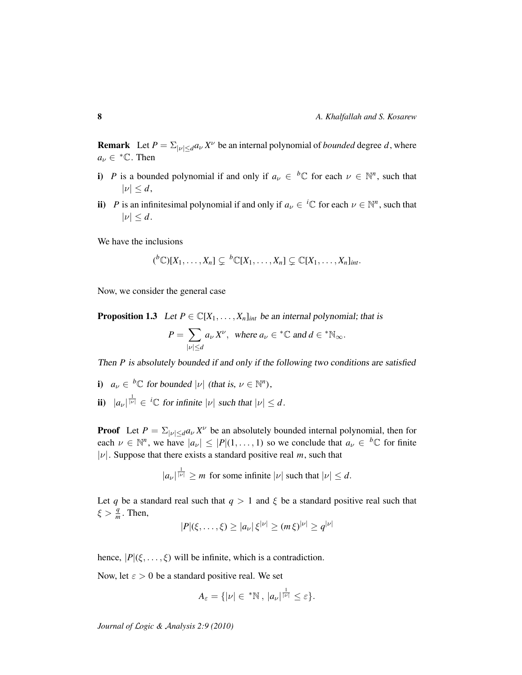**Remark** Let  $P = \sum_{|\nu| \leq d} a_{\nu} X^{\nu}$  be an internal polynomial of *bounded* degree *d*, where  $a_{\nu} \in {}^{\ast} \mathbb{C}$ . Then

- i) *P* is a bounded polynomial if and only if  $a_{\nu} \in {^b\mathbb{C}}$  for each  $\nu \in \mathbb{N}^n$ , such that  $|\nu| \leq d$ ,
- ii) *P* is an infinitesimal polynomial if and only if  $a_{\nu} \in {}^{i} \mathbb{C}$  for each  $\nu \in \mathbb{N}^{n}$ , such that  $|\nu| \leq d$ .

We have the inclusions

$$
({}^{b}\mathbb{C})[X_1,\ldots,X_n]\subsetneq{}^{b}\mathbb{C}[X_1,\ldots,X_n]\subsetneq\mathbb{C}[X_1,\ldots,X_n]_{int}.
$$

Now, we consider the general case

<span id="page-7-0"></span>**Proposition 1.3** Let  $P \in \mathbb{C}[X_1, \ldots, X_n]$  *int* be an internal polynomial; that is

$$
P = \sum_{|\nu| \le d} a_{\nu} X^{\nu}, \text{ where } a_{\nu} \in {}^{*}\mathbb{C} \text{ and } d \in {}^{*}\mathbb{N}_{\infty}.
$$

Then *P* is absolutely bounded if and only if the following two conditions are satisfied

- i)  $a_{\nu} \in {}^{b} \mathbb{C}$  for bounded  $|\nu|$  (that is,  $\nu \in \mathbb{N}^{n}$ ), ii)  $|a_{\nu}|^{\frac{1}{|\nu|}} \in {}^{i} \mathbb{C}$  for infinite  $|\nu|$  such that  $|\nu| \leq d$ .
- **Proof** Let  $P = \sum_{|\nu| \le d} a_{\nu} X^{\nu}$  be an absolutely bounded internal polynomial, then for each  $\nu \in \mathbb{N}^n$ , we have  $|a_{\nu}| \leq |P|(1,\ldots,1)$  so we conclude that  $a_{\nu} \in {}^b\mathbb{C}$  for finite  $|\nu|$ . Suppose that there exists a standard positive real *m*, such that

$$
|a_{\nu}|^{\frac{1}{|\nu|}} \geq m
$$
 for some infinite  $|\nu|$  such that  $|\nu| \leq d$ .

Let *q* be a standard real such that  $q > 1$  and  $\xi$  be a standard positive real such that  $\xi > \frac{q}{m}$ . Then, |ν|

$$
|P|(\xi,\ldots,\xi) \ge |a_{\nu}| \xi^{|\nu|} \ge (m \xi)^{|\nu|} \ge q^{|\nu|}
$$

hence,  $|P|(\xi, \ldots, \xi)$  will be infinite, which is a contradiction.

Now, let  $\varepsilon > 0$  be a standard positive real. We set

$$
A_{\varepsilon} = \{ |\nu| \in {}^{*}\mathbb{N} \, , \, |a_{\nu}|^{\frac{1}{|\nu|}} \leq \varepsilon \}.
$$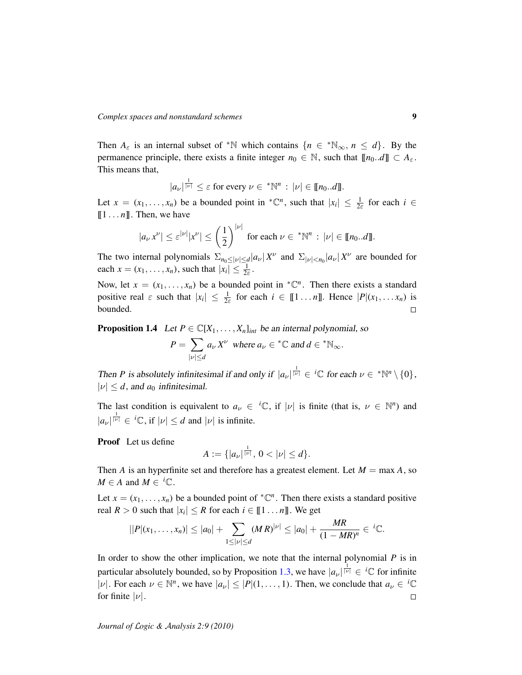Then  $A_{\varepsilon}$  is an internal subset of \*N which contains  $\{n \in \mathbb{N}_{\infty}, n \leq d\}$ . By the permanence principle, there exists a finite integer  $n_0 \in \mathbb{N}$ , such that  $[[n_0..d]] \subset A_{\varepsilon}$ . This means that,

$$
|a_{\nu}|^{\frac{1}{|\nu|}} \leq \varepsilon \text{ for every } \nu \in {}^*\mathbb{N}^n : |\nu| \in [\![n_0..d]\!].
$$

Let  $x = (x_1, \ldots, x_n)$  be a bounded point in  ${}^*\mathbb{C}^n$ , such that  $|x_i| \leq \frac{1}{2\varepsilon}$  for each  $i \in$  $[1 \dots n]$ . Then, we have

$$
|a_{\nu} x^{\nu}| \leq \varepsilon^{|\nu|} |x^{\nu}| \leq \left(\frac{1}{2}\right)^{|\nu|} \text{ for each } \nu \in {^*\mathbb{N}^n} : |\nu| \in [\![n_0..d]\!].
$$

The two internal polynomials  $\sum_{n_0 \leq |\nu| \leq d} |a_{\nu}| X^{\nu}$  and  $\sum_{|\nu| < n_0} |a_{\nu}| X^{\nu}$  are bounded for each  $x = (x_1, \ldots, x_n)$ , such that  $|x_i| \leq \frac{1}{2\varepsilon}$ .

Now, let  $x = (x_1, \ldots, x_n)$  be a bounded point in  ${}^*\mathbb{C}^n$ . Then there exists a standard positive real  $\varepsilon$  such that  $|x_i| \leq \frac{1}{2\varepsilon}$  for each  $i \in [1 \dots n]$ . Hence  $|P|(x_1, \dots, x_n)$  is bounded.  $\Box$ 

<span id="page-8-0"></span>**Proposition 1.4** Let  $P \in \mathbb{C}[X_1, \ldots, X_n]$ <sub>*int*</sub> be an internal polynomial, so

$$
P = \sum_{|\nu| \le d} a_{\nu} X^{\nu} \text{ where } a_{\nu} \in {}^{*} \mathbb{C} \text{ and } d \in {}^{*} \mathbb{N}_{\infty}.
$$

Then *P* is absolutely infinitesimal if and only if  $|a_{\nu}|^{\frac{1}{|\nu|}} \in {}^{i}\mathbb{C}$  for each  $\nu \in {}^{*}\mathbb{N}^{n} \setminus \{0\},$  $|\nu| \leq d$ , and  $a_0$  infinitesimal.

The last condition is equivalent to  $a_{\nu} \in {}^{i}\mathbb{C}$ , if  $|\nu|$  is finite (that is,  $\nu \in \mathbb{N}^{n}$ ) and  $|a_{\nu}|^{\frac{1}{|\nu|}} \in {}^{i}\mathbb{C}$ , if  $|\nu| \leq d$  and  $|\nu|$  is infinite.

Proof Let us define

$$
A:=\{|a_{\nu}|^{\frac{1}{|\nu|}},\,0<|\nu|\leq d\}.
$$

Then *A* is an hyperfinite set and therefore has a greatest element. Let  $M = \max A$ , so  $M \in A$  and  $M \in {^i\mathbb{C}}$ .

Let  $x = (x_1, \dots, x_n)$  be a bounded point of  ${}^*\mathbb{C}^n$ . Then there exists a standard positive real  $R > 0$  such that  $|x_i| \leq R$  for each  $i \in [\![1 \dots n]\!]$ . We get

$$
||P|(x_1,\ldots,x_n)| \leq |a_0| + \sum_{1 \leq |\nu| \leq d} (MR)^{|\nu|} \leq |a_0| + \frac{MR}{(1-MR)^n} \in {}^{i}\mathbb{C}.
$$

In order to show the other implication, we note that the internal polynomial  $P$  is in particular absolutely bounded, so by Proposition [1.3,](#page-7-0) we have  $|a_{\nu}|^{\frac{1}{|\nu|}} \in {}^{i} \mathbb{C}$  for infinite |v| For each  $\nu \in \mathbb{N}^n$ , we have  $|a_{\nu}| \leq |P|(1,\ldots,1)$ . Then, we conclude that  $a_{\nu} \in {}^{i}\mathbb{C}$ for finite  $|\nu|$ .  $\Box$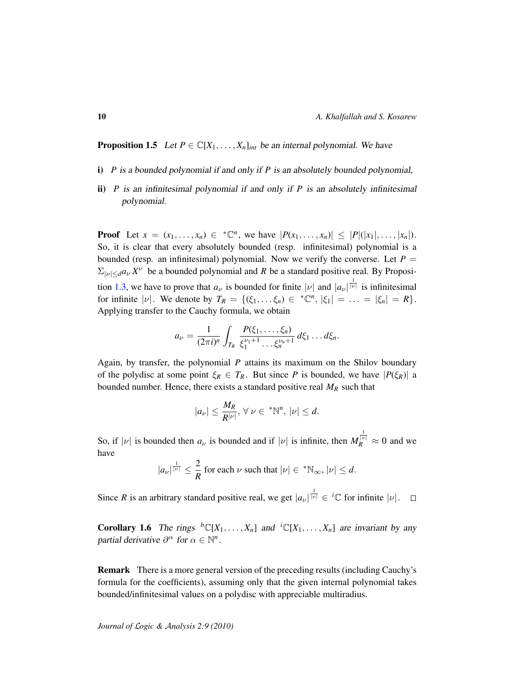<span id="page-9-0"></span>**Proposition 1.5** Let  $P \in \mathbb{C}[X_1, \ldots, X_n]_{int}$  be an internal polynomial. We have

- i) *P* is a bounded polynomial if and only if *P* is an absolutely bounded polynomial,
- ii) *P* is an infinitesimal polynomial if and only if *P* is an absolutely infinitesimal polynomial.

**Proof** Let  $x = (x_1, ..., x_n) \in {^*}\mathbb{C}^n$ , we have  $|P(x_1, ..., x_n)| \leq |P|(|x_1|, ..., |x_n|)$ . So, it is clear that every absolutely bounded (resp. infinitesimal) polynomial is a bounded (resp. an infinitesimal) polynomial. Now we verify the converse. Let  $P =$  $\sum_{|\nu| \leq d} a_{\nu} X^{\nu}$  be a bounded polynomial and *R* be a standard positive real. By Proposi-tion [1.3,](#page-7-0) we have to prove that  $a_{\nu}$  is bounded for finite  $|\nu|$  and  $|a_{\nu}|^{\frac{1}{|\nu|}}$  is infinitesimal for infinite  $|v|$ . We denote by  $T_R = \{(\xi_1, ..., \xi_n) \in {^*}\mathbb{C}^n, |\xi_1| = ... = |\xi_n| = R\}.$ Applying transfer to the Cauchy formula, we obtain

$$
a_{\nu} = \frac{1}{(2\pi i)^n} \int_{T_R} \frac{P(\xi_1,\ldots,\xi_n)}{\xi_1^{\nu_1+1}\ldots\xi_n^{\nu_n+1}} d\xi_1 \ldots d\xi_n.
$$

Again, by transfer, the polynomial *P* attains its maximum on the Shilov boundary of the polydisc at some point  $\xi_R \in T_R$ . But since *P* is bounded, we have  $|P(\xi_R)|$  a bounded number. Hence, there exists a standard positive real *M<sup>R</sup>* such that

$$
|a_{\nu}|\leq \frac{M_R}{R^{|\nu|}}, \,\forall \,\nu\in{\,}^{\ast}\mathbb{N}^n,\,|\nu|\leq d.
$$

So, if  $|v|$  is bounded then  $a_v$  is bounded and if  $|v|$  is infinite, then  $M_R^{\frac{1}{|v|}} \approx 0$  and we have

$$
|a_{\nu}|^{\frac{1}{|\nu|}} \leq \frac{2}{R} \text{ for each } \nu \text{ such that } |\nu| \in {}^*\mathbb{N}_{\infty}, |\nu| \leq d.
$$

Since *R* is an arbitrary standard positive real, we get  $|a_{\nu}|^{\frac{1}{|\nu|}} \in C$  for infinite  $|\nu|$ .

**Corollary 1.6** The rings  ${}^b\mathbb{C}[X_1,\ldots,X_n]$  and  ${}^i\mathbb{C}[X_1,\ldots,X_n]$  are invariant by any partial derivative  $\partial^{\alpha}$  for  $\alpha \in \mathbb{N}^n$ .

Remark There is a more general version of the preceding results (including Cauchy's formula for the coefficients), assuming only that the given internal polynomial takes bounded/infinitesimal values on a polydisc with appreciable multiradius.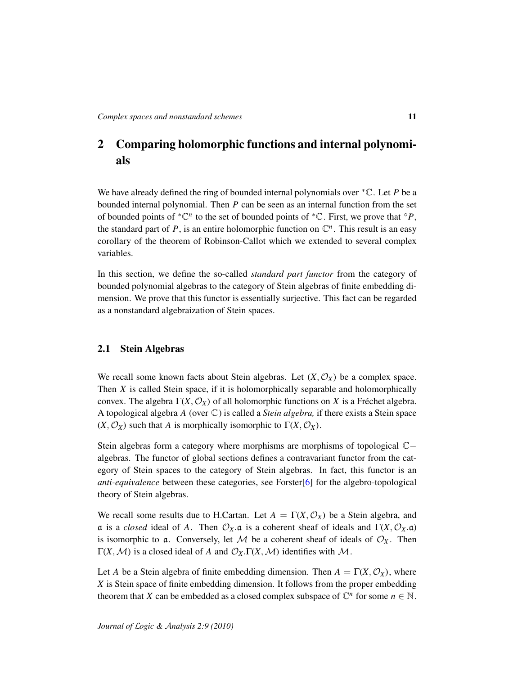# <span id="page-10-0"></span>2 Comparing holomorphic functions and internal polynomials

We have already defined the ring of bounded internal polynomials over <sup>∗</sup>C. Let *P* be a bounded internal polynomial. Then *P* can be seen as an internal function from the set of bounded points of  $^*{\mathbb C}^n$  to the set of bounded points of  $^*{\mathbb C}$ . First, we prove that  $\circ P$ , the standard part of  $P$ , is an entire holomorphic function on  $\mathbb{C}^n$ . This result is an easy corollary of the theorem of Robinson-Callot which we extended to several complex variables.

In this section, we define the so-called *standard part functor* from the category of bounded polynomial algebras to the category of Stein algebras of finite embedding dimension. We prove that this functor is essentially surjective. This fact can be regarded as a nonstandard algebraization of Stein spaces.

# <span id="page-10-1"></span>2.1 Stein Algebras

We recall some known facts about Stein algebras. Let  $(X, \mathcal{O}_X)$  be a complex space. Then *X* is called Stein space, if it is holomorphically separable and holomorphically convex. The algebra  $\Gamma(X, \mathcal{O}_X)$  of all holomorphic functions on X is a Fréchet algebra. A topological algebra *A* (over C) is called a *Stein algebra,* if there exists a Stein space  $(X, \mathcal{O}_X)$  such that *A* is morphically isomorphic to  $\Gamma(X, \mathcal{O}_X)$ .

Stein algebras form a category where morphisms are morphisms of topological C− algebras. The functor of global sections defines a contravariant functor from the category of Stein spaces to the category of Stein algebras. In fact, this functor is an *anti-equivalence* between these categories, see Forster[\[6\]](#page-58-5) for the algebro-topological theory of Stein algebras.

We recall some results due to H.Cartan. Let  $A = \Gamma(X, \mathcal{O}_X)$  be a Stein algebra, and a is a *closed* ideal of *A*. Then  $O_X$ .a is a coherent sheaf of ideals and  $\Gamma(X, O_X$ .a) is isomorphic to a. Conversely, let  $M$  be a coherent sheaf of ideals of  $\mathcal{O}_X$ . Then  $\Gamma(X, \mathcal{M})$  is a closed ideal of *A* and  $\mathcal{O}_X \Gamma(X, \mathcal{M})$  identifies with M.

Let *A* be a Stein algebra of finite embedding dimension. Then  $A = \Gamma(X, \mathcal{O}_X)$ , where *X* is Stein space of finite embedding dimension. It follows from the proper embedding theorem that *X* can be embedded as a closed complex subspace of  $\mathbb{C}^n$  for some  $n \in \mathbb{N}$ .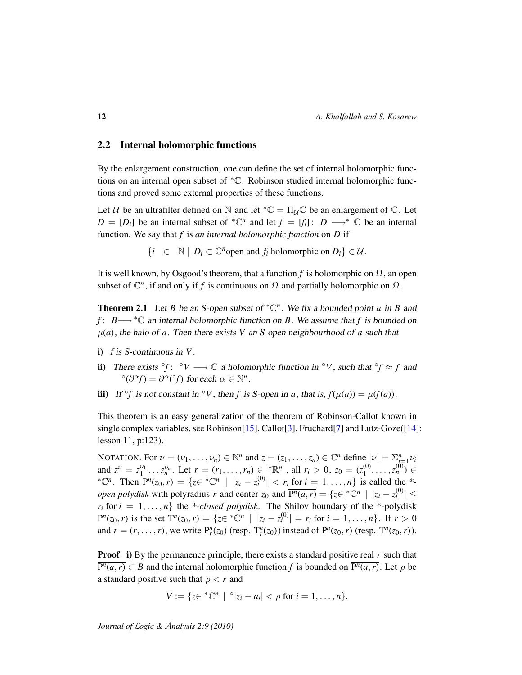# <span id="page-11-0"></span>2.2 Internal holomorphic functions

By the enlargement construction, one can define the set of internal holomorphic functions on an internal open subset of <sup>∗</sup>C. Robinson studied internal holomorphic functions and proved some external properties of these functions.

Let U be an ultrafilter defined on N and let  ${}^*\mathbb{C} = \Pi_{\mathcal{U}} \mathbb{C}$  be an enlargement of  $\mathbb{C}$ . Let  $D = [D_i]$  be an internal subset of  ${}^* \mathbb{C}^n$  and let  $f = [f_i] : D \longrightarrow {}^* \mathbb{C}$  be an internal function. We say that *f* is *an internal holomorphic function* on *D* if

 $\{i \in \mathbb{N} \mid D_i \subset \mathbb{C}^n \text{ open and } f_i \text{ holomorphic on } D_i\} \in \mathcal{U}.$ 

It is well known, by Osgood's theorem, that a function *f* is holomorphic on  $\Omega$ , an open subset of  $\mathbb{C}^n$ , if and only if *f* is continuous on  $\Omega$  and partially holomorphic on  $\Omega$ .

<span id="page-11-1"></span>**Theorem 2.1** Let *B* be an *S*-open subset of  ${}^*{\mathbb{C}}^n$ . We fix a bounded point *a* in *B* and *f* : *B*→ \* ℂ an internal holomorphic function on *B*. We assume that *f* is bounded on  $\mu(a)$ , the halo of *a*. Then there exists *V* an *S*-open neighbourhood of *a* such that

- i) f is S-continuous in *V*.
- ii) There exists °f:  $\circ$ *V*  $\longrightarrow$   $\mathbb{C}$  a holomorphic function in  $\circ$ *V*, such that  $\circ$ *f*  $\approx$  *f* and  $\partial^{\alpha}(\partial^{\alpha}f) = \partial^{\alpha}(\partial^{\alpha}f)$  for each  $\alpha \in \mathbb{N}^{n}$ .
- iii) If  $\partial f$  is not constant in  $\partial V$ , then *f* is *S*-open in *a*, that is,  $f(\mu(a)) = \mu(f(a))$ .

This theorem is an easy generalization of the theorem of Robinson-Callot known in single complex variables, see Robinson[\[15\]](#page-58-0), Callot[\[3\]](#page-58-6), Fruchard[\[7\]](#page-58-7) and Lutz-Goze([\[14\]](#page-58-8): lesson 11, p:123).

NOTATION. For  $\nu = (\nu_1, \dots, \nu_n) \in \mathbb{N}^n$  and  $z = (z_1, \dots, z_n) \in \mathbb{C}^n$  define  $|\nu| = \sum_{i=1}^n \nu_i$ and  $z^{\nu} = z_1^{\nu_1} \dots z_n^{\nu_n}$ . Let  $r = (r_1, \dots, r_n) \in \mathbb{R}^n$ , all  $r_i > 0$ ,  $z_0 = (z_1^{(0)}$  $\binom{(0)}{1}, \ldots, \binom{(0)}{n} \in$  $* \mathbb{C}^n$ . Then  $P^n(z_0, r) = \{ z \in {}^* \mathbb{C}^n \mid |z_i - z_i^{(0)}| < r_i \text{ for } i = 1, ..., n \}$  is called the  $*$ *open polydisk* with polyradius *r* and center  $z_0$  and  $\overline{P^n(a,r)} = \{z \in {^*\mathbb{C}^n} \mid |z_i - z_i^{(0)}| \leq$  $r_i$  for  $i = 1, \ldots, n$  the *\*-closed polydisk*. The Shilov boundary of the *\**-polydisk  $P^{n}(z_0, r)$  is the set  $T^{n}(z_0, r) = \{z \in {}^{*} \mathbb{C}^{n} \mid |z_i - z_i^{(0)}| = r_i \text{ for } i = 1, ..., n\}$ . If  $r > 0$ and  $r = (r, ..., r)$ , we write  $P_r^n(z_0)$  (resp.  $T_r^n(z_0)$ ) instead of  $P^n(z_0, r)$  (resp.  $T^n(z_0, r)$ ).

**Proof** i) By the permanence principle, there exists a standard positive real r such that  $\overline{P^n(a, r)} \subset B$  and the internal holomorphic function *f* is bounded on  $\overline{P^n(a, r)}$ . Let  $\rho$  be a standard positive such that  $\rho < r$  and

$$
V:=\{z\in {}^*\mathbb{C}^n\mid \text{ }^{\circ}|z_i-a_i|<\rho\text{ for }i=1,\ldots,n\}.
$$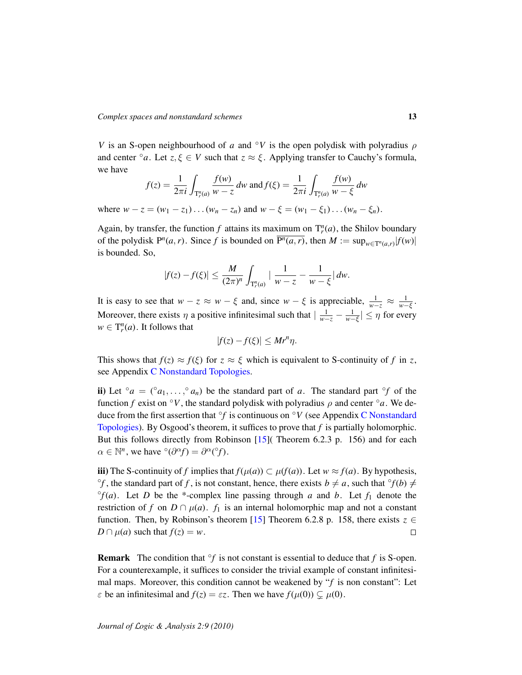*V* is an S-open neighbourhood of *a* and  $\partial V$  is the open polydisk with polyradius  $\rho$ and center  $\circ$ *a*. Let *z*,  $\xi \in V$  such that  $z \approx \xi$ . Applying transfer to Cauchy's formula, we have

$$
f(z) = \frac{1}{2\pi i} \int_{\mathcal{T}_r^n(a)} \frac{f(w)}{w - z} dw \text{ and } f(\xi) = \frac{1}{2\pi i} \int_{\mathcal{T}_r^n(a)} \frac{f(w)}{w - \xi} dw
$$

where  $w - z = (w_1 - z_1) \dots (w_n - z_n)$  and  $w - \xi = (w_1 - \xi_1) \dots (w_n - \xi_n)$ .

Again, by transfer, the function  $f$  attains its maximum on  $T_r^n(a)$ , the Shilov boundary of the polydisk  $P^n(a, r)$ . Since *f* is bounded on  $\overline{P^n(a, r)}$ , then  $M := \sup_{w \in T^n(a,r)} |f(w)|$ is bounded. So,

$$
|f(z) - f(\xi)| \le \frac{M}{(2\pi)^n} \int_{\mathbb{T}_r^n(a)} \left| \frac{1}{w - z} - \frac{1}{w - \xi} \right| dw.
$$

It is easy to see that  $w - z \approx w - \xi$  and, since  $w - \xi$  is appreciable,  $\frac{1}{w - z} \approx \frac{1}{w - \xi}$ . Moreover, there exists  $\eta$  a positive infinitesimal such that  $|\frac{1}{w-z} - \frac{1}{w-\xi}| \leq \eta$  for every  $w \in T_r^n(a)$ . It follows that

$$
|f(z) - f(\xi)| \le Mr^n \eta.
$$

This shows that  $f(z) \approx f(\xi)$  for  $z \approx \xi$  which is equivalent to S-continuity of f in z, see Appendix [C Nonstandard Topologies.](#page-55-0)

ii) Let  $\partial a = (\partial a_1, \dots, \partial a_n)$  be the standard part of *a*. The standard part  $\partial f$  of the function *f* exist on  $\circ$ *V*, the standard polydisk with polyradius  $\rho$  and center  $\circ$ *a*. We deduce from the first assertion that ◦ *f* is continuous on ◦*V* (see Appendix [C Nonstandard](#page-55-0) [Topologies\)](#page-55-0). By Osgood's theorem, it suffices to prove that *f* is partially holomorphic. But this follows directly from Robinson [\[15\]](#page-58-0)( Theorem 6.2.3 p. 156) and for each  $\alpha \in \mathbb{N}^n$ , we have  $\partial^{\alpha}(\partial^{\alpha}f) = \partial^{\alpha}(\partial^{\alpha}f)$ .

iii) The S-continuity of *f* implies that *f*( $\mu$ (*a*)) ⊂  $\mu$ (*f*(*a*)). Let *w* ≈ *f*(*a*). By hypothesis,  $\circ$ *f*, the standard part of *f*, is not constant, hence, there exists  $b \neq a$ , such that  $\circ$ *f*(*b*)  $\neq$  $^{\circ}f(a)$ . Let *D* be the \*-complex line passing through *a* and *b*. Let  $f_1$  denote the restriction of *f* on  $D \cap \mu(a)$ . *f*<sub>1</sub> is an internal holomorphic map and not a constant function. Then, by Robinson's theorem [\[15\]](#page-58-0) Theorem 6.2.8 p. 158, there exists  $z \in$  $D \cap \mu(a)$  such that  $f(z) = w$ .  $\Box$ 

**Remark** The condition that  $\partial f$  is not constant is essential to deduce that  $f$  is S-open. For a counterexample, it suffices to consider the trivial example of constant infinitesimal maps. Moreover, this condition cannot be weakened by "*f* is non constant": Let  $\varepsilon$  be an infinitesimal and  $f(z) = \varepsilon z$ . Then we have  $f(\mu(0)) \subsetneq \mu(0)$ .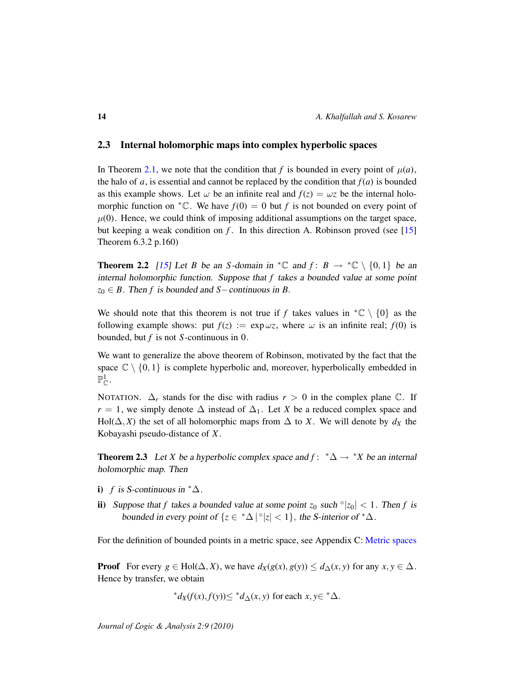# <span id="page-13-0"></span>2.3 Internal holomorphic maps into complex hyperbolic spaces

In Theorem [2.1,](#page-11-1) we note that the condition that f is bounded in every point of  $\mu(a)$ , the halo of  $a$ , is essential and cannot be replaced by the condition that  $f(a)$  is bounded as this example shows. Let  $\omega$  be an infinite real and  $f(z) = \omega z$  be the internal holomorphic function on  ${}^*{\mathbb C}$ . We have  $f(0) = 0$  but f is not bounded on every point of  $\mu(0)$ . Hence, we could think of imposing additional assumptions on the target space, but keeping a weak condition on *f* . In this direction A. Robinson proved (see [\[15\]](#page-58-0) Theorem 6.3.2 p.160)

**Theorem 2.2** [\[15\]](#page-58-0) Let *B* be an *S*-domain in  ${}^*\mathbb{C}$  and  $f: B \to {}^*\mathbb{C} \setminus \{0,1\}$  be an internal holomorphic function. Suppose that *f* takes a bounded value at some point  $z_0 \in B$ . Then *f* is bounded and *S*−continuous in *B*.

We should note that this theorem is not true if *f* takes values in  ${}^*\mathbb{C} \setminus \{0\}$  as the following example shows: put  $f(z) := \exp \omega z$ , where  $\omega$  is an infinite real;  $f(0)$  is bounded, but *f* is not *S*-continuous in 0.

We want to generalize the above theorem of Robinson, motivated by the fact that the space  $\mathbb{C} \setminus \{0, 1\}$  is complete hyperbolic and, moreover, hyperbolically embedded in  $\mathbb{P}^1_{\mathbb{C}}.$ 

NOTATION.  $\Delta_r$  stands for the disc with radius  $r > 0$  in the complex plane  $\mathbb{C}$ . If  $r = 1$ , we simply denote  $\Delta$  instead of  $\Delta_1$ . Let *X* be a reduced complex space and Hol( $\Delta$ , *X*) the set of all holomorphic maps from  $\Delta$  to *X*. We will denote by  $d_X$  the Kobayashi pseudo-distance of *X*.

<span id="page-13-1"></span>**Theorem 2.3** Let *X* be a hyperbolic complex space and  $f: * \Delta \rightarrow *X$  be an internal holomorphic map. Then

- i) *f* is S-continuous in  $^*$ ∆.
- ii) Suppose that *f* takes a bounded value at some point  $z_0$  such  $\frac{|z_0|}{|z_0|} < 1$ . Then *f* is bounded in every point of  $\{z \in {}^*\Delta \, | \,^{\circ}|z| < 1\}$ , the S-interior of  ${}^*\Delta$ .

For the definition of bounded points in a metric space, see Appendix C: [Metric spaces](#page-56-0)

**Proof** For every  $g \in Hol(\Delta, X)$ , we have  $d_X(g(x), g(y)) \leq d_\Delta(x, y)$  for any  $x, y \in \Delta$ . Hence by transfer, we obtain

\*
$$
d_X(f(x), f(y)) \leq d_X(x, y)
$$
 for each  $x, y \in \Delta$ .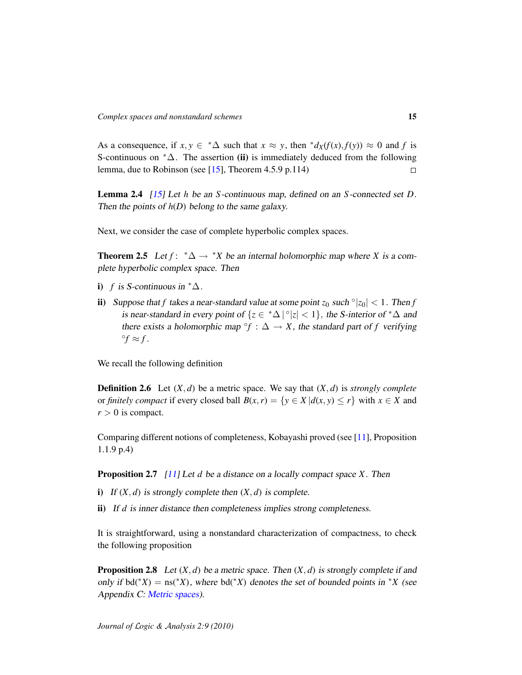As a consequence, if  $x, y \in \Delta^* \Delta$  such that  $x \approx y$ , then  $^* d_X(f(x), f(y)) \approx 0$  and f is S-continuous on  $*\Delta$ . The assertion (ii) is immediately deduced from the following lemma, due to Robinson (see [\[15\]](#page-58-0), Theorem 4.5.9 p.114)  $\Box$ 

Lemma 2.4 [\[15\]](#page-58-0) Let *h* be an *S*-continuous map, defined on an *S*-connected set *D*. Then the points of  $h(D)$  belong to the same galaxy.

Next, we consider the case of complete hyperbolic complex spaces.

<span id="page-14-0"></span>**Theorem 2.5** Let  $f: \mathbb{A} \to \mathbb{A}$  be an internal holomorphic map where *X* is a complete hyperbolic complex space. Then

- i) *f* is S-continuous in  $^*$  $\Delta$ .
- ii) Suppose that *f* takes a near-standard value at some point  $z_0$  such  $\frac{|z_0|}{|z_0|} < 1$ . Then *f* is near-standard in every point of  $\{z \in {}^*\Delta \, | \, ^\circ |z| < 1\}$ , the S-interior of  ${}^*\Delta$  and there exists a holomorphic map  $\hat{f}$  :  $\Delta \rightarrow X$ , the standard part of *f* verifying  ${}^{\circ}f \approx f$ .

We recall the following definition

**Definition 2.6** Let  $(X, d)$  be a metric space. We say that  $(X, d)$  is *strongly complete* or *finitely compact* if every closed ball  $B(x, r) = \{y \in X | d(x, y) \le r\}$  with  $x \in X$  and  $r > 0$  is compact.

Comparing different notions of completeness, Kobayashi proved (see [\[11\]](#page-58-9), Proposition 1.1.9 p.4)

Proposition 2.7 [\[11\]](#page-58-9) Let *d* be a distance on a locally compact space *X*. Then

- i) If  $(X, d)$  is strongly complete then  $(X, d)$  is complete.
- ii) If *d* is inner distance then completeness implies strong completeness.

It is straightforward, using a nonstandard characterization of compactness, to check the following proposition

**Proposition 2.8** Let  $(X, d)$  be a metric space. Then  $(X, d)$  is strongly complete if and only if  $\text{bd}(*X) = \text{ns}(*X)$ , where  $\text{bd}(*X)$  denotes the set of bounded points in  $*X$  (see Appendix C: [Metric spaces\)](#page-56-0).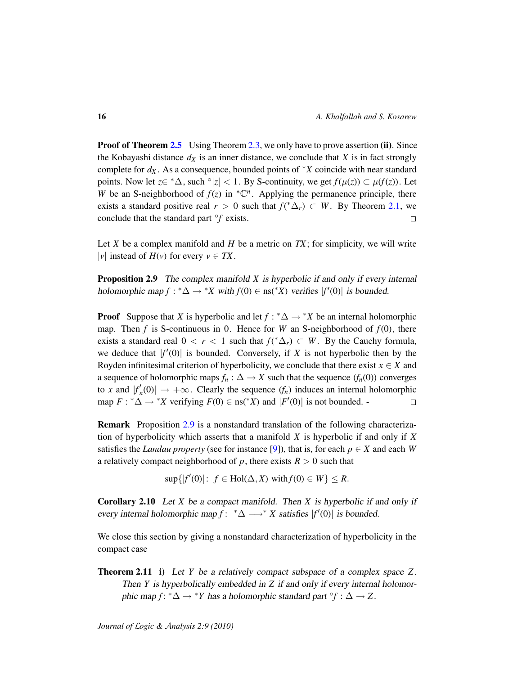**Proof of Theorem [2.5](#page-14-0)** Using Theorem [2.3,](#page-13-1) we only have to prove assertion (ii). Since the Kobayashi distance  $d_X$  is an inner distance, we conclude that *X* is in fact strongly complete for  $d_X$ . As a consequence, bounded points of  $*X$  coincide with near standard points. Now let  $z \in {}^*\Delta$ , such  $\circ |z| < 1$ . By S-continuity, we get  $f(\mu(z)) \subset \mu(f(z))$ . Let *W* be an S-neighborhood of  $f(z)$  in  ${}^*{\mathbb{C}}^n$ . Applying the permanence principle, there exists a standard positive real  $r > 0$  such that  $f({^*\Delta}_r) \subset W$ . By Theorem [2.1,](#page-11-1) we conclude that the standard part ◦ *f* exists.  $\Box$ 

Let *X* be a complex manifold and *H* be a metric on *TX*; for simplicity, we will write |*v*| instead of  $H(v)$  for every  $v \in TX$ .

<span id="page-15-0"></span>Proposition 2.9 The complex manifold *X* is hyperbolic if and only if every internal holomorphic map  $f: \mathbb{A} \to \mathbb{A}$  with  $f(0) \in \text{ns}(\mathbb{A}^X)$  verifies  $|f'(0)|$  is bounded.

**Proof** Suppose that *X* is hyperbolic and let  $f : ^* \Delta \rightarrow ^* X$  be an internal holomorphic map. Then  $f$  is S-continuous in 0. Hence for  $W$  an S-neighborhood of  $f(0)$ , there exists a standard real  $0 < r < 1$  such that  $f({^*\Delta}_r) \subset W$ . By the Cauchy formula, we deduce that  $|f'(0)|$  is bounded. Conversely, if *X* is not hyperbolic then by the Royden infinitesimal criterion of hyperbolicity, we conclude that there exist  $x \in X$  and a sequence of holomorphic maps  $f_n: \Delta \to X$  such that the sequence  $(f_n(0))$  converges to *x* and  $|f'_n\rangle$  $\alpha'_n(0)$   $\rightarrow +\infty$ . Clearly the sequence  $(f_n)$  induces an internal holomorphic map  $F: \mathbb{A}^* \to \mathbb{A}^*$  verifying  $F(0) \in \text{ns}(\mathbb{A}^* X)$  and  $|F'(0)|$  is not bounded.  $\Box$ 

Remark Proposition [2.9](#page-15-0) is a nonstandard translation of the following characterization of hyperbolicity which asserts that a manifold *X* is hyperbolic if and only if *X* satisfies the *Landau property* (see for instance [\[9\]](#page-58-10)), that is, for each  $p \in X$  and each *W* a relatively compact neighborhood of *p*, there exists  $R > 0$  such that

 $\sup\{|f'(0)|: f \in Hol(\Delta, X) \text{ with } f(0) \in W\} \leq R.$ 

Corollary 2.10 Let *X* be a compact manifold. Then *X* is hyperbolic if and only if every internal holomorphic map  $f: * \Delta \longrightarrow^* X$  satisfies  $|f'(0)|$  is bounded.

We close this section by giving a nonstandard characterization of hyperbolicity in the compact case

Theorem 2.11 i) Let *Y* be a relatively compact subspace of a complex space *Z*. Then *Y* is hyperbolically embedded in *Z* if and only if every internal holomorphic map *f*:  $^*\Delta \rightarrow ^*Y$  has a holomorphic standard part °*f* :  $\Delta \rightarrow Z$ .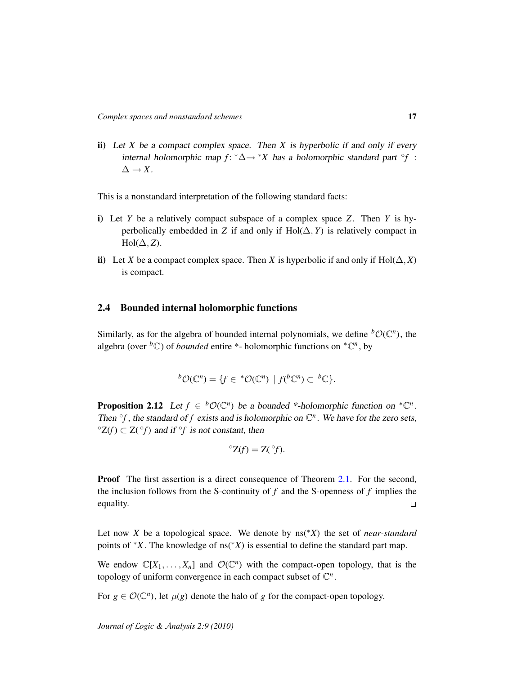ii) Let *X* be a compact complex space. Then *X* is hyperbolic if and only if every internal holomorphic map  $f: * \Delta \rightarrow *X$  has a holomorphic standard part  $\partial f$ :  $\Delta \rightarrow X$ .

This is a nonstandard interpretation of the following standard facts:

- i) Let *Y* be a relatively compact subspace of a complex space *Z*. Then *Y* is hyperbolically embedded in *Z* if and only if  $Hol(\Delta, Y)$  is relatively compact in  $Hol(\Delta, Z)$ .
- ii) Let *X* be a compact complex space. Then *X* is hyperbolic if and only if Hol( $\Delta$ , *X*) is compact.

### <span id="page-16-0"></span>2.4 Bounded internal holomorphic functions

Similarly, as for the algebra of bounded internal polynomials, we define  ${}^b\mathcal{O}(\mathbb{C}^n)$ , the algebra (over <sup>*b*</sup>C) of *bounded* entire \*- holomorphic functions on  ${}^*{\mathbb{C}}^n$ , by

$$
{}^{b}\mathcal{O}(\mathbb{C}^{n}) = \{f \in {}^{*}\mathcal{O}(\mathbb{C}^{n}) \mid f({}^{b}\mathbb{C}^{n}) \subset {}^{b}\mathbb{C}\}.
$$

<span id="page-16-1"></span>**Proposition 2.12** Let  $f \in {}^b\mathcal{O}(\mathbb{C}^n)$  be a bounded \*-holomorphic function on  ${}^*\mathbb{C}^n$ . Then  $\partial f$ , the standard of *f* exists and is holomorphic on  $\mathbb{C}^n$ . We have for the zero sets,  ${}^{\circ}Z(f) \subset Z({}^{\circ}f)$  and if  ${}^{\circ}f$  is not constant, then

$$
{}^{\circ}Z(f) = Z({}^{\circ}f).
$$

**Proof** The first assertion is a direct consequence of Theorem [2.1.](#page-11-1) For the second, the inclusion follows from the S-continuity of  $f$  and the S-openness of  $f$  implies the equality.  $\Box$ 

Let now *X* be a topological space. We denote by ns(∗*X*) the set of *near-standard* points of  $X$ . The knowledge of ns( $X$ ) is essential to define the standard part map.

We endow  $\mathbb{C}[X_1,\ldots,X_n]$  and  $\mathcal{O}(\mathbb{C}^n)$  with the compact-open topology, that is the topology of uniform convergence in each compact subset of  $\mathbb{C}^n$ .

For  $g \in \mathcal{O}(\mathbb{C}^n)$ , let  $\mu(g)$  denote the halo of *g* for the compact-open topology.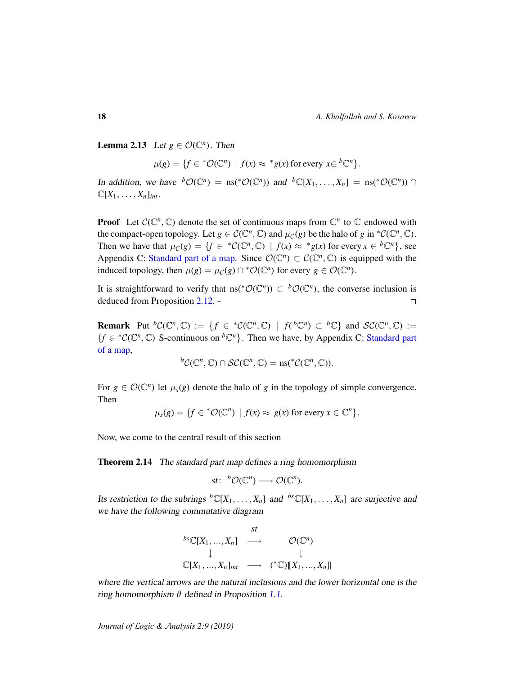**Lemma 2.13** Let  $g \in \mathcal{O}(\mathbb{C}^n)$ . Then

$$
\mu(g) = \{ f \in {}^*\mathcal{O}(\mathbb{C}^n) \mid f(x) \approx {}^*g(x) \text{ for every } x \in {}^b\mathbb{C}^n \}.
$$

In addition, we have  ${}^b\mathcal{O}(\mathbb{C}^n) = \text{ns}({}^*\mathcal{O}(\mathbb{C}^n))$  and  ${}^b\mathbb{C}[X_1,\ldots,X_n] = \text{ns}({}^*\mathcal{O}(\mathbb{C}^n)) \cap$  $\mathbb{C}[X_1,\ldots,X_n]_{int}$ .

**Proof** Let  $C(\mathbb{C}^n, \mathbb{C})$  denote the set of continuous maps from  $\mathbb{C}^n$  to  $\mathbb{C}$  endowed with the compact-open topology. Let  $g \in C(\mathbb{C}^n, \mathbb{C})$  and  $\mu_{\mathcal{C}}(g)$  be the halo of  $g$  in  $^*\mathcal{C}(\mathbb{C}^n, \mathbb{C})$ . Then we have that  $\mu_{\mathcal{C}}(g) = \{f \in {^*C}(\mathbb{C}^n, \mathbb{C}) \mid f(x) \approx {^*g}(x) \text{ for every } x \in {^b}\mathbb{C}^n\}$ , see Appendix C: [Standard part of a map.](#page-57-0) Since  $\mathcal{O}(\mathbb{C}^n) \subset \mathcal{C}(\mathbb{C}^n, \mathbb{C})$  is equipped with the induced topology, then  $\mu(g) = \mu_{\mathcal{C}}(g) \cap {^*\mathcal{O}}(\mathbb{C}^n)$  for every  $g \in \mathcal{O}(\mathbb{C}^n)$ .

It is straightforward to verify that  $\text{ns}(*\mathcal{O}(\mathbb{C}^n)) \subset {}^b\mathcal{O}(\mathbb{C}^n)$ , the converse inclusion is deduced from Proposition [2.12.](#page-16-1) -  $\Box$ 

**Remark** Put  ${}^bC(\mathbb{C}^n,\mathbb{C}) := \{f \in {}^{\ast}C(\mathbb{C}^n,\mathbb{C}) \mid f(h\mathbb{C}^n) \subset {}^b\mathbb{C}\}\$ and  $\mathcal{SC}(\mathbb{C}^n,\mathbb{C}) :=$  ${f \in {^*C(\mathbb{C}^n,\mathbb{C})}}$  S-continuous on  ${}^b\mathbb{C}^n$ . Then we have, by Appendix C: [Standard part](#page-57-0) [of a map,](#page-57-0)

$$
{}^{b}\mathcal{C}(\mathbb{C}^n,\mathbb{C})\cap\mathcal{SC}(\mathbb{C}^n,\mathbb{C})=\mathrm{ns}({}^*\mathcal{C}(\mathbb{C}^n,\mathbb{C})).
$$

For  $g \in \mathcal{O}(\mathbb{C}^n)$  let  $\mu_s(g)$  denote the halo of *g* in the topology of simple convergence. Then

 $\mu_s(g) = \{ f \in {^*O}(\mathbb{C}^n) \mid f(x) \approx g(x) \text{ for every } x \in \mathbb{C}^n \}.$ 

Now, we come to the central result of this section

<span id="page-17-0"></span>Theorem 2.14 The standard part map defines a ring homomorphism

$$
st\colon\;{}^{b}\mathcal{O}(\mathbb{C}^n)\longrightarrow\mathcal{O}(\mathbb{C}^n).
$$

Its restriction to the subrings  ${}^b\mathbb{C}[X_1,\ldots,X_n]$  and  ${}^{bs}\mathbb{C}[X_1,\ldots,X_n]$  are surjective and we have the following commutative diagram

$$
\begin{array}{ccc}\n & st \\
\downarrow & \mathcal{O}(\mathbb{C}^n) \\
 & \downarrow & \downarrow \\
\mathbb{C}[X_1, \ldots, X_n]_{int} \longrightarrow & (*\mathbb{C})[\![X_1, \ldots, X_n]\!]\n\end{array}
$$

where the vertical arrows are the natural inclusions and the lower horizontal one is the ring homomorphism  $\theta$  defined in Proposition [1.1.](#page-5-1)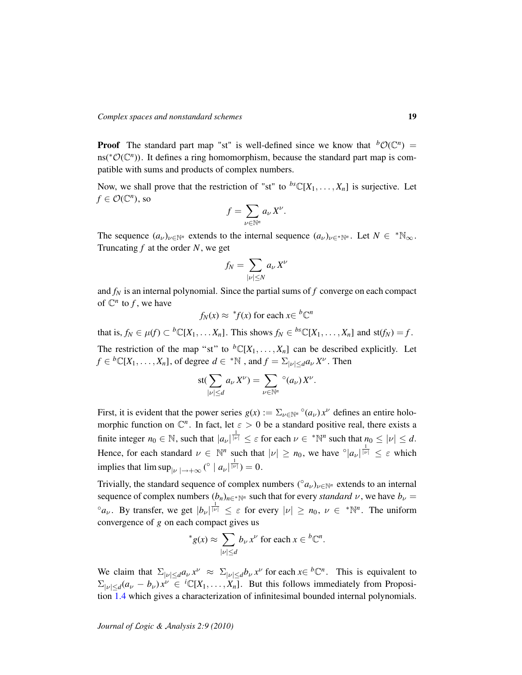**Proof** The standard part map "st" is well-defined since we know that  ${}^b\mathcal{O}(\mathbb{C}^n)$  = ns(<sup>\*</sup>O( $\mathbb{C}^n$ )). It defines a ring homomorphism, because the standard part map is compatible with sums and products of complex numbers.

Now, we shall prove that the restriction of "st" to  ${}^{bs}\mathbb{C}[X_1,\ldots,X_n]$  is surjective. Let  $f \in \mathcal{O}(\mathbb{C}^n)$ , so

$$
f=\sum_{\nu\in\mathbb{N}^n}a_{\nu}X^{\nu}.
$$

The sequence  $(a_{\nu})_{\nu \in \mathbb{N}^n}$  extends to the internal sequence  $(a_{\nu})_{\nu \in \mathbb{N}^n}$ . Let  $N \in \mathbb{N}_{\infty}$ . Truncating *f* at the order *N*, we get

$$
f_N = \sum_{|\nu| \le N} a_\nu X^\nu
$$

and *f<sup>N</sup>* is an internal polynomial. Since the partial sums of *f* converge on each compact of  $\mathbb{C}^n$  to *f*, we have

$$
f_N(x) \approx {}^*f(x)
$$
 for each  $x \in {}^b\mathbb{C}^n$ 

that is,  $f_N \in \mu(f) \subset {}^b\mathbb{C}[X_1,\ldots X_n]$ . This shows  $f_N \in {}^{bs}\mathbb{C}[X_1,\ldots,X_n]$  and st $(f_N) = f$ .

The restriction of the map "st" to  ${}^b\mathbb{C}[X_1,\ldots,X_n]$  can be described explicitly. Let  $f \in {}^{b} \mathbb{C}[X_1,\ldots,X_n]$ , of degree  $d \in {}^{*}\mathbb{N}$  , and  $f = \sum_{|\nu| \leq d} a_{\nu} X^{\nu}$ . Then

$$
\operatorname{st}(\sum_{|\nu| \leq d} a_{\nu} X^{\nu}) = \sum_{\nu \in \mathbb{N}^n} \circ (a_{\nu}) X^{\nu}.
$$

First, it is evident that the power series  $g(x) := \sum_{\nu \in \mathbb{N}^n} \binom{\circ}{a_\nu} x^\nu$  defines an entire holomorphic function on  $\mathbb{C}^n$ . In fact, let  $\varepsilon > 0$  be a standard positive real, there exists a finite integer  $n_0 \in \mathbb{N}$ , such that  $|a_{\nu}|^{\frac{1}{|\nu|}} \leq \varepsilon$  for each  $\nu \in {^*}\mathbb{N}^n$  such that  $n_0 \leq |\nu| \leq d$ . Hence, for each standard  $\nu \in \mathbb{N}^n$  such that  $|\nu| \ge n_0$ , we have  $\int_{a}^{1} |v| \le \varepsilon$  which implies that  $\limsup_{|\nu|\to+\infty}$  (°  $|a_{\nu}|^{\frac{1}{|\nu|}}$ ) = 0.

Trivially, the standard sequence of complex numbers  $({\partial} a_{\nu})_{\nu \in \mathbb{N}^n}$  extends to an internal sequence of complex numbers  $(b_n)_{n \in \mathbb{N}^n}$  such that for every *standard*  $\nu$ , we have  $b_\nu =$ <sup>o</sup> $a_{\nu}$ . By transfer, we get  $|b_{\nu}|^{\frac{1}{|\nu|}} \leq \varepsilon$  for every  $|\nu| \geq n_0$ ,  $\nu \in {^*}\mathbb{N}^n$ . The uniform convergence of *g* on each compact gives us

<sup>\*</sup>
$$
g(x) \approx \sum_{|\nu| \le d} b_{\nu} x^{\nu}
$$
 for each  $x \in {^b\mathbb{C}^n}$ .

We claim that  $\sum_{|\nu| \leq d} a_{\nu} x^{\nu} \approx \sum_{|\nu| \leq d} b_{\nu} x^{\nu}$  for each  $x \in {^b\mathbb{C}^n}$ . This is equivalent to  $\Sigma_{|\nu| \le d}(a_\nu - b_\nu) x^\nu \in {}^{i}\mathbb{C}[X_1, \ldots, X_n].$  But this follows immediately from Proposition [1.4](#page-8-0) which gives a characterization of infinitesimal bounded internal polynomials.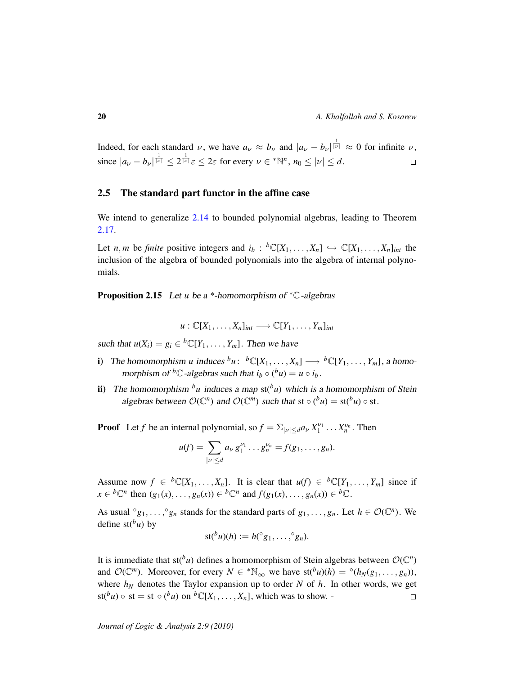Indeed, for each standard  $\nu$ , we have  $a_{\nu} \approx b_{\nu}$  and  $|a_{\nu} - b_{\nu}|^{\frac{1}{|\nu|}} \approx 0$  for infinite  $\nu$ , since  $|a_{\nu} - b_{\nu}|^{\frac{1}{|\nu|}} \leq 2^{\frac{1}{|\nu|}} \varepsilon \leq 2\varepsilon$  for every  $\nu \in {^*}\mathbb{N}^n$ ,  $n_0 \leq |\nu| \leq d$ .  $\Box$ 

### <span id="page-19-0"></span>2.5 The standard part functor in the affine case

We intend to generalize [2.14](#page-17-0) to bounded polynomial algebras, leading to Theorem [2.17.](#page-20-0)

Let *n*, *m* be *finite* positive integers and  $i_b$ :  ${}^b\mathbb{C}[X_1,\ldots,X_n] \hookrightarrow \mathbb{C}[X_1,\ldots,X_n]_{int}$  the inclusion of the algebra of bounded polynomials into the algebra of internal polynomials.

<span id="page-19-1"></span>Proposition 2.15 Let *u* be a \*-homomorphism of <sup>∗</sup>C-algebras

$$
u: \mathbb{C}[X_1,\ldots,X_n]_{int} \longrightarrow \mathbb{C}[Y_1,\ldots,Y_m]_{int}
$$

such that  $u(X_i) = g_i \in {}^b\mathbb{C}[Y_1,\ldots,Y_m]$ . Then we have

- i) The homomorphism *u* induces  ${}^b u$ :  ${}^b \mathbb{C}[X_1, \ldots, X_n] \longrightarrow {}^b \mathbb{C}[Y_1, \ldots, Y_m]$ , a homomorphism of <sup>*b*</sup>C-algebras such that  $i_b \circ ({}^b u) = u \circ i_b$ .
- ii) The homomorphism  $^b u$  induces a map st( $^b u$ ) which is a homomorphism of Stein algebras between  $O(\mathbb{C}^n)$  and  $O(\mathbb{C}^m)$  such that st  $\circ$  ( $^b u$ ) = st( $^b u$ )  $\circ$  st.

**Proof** Let *f* be an internal polynomial, so  $f = \sum_{|\nu| \leq d} a_{\nu} X_1^{\nu_1} \dots X_n^{\nu_n}$ . Then

$$
u(f) = \sum_{|\nu| \leq d} a_{\nu} g_1^{\nu_1} \dots g_n^{\nu_n} = f(g_1, \dots, g_n).
$$

Assume now  $f \in {}^{b}\mathbb{C}[X_1,\ldots,X_n]$ . It is clear that  $u(f) \in {}^{b}\mathbb{C}[Y_1,\ldots,Y_m]$  since if  $x \in {}^{b} \mathbb{C}^{n}$  then  $(g_{1}(x), \ldots, g_{n}(x)) \in {}^{b} \mathbb{C}^{n}$  and  $f(g_{1}(x), \ldots, g_{n}(x)) \in {}^{b} \mathbb{C}$ .

As usual  $^{\circ}g_1, \ldots, ^{\circ}g_n$  stands for the standard parts of  $g_1, \ldots, g_n$ . Let  $h \in \mathcal{O}(\mathbb{C}^n)$ . We define  $st(bu)$  by

$$
st({}^b u)(h) := h({}^{\circ} g_1, \ldots, {}^{\circ} g_n).
$$

It is immediate that  $st(^b u)$  defines a homomorphism of Stein algebras between  $\mathcal{O}(\mathbb{C}^n)$ and  $\mathcal{O}(\mathbb{C}^m)$ . Moreover, for every  $N \in \mathbb{N}_{\infty}$  we have  $\text{st}(\mathfrak{b}_u)(h) = \mathfrak{0}(h_N(g_1, \ldots, g_n)),$ where  $h_N$  denotes the Taylor expansion up to order *N* of *h*. In other words, we get  $\text{st}(b) \circ \text{st} = \text{st} \circ (b)$  on  $b \mathbb{C}[X_1, \ldots, X_n]$ , which was to show. - $\Box$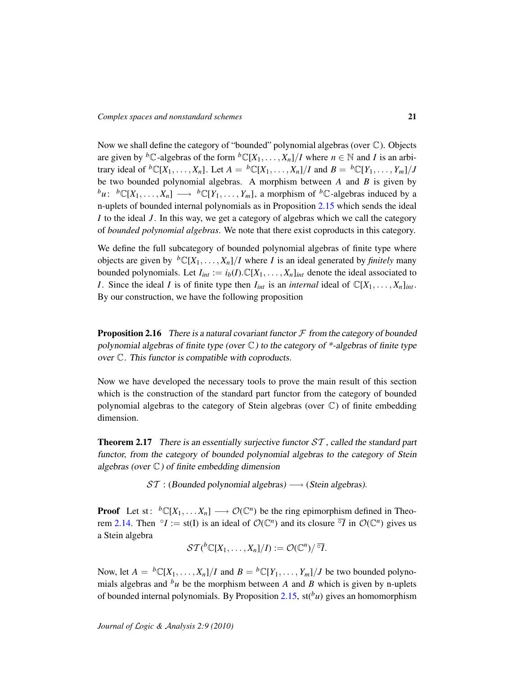Now we shall define the category of "bounded" polynomial algebras (over C). Objects are given by <sup>*b*</sup>C-algebras of the form  ${}^bC[X_1, \ldots, X_n]/I$  where  $n \in \mathbb{N}$  and *I* is an arbitrary ideal of  ${}^b\mathbb{C}[X_1,\ldots,X_n]$ . Let  $A = {}^b\mathbb{C}[X_1,\ldots,X_n]/I$  and  $B = {}^b\mathbb{C}[Y_1,\ldots,Y_m]/J$ be two bounded polynomial algebras. A morphism between *A* and *B* is given by  ${}^b u$ :  ${}^b \mathbb{C}[X_1, \ldots, X_n] \longrightarrow {}^b \mathbb{C}[Y_1, \ldots, Y_m]$ , a morphism of  ${}^b \mathbb{C}$ -algebras induced by a n-uplets of bounded internal polynomials as in Proposition [2.15](#page-19-1) which sends the ideal *I* to the ideal *J* . In this way, we get a category of algebras which we call the category of *bounded polynomial algebras*. We note that there exist coproducts in this category.

We define the full subcategory of bounded polynomial algebras of finite type where objects are given by  ${}^b\mathbb{C}[X_1,\ldots,X_n]/I$  where *I* is an ideal generated by *finitely* many bounded polynomials. Let  $I_{int} := i_b(I) \cdot \mathbb{C}[X_1, \ldots, X_n]_{int}$  denote the ideal associated to *I*. Since the ideal *I* is of finite type then  $I_{int}$  is an *internal* ideal of  $\mathbb{C}[X_1, \ldots, X_n]_{int}$ . By our construction, we have the following proposition

**Proposition 2.16** There is a natural covariant functor  $\mathcal F$  from the category of bounded polynomial algebras of finite type (over  $\mathbb C$ ) to the category of \*-algebras of finite type over C. This functor is compatible with coproducts.

Now we have developed the necessary tools to prove the main result of this section which is the construction of the standard part functor from the category of bounded polynomial algebras to the category of Stein algebras (over C) of finite embedding dimension.

<span id="page-20-0"></span>**Theorem 2.17** There is an essentially surjective functor  $ST$ , called the standard part functor, from the category of bounded polynomial algebras to the category of Stein algebras (over  $\mathbb{C}$ ) of finite embedding dimension

 $ST$  : (Bounded polynomial algebras)  $\longrightarrow$  (Stein algebras).

**Proof** Let st:  ${}^b\mathbb{C}[X_1,\ldots,X_n] \longrightarrow \mathcal{O}(\mathbb{C}^n)$  be the ring epimorphism defined in Theo-rem [2.14.](#page-17-0) Then  $\circ I := \text{st}(I)$  is an ideal of  $\mathcal{O}(\mathbb{C}^n)$  and its closure  $\overline{\circ I}$  in  $\mathcal{O}(\mathbb{C}^n)$  gives us a Stein algebra

$$
\mathcal{ST}({}^b\mathbb{C}[X_1,\ldots,X_n]/I):=\mathcal{O}(\mathbb{C}^n)/\overline{{}^\circ I}.
$$

Now, let  $A = {}^b\mathbb{C}[X_1, \dots, X_n]/I$  and  $B = {}^b\mathbb{C}[Y_1, \dots, Y_m]/J$  be two bounded polynomials algebras and  $^b u$  be the morphism between *A* and *B* which is given by n-uplets of bounded internal polynomials. By Proposition [2.15,](#page-19-1)  $st(^b u)$  gives an homomorphism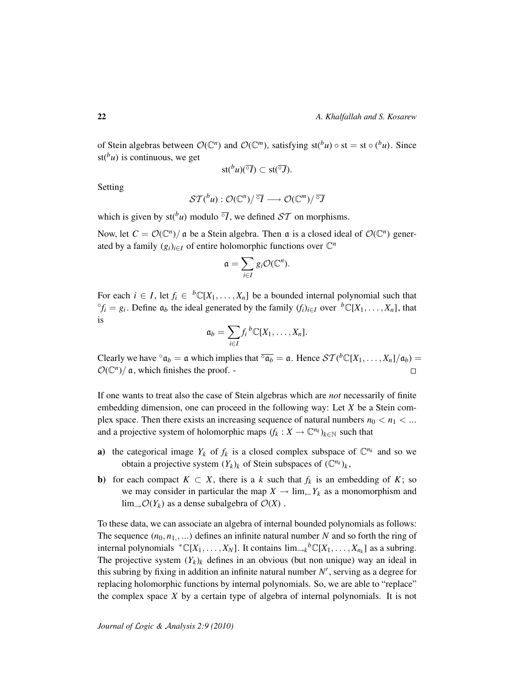of Stein algebras between  $O(\mathbb{C}^n)$  and  $O(\mathbb{C}^m)$ , satisfying st( $^b u$ )  $\circ$  st = st  $\circ$  ( $^b u$ ). Since st( $^b u$ ) is continuous, we get

$$
st({}^b u)(\overline{{}^\circ I})\subset st(\overline{{}^\circ J}).
$$

Setting

$$
\mathcal{ST}({}^b u) : \mathcal{O}(\mathbb{C}^n)/{}^{\overline{\circ}} I \longrightarrow \mathcal{O}(\mathbb{C}^m)/{}^{\overline{\circ}} J
$$

which is given by  $st(^b u)$  modulo  $\overline{I}$ , we defined  $ST$  on morphisms.

Now, let  $C = \mathcal{O}(\mathbb{C}^n)/\mathfrak{a}$  be a Stein algebra. Then  $\mathfrak{a}$  is a closed ideal of  $\mathcal{O}(\mathbb{C}^n)$  generated by a family  $(g_i)_{i \in I}$  of entire holomorphic functions over  $\mathbb{C}^n$ 

$$
\mathfrak{a}=\sum_{i\in I}g_i\mathcal{O}(\mathbb{C}^n).
$$

For each  $i \in I$ , let  $f_i \in {}^b\mathbb{C}[X_1,\ldots,X_n]$  be a bounded internal polynomial such that  ${}^{\circ}f_i = g_i$ . Define  $\mathfrak{a}_b$  the ideal generated by the family  $(f_i)_{i \in I}$  over  ${}^b\mathbb{C}[X_1, \ldots, X_n]$ , that is

$$
\mathfrak{a}_b = \sum_{i \in I} f_i{}^b \mathbb{C}[X_1,\ldots,X_n].
$$

Clearly we have  $\alpha_b = \mathfrak{a}$  which implies that  $\overline{\alpha_b} = \mathfrak{a}$ . Hence  $\mathcal{ST}({}^b\mathbb{C}[X_1,\ldots,X_n]/\mathfrak{a}_b) =$  $\mathcal{O}(\mathbb{C}^n)/\mathfrak{a}$ , which finishes the proof. - $\Box$ 

If one wants to treat also the case of Stein algebras which are *not* necessarily of finite embedding dimension, one can proceed in the following way: Let *X* be a Stein complex space. Then there exists an increasing sequence of natural numbers  $n_0 < n_1 < ...$ and a projective system of holomorphic maps  $(f_k : X \to \mathbb{C}^{n_k})_{k \in \mathbb{N}}$  such that

- a) the categorical image  $Y_k$  of  $f_k$  is a closed complex subspace of  $\mathbb{C}^{n_k}$  and so we obtain a projective system  $(Y_k)_k$  of Stein subspaces of  $(\mathbb{C}^{n_k})_k$ ,
- **b**) for each compact  $K \subset X$ , there is a *k* such that  $f_k$  is an embedding of K; so we may consider in particular the map  $X \to \lim_{k \to \infty} Y_k$  as a monomorphism and  $\lim_{\longrightarrow} \mathcal{O}(Y_k)$  as a dense subalgebra of  $\mathcal{O}(X)$ .

To these data, we can associate an algebra of internal bounded polynomials as follows: The sequence  $(n_0, n_1, ...)$  defines an infinite natural number *N* and so forth the ring of internal polynomials  ${}^*{\mathbb C}[X_1,\ldots,X_N]$ . It contains  $\lim_{x\to k}{}^b{\mathbb C}[X_1,\ldots,X_{n_k}]$  as a subring. The projective system  $(Y_k)_k$  defines in an obvious (but non unique) way an ideal in this subring by fixing in addition an infinite natural number  $N'$ , serving as a degree for replacing holomorphic functions by internal polynomials. So, we are able to "replace" the complex space *X* by a certain type of algebra of internal polynomials. It is not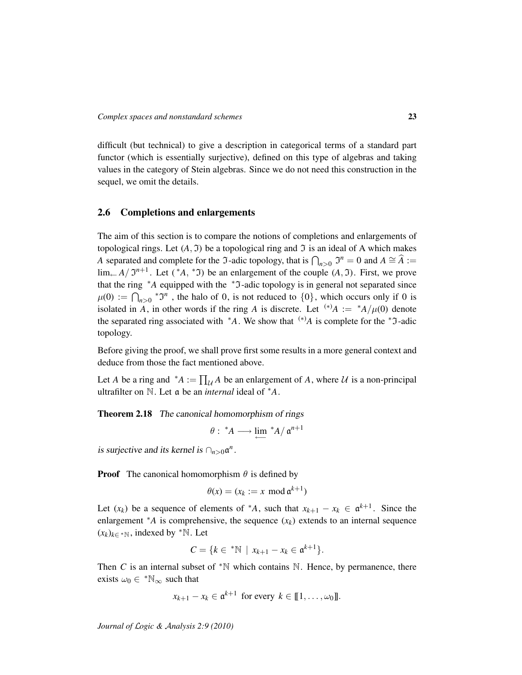difficult (but technical) to give a description in categorical terms of a standard part functor (which is essentially surjective), defined on this type of algebras and taking values in the category of Stein algebras. Since we do not need this construction in the sequel, we omit the details.

# <span id="page-22-0"></span>2.6 Completions and enlargements

The aim of this section is to compare the notions of completions and enlargements of topological rings. Let  $(A, \mathfrak{I})$  be a topological ring and  $\mathfrak{I}$  is an ideal of A which makes *A* separated and complete for the  $\Im$ -adic topology, that is  $\bigcap_{n>0} \Im^n = 0$  and  $A \cong \widehat{A} :=$  $\lim_{\leftarrow} A / \mathfrak{I}^{n+1}$ . Let (\*A, \*J) be an enlargement of the couple  $(A, \mathfrak{I})$ . First, we prove that the ring <sup>∗</sup>A equipped with the <sup>∗</sup>J-adic topology is in general not separated since  $\mu(0) := \bigcap_{n>0} {}^* \mathfrak{I}^n$ , the halo of 0, is not reduced to  $\{0\}$ , which occurs only if 0 is isolated in *A*, in other words if the ring *A* is discrete. Let <sup>(\*)</sup>*A* :=  $^{*}A/\mu(0)$  denote the separated ring associated with  $*A$ . We show that  $(*)A$  is complete for the  $*J$ -adic topology.

Before giving the proof, we shall prove first some results in a more general context and deduce from those the fact mentioned above.

Let *A* be a ring and  $^*A := \prod_{\mathcal{U}} A$  be an enlargement of *A*, where *U* is a non-principal ultrafilter on N. Let a be an *internal* ideal of <sup>∗</sup>*A*.

<span id="page-22-1"></span>Theorem 2.18 The canonical homomorphism of rings

$$
\theta: \ ^{\ast}\!A\longrightarrow \lim\limits_{\longleftarrow} \ ^{\ast}\!A/\ \mathfrak{a}^{n+1}
$$

is surjective and its kernel is  $\bigcap_{n>0} \mathfrak{a}^n$ .

**Proof** The canonical homomorphism  $\theta$  is defined by

$$
\theta(x) = (x_k := x \mod \mathfrak{a}^{k+1})
$$

Let  $(x_k)$  be a sequence of elements of  $^*A$ , such that  $x_{k+1} - x_k \in \mathfrak{a}^{k+1}$ . Since the enlargement  $*$ *A* is comprehensive, the sequence  $(x_k)$  extends to an internal sequence  $(x_k)_{k \in \mathcal{N}}$ , indexed by <sup>∗</sup>N. Let

$$
C = \{k \in {}^*\mathbb{N} \mid x_{k+1} - x_k \in \mathfrak{a}^{k+1}\}.
$$

Then *C* is an internal subset of  $*N$  which contains N. Hence, by permanence, there exists  $\omega_0 \in {^*\mathbb{N}_{\infty}}$  such that

$$
x_{k+1} - x_k \in \mathfrak{a}^{k+1} \text{ for every } k \in [\![1, \ldots, \omega_0]\!].
$$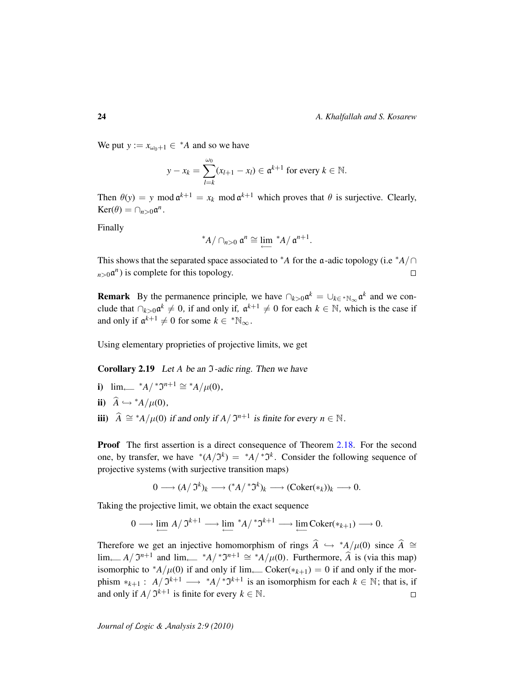We put  $y := x_{\omega_0+1} \in {}^*A$  and so we have

$$
y - x_k = \sum_{l=k}^{\omega_0} (x_{l+1} - x_l) \in \mathfrak{a}^{k+1} \text{ for every } k \in \mathbb{N}.
$$

Then  $\theta(y) = y \mod \mathfrak{a}^{k+1} = x_k \mod \mathfrak{a}^{k+1}$  which proves that  $\theta$  is surjective. Clearly,  $\text{Ker}(\theta) = \bigcap_{n>0} a^n$ .

Finally

$$
^*A/\cap_{n>0}\mathfrak{a}^n\cong\lim_{\longleftarrow}{}^*A/\mathfrak{a}^{n+1}.
$$

This shows that the separated space associated to \**A* for the  $\alpha$ -adic topology (i.e \* $A/\cap$  $n>0$  $\mathfrak{a}^n$ ) is complete for this topology.  $\Box$ 

**Remark** By the permanence principle, we have  $\bigcap_{k>0} \alpha^k = \bigcup_{k \in \{1, \ldots, k\}} \alpha^k$  and we conclude that  $\bigcap_{k>0} \mathfrak{a}^k \neq 0$ , if and only if,  $\mathfrak{a}^{k+1} \neq 0$  for each  $k \in \mathbb{N}$ , which is the case if and only if  $\mathfrak{a}^{k+1} \neq 0$  for some  $k \in {}^{\ast} \mathbb{N}_{\infty}$ .

Using elementary proprieties of projective limits, we get

**Corollary 2.19** Let *A* be an *J*-adic ring. Then we have

- **i**)  $\lim_{n \to \infty}$  \*A/ \*J<sup>n+1</sup> ≅ \*A/ $\mu$ (0),
- ii)  $\widehat{A} \hookrightarrow {^*A}/\mu(0)$ ,
- iii)  $\hat{A} \cong$  \**A*/ $\mu$ (0) if and only if *A*/  $\mathfrak{I}^{n+1}$  is finite for every *n* ∈ N.

**Proof** The first assertion is a direct consequence of Theorem [2.18.](#page-22-1) For the second one, by transfer, we have  $*(A/\mathfrak{I}^k) = *A/*\mathfrak{I}^k$ . Consider the following sequence of projective systems (with surjective transition maps)

$$
0 \longrightarrow (A/\mathfrak{I}^k)_k \longrightarrow ({}^*A/{}^*\mathfrak{I}^k)_k \longrightarrow (\mathrm{Coker}(*_k))_k \longrightarrow 0.
$$

Taking the projective limit, we obtain the exact sequence

$$
0 \longrightarrow \lim_{\longleftarrow} A / \mathfrak{I}^{k+1} \longrightarrow \lim_{\longleftarrow} {}^*A / {}^* \mathfrak{I}^{k+1} \longrightarrow \lim_{\longleftarrow} \mathrm{Coker}({*}_{k+1}) \longrightarrow 0.
$$

Therefore we get an injective homomorphism of rings  $\hat{A} \hookrightarrow$  \* $A/\mu(0)$  since  $\hat{A} \cong$ lim<sub>←</sub>− $A/\mathfrak{I}^{n+1}$  and lim<sub>←</sub>− \* $A/\mathfrak{I}^{n+1} \cong$  \* $A/\mu(0)$ . Furthermore,  $\hat{A}$  is (via this map) isomorphic to \* $A/\mu(0)$  if and only if lim<sub>←−</sub> Coker(\* $k+1$ ) = 0 if and only if the morphism  $*_{k+1}$ : *A*/  $\mathfrak{I}^{k+1}$  →  $*_{A}/\mathfrak{I}^{k+1}$  is an isomorphism for each  $k \in \mathbb{N}$ ; that is, if and only if  $A / \mathfrak{I}^{k+1}$  is finite for every  $k \in \mathbb{N}$ .  $\Box$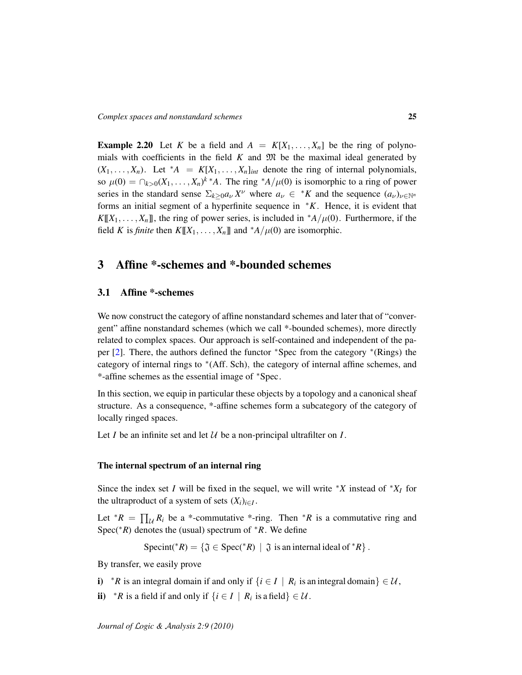**Example 2.20** Let *K* be a field and  $A = K[X_1, \ldots, X_n]$  be the ring of polynomials with coefficients in the field  $K$  and  $\mathfrak{M}$  be the maximal ideal generated by  $(X_1, \ldots, X_n)$ . Let \*A =  $K[X_1, \ldots, X_n]_{int}$  denote the ring of internal polynomials, so  $\mu(0) = \bigcap_{k>0} (X_1, \ldots, X_n)^k$ <sup>\*</sup>*A*. The ring <sup>\*</sup>*A*/ $\mu(0)$  is isomorphic to a ring of power series in the standard sense  $\Sigma_{k\geq 0} a_{\nu} X^{\nu}$  where  $a_{\nu} \in {}^*K$  and the sequence  $(a_{\nu})_{\nu \in \mathbb{N}^n}$ forms an initial segment of a hyperfinite sequence in <sup>∗</sup>*K*. Hence, it is evident that  $K[[X_1,\ldots,X_n]]$ , the ring of power series, is included in  $^*A/\mu(0)$ . Furthermore, if the field *K* is *finite* then  $K[[X_1, \ldots, X_n]]$  and  $^*A/\mu(0)$  are isomorphic.

# <span id="page-24-0"></span>3 Affine \*-schemes and \*-bounded schemes

# <span id="page-24-1"></span>3.1 Affine \*-schemes

We now construct the category of affine nonstandard schemes and later that of "convergent" affine nonstandard schemes (which we call \*-bounded schemes), more directly related to complex spaces. Our approach is self-contained and independent of the pa-per [\[2\]](#page-58-11). There, the authors defined the functor \*Spec from the category \*(Rings) the category of internal rings to <sup>∗</sup> (Aff. Sch), the category of internal affine schemes, and \*-affine schemes as the essential image of <sup>∗</sup>Spec.

In this section, we equip in particular these objects by a topology and a canonical sheaf structure. As a consequence, \*-affine schemes form a subcategory of the category of locally ringed spaces.

Let *I* be an infinite set and let  $U$  be a non-principal ultrafilter on *I*.

### The internal spectrum of an internal ring

Since the index set *I* will be fixed in the sequel, we will write  $*X$  instead of  $*X$ *I* for the ultraproduct of a system of sets  $(X_i)_{i \in I}$ .

Let  $^*R = \prod_{\mathcal{U}} R_i$  be a \*-commutative \*-ring. Then  $^*R$  is a commutative ring and Spec(∗*R*) denotes the (usual) spectrum of <sup>∗</sup>*R*. We define

Specint(\**R*) = { $\mathfrak{J} \in \text{Spec}({}^*R) \mid \mathfrak{J}$  is an internal ideal of  ${}^*R$  }.

By transfer, we easily prove

- i)  $*R$  is an integral domain if and only if  $\{i \in I \mid R_i \text{ is an integral domain}\}\in \mathcal{U}$ ,
- ii)  $*R$  is a field if and only if  $\{i \in I \mid R_i \text{ is a field}\}\in \mathcal{U}$ .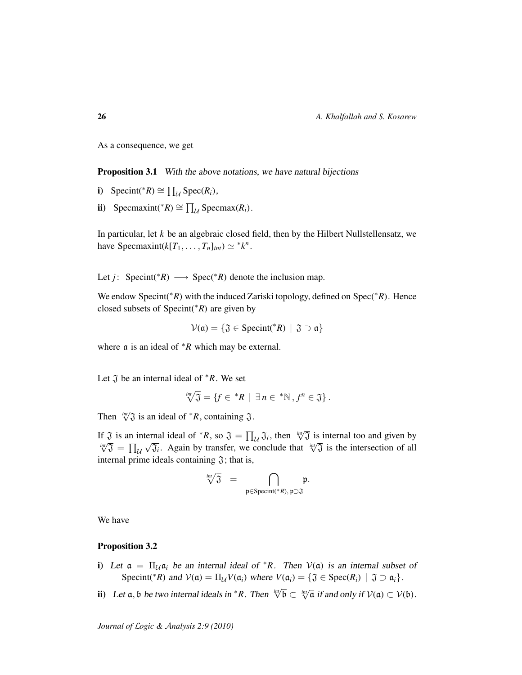As a consequence, we get

**Proposition 3.1** With the above notations, we have natural bijections

- i) Specint(\**R*)  $\cong \prod_{\mathcal{U}} \text{Spec}(R_i)$ ,
- ii) Specmaxint(\**R*)  $\cong \prod_{\mathcal{U}}$  Specmax(*R<sub>i</sub>*).

In particular, let *k* be an algebraic closed field, then by the Hilbert Nullstellensatz, we have Specmaxint( $k[T_1, \ldots, T_n]_{int} \simeq {}^*k^n$ .

Let *j*: Specint(\**R*)  $\longrightarrow$  Spec(\**R*) denote the inclusion map.

We endow Specint(∗*R*) with the induced Zariski topology, defined on Spec(∗*R*). Hence closed subsets of Specint(∗*R*) are given by

$$
\mathcal{V}(\mathfrak{a}) = \{ \mathfrak{J} \in Specint(^*R) \mid \mathfrak{J} \supset \mathfrak{a} \}
$$

where a is an ideal of <sup>∗</sup>*R* which may be external.

Let  $\tilde{J}$  be an internal ideal of  $*R$ . We set

$$
\sqrt[!]{\pi}\sqrt[3]{3} = \{f \in {^*}R \mid \exists n \in {^*}\mathbb{N}, f^n \in \mathfrak{J}\}.
$$

Then  $\sqrt[m]{3}$  is an ideal of  $*R$ , containing  $\mathfrak{J}$ .

If  $\mathfrak{J}$  is an internal ideal of  $*R$ , so  $\mathfrak{J} = \prod_{\mathcal{U}} \mathfrak{J}_i$ , then  $\sqrt[m]{\mathfrak{J}}$  is internal too and given by  $\int_{\sqrt{3}}^{i\pi/3}$  is an internal idea of *K*, so  $\sqrt{3} - \prod_{\ell} \sqrt{3}i$ , then  $\sqrt{3}$  is internal too and given by  $\sqrt{3} = \prod_{\ell} \sqrt{3}i$ . Again by transfer, we conclude that  $\sqrt[n]{3}$  is the intersection of all internal prime ideals containing  $\mathfrak{J}$ ; that is,

$$
\sqrt[int]{\mathfrak{J}}\quad =\quad \bigcap_{\mathfrak{p}\in \text{Specint}(\mathscr{F}R),\, \mathfrak{p}\supset \mathfrak{J}}\mathfrak{p}.
$$

We have

### Proposition 3.2

- i) Let  $\alpha = \prod_{\mathcal{U}} \alpha_i$  be an internal ideal of \**R*. Then  $\mathcal{V}(\alpha)$  is an internal subset of Specint(\**R*) and  $V(\mathfrak{a}) = \prod_{\mathcal{U}} V(\mathfrak{a}_i)$  where  $V(\mathfrak{a}_i) = \{ \mathfrak{J} \in \text{Spec}(R_i) \mid \mathfrak{J} \supset \mathfrak{a}_i \}.$
- ii) Let  $\mathfrak{a}, \mathfrak{b}$  be two internal ideals in \**R*. Then  $\sqrt[n]{\mathfrak{b}} \subset \sqrt[n]{\mathfrak{a}}$  if and only if  $\mathcal{V}(\mathfrak{a}) \subset \mathcal{V}(\mathfrak{b})$ .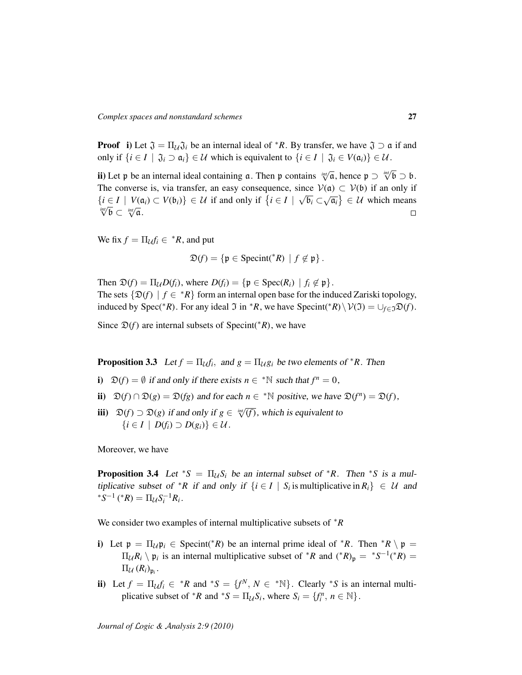**Proof** i) Let  $\mathfrak{J} = \Pi_{\mathcal{U}} \mathfrak{J}_i$  be an internal ideal of \**R*. By transfer, we have  $\mathfrak{J} \supset \mathfrak{a}$  if and only if  $\{i \in I \mid \mathfrak{J}_i \supset \mathfrak{a}_i\}$  ∈  $\mathcal U$  which is equivalent to  $\{i \in I \mid \mathfrak{J}_i \in V(\mathfrak{a}_i)\}$  ∈  $\mathcal U$ .

**ii**) Let p be an internal ideal containing  $\bf{a}$ . Then p contains  $\psi \overline{\bf{a}}$ , hence  $\bf{p} \supset \psi' \overline{\bf{b}} \supset \bf{b}$ . The converse is, via transfer, an easy consequence, since  $V(\mathfrak{a}) \subset V(\mathfrak{b})$  if an only if *int*<sup>*i*</sup> ∠ *i V*( $\alpha$ <sup>*i*</sup>) ⊂ *V*( $\beta$ <sub>*i*</sub>)</sub> ∈ *U* if and only if  $\{i \in I \mid \sqrt{\mathfrak{b}_i} \subset \sqrt{\mathfrak{a}_i}\}\in \mathcal{U}$  which means  $\lim_{i \to \infty} \sqrt{\mathfrak{c}_i}$  if  $\alpha$  if and only if  $\{i \in I \mid \sqrt{\mathfrak{b}_i} \subset \sqrt{\mathfrak{a}_i}\}\in \mathcal{U}$  whic  $\overline{\mathfrak{b}} \subset \sqrt[\text{int}]{\mathfrak{a}}.$  $\Box$ 

We fix  $f = \prod_{\mathcal{U}} f_i \in {^*}R$ , and put

$$
\mathfrak{D}(f) = \{ \mathfrak{p} \in \text{Specint}({}^*R) \mid f \notin \mathfrak{p} \}.
$$

Then  $\mathfrak{D}(f) = \prod_{\mathcal{U}} D(f_i)$ , where  $D(f_i) = \{ \mathfrak{p} \in \text{Spec}(R_i) \mid f_i \notin \mathfrak{p} \}.$ The sets  $\{\mathfrak{D}(f) \mid f \in {}^*R\}$  form an internal open base for the induced Zariski topology, induced by Spec(\**R*). For any ideal  $\Im$  in \**R*, we have Specint(\**R*)\ $V(\Im) = \bigcup_{f \in \Im} \Im(f)$ .

Since  $\mathfrak{D}(f)$  are internal subsets of Specint( $*R$ ), we have

**Proposition 3.3** Let  $f = \prod_{\mathcal{U}} f_i$ , and  $g = \prod_{\mathcal{U}} g_i$  be two elements of  ${}^*R$ . Then

- i)  $\mathfrak{D}(f) = \emptyset$  if and only if there exists  $n \in \mathbb{N}$  such that  $f^n = 0$ ,
- ii)  $\mathfrak{D}(f) \cap \mathfrak{D}(g) = \mathfrak{D}(fg)$  and for each  $n \in \mathbb{N}$  positive, we have  $\mathfrak{D}(f^n) = \mathfrak{D}(f)$ ,
- iii)  $\mathfrak{D}(f) \supset \mathfrak{D}(g)$  if and only if *g* ∈  $\sqrt[m]{f}$ , which is equivalent to  $\{i \in I \mid D(f_i) \supset D(g_i)\} \in \mathcal{U}$ .

Moreover, we have

**Proposition 3.4** Let \**S* =  $\Pi_{\mathcal{U}}S_i$  be an internal subset of \**R*. Then \**S* is a multiplicative subset of \**R* if and only if  $\{i \in I \mid S_i \text{ is multiplicative in } R_i\} \in \mathcal{U}$  and  ${}^{*}S^{-1}$  ( ${}^{*}R$ ) =  $\Pi_{\mathcal{U}}S_{i}^{-1}R_{i}$ .

We consider two examples of internal multiplicative subsets of <sup>∗</sup>*R*

- i) Let  $p = \prod_{\mathcal{U}} p_i \in \text{Specint}(*R)$  be an internal prime ideal of \**R*. Then \**R* \  $p =$  $\Pi_{\mathcal{U}}R_i \setminus \mathfrak{p}_i$  is an internal multiplicative subset of \**R* and (\**R*)<sub>p</sub> = \**S*<sup>-1</sup>(\**R*) =  $\Pi_{\mathcal{U}}\left(R_{i}\right)_{\mathfrak{p}_{i}}.$
- ii) Let  $f = \Pi_{\mathcal{U}} f_i \in {}^*R$  and  ${}^*S = {f^N, N \in {}^*N}$ . Clearly  ${}^*S$  is an internal multiplicative subset of \**R* and \**S* =  $\Pi_{\mathcal{U}} S_i$ , where  $S_i = \{f_i^n, n \in \mathbb{N}\}.$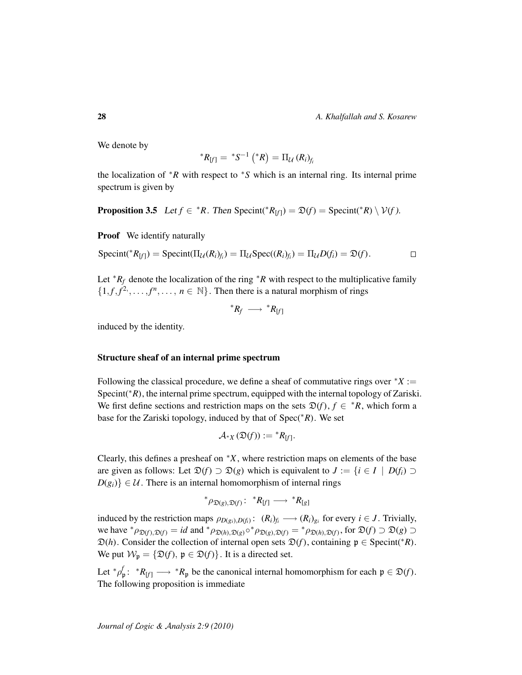28 *A. Khalfallah and S. Kosarew*

We denote by

$$
{}^*R_{[f]}={}^*S^{-1}\left({}^*R\right)=\Pi_{\mathcal{U}}\left(R_{i}\right)_{f_{i}}
$$

the localization of  $*R$  with respect to  $*S$  which is an internal ring. Its internal prime spectrum is given by

**Proposition 3.5** Let  $f \in {}^*R$ . Then Specint( ${}^*R_{[f]}$ ) =  $\mathfrak{D}(f)$  = Specint( ${}^*R$ ) \  $\mathcal{V}(f)$ .

**Proof** We identify naturally

$$
Specint({^*}R_{[f]}) = Specint(\Pi_{\mathcal{U}}(R_i)_{f_i}) = \Pi_{\mathcal{U}}Spec((R_i)_{f_i}) = \Pi_{\mathcal{U}}D(f_i) = \mathfrak{D}(f).
$$

Let  $*R_f$  denote the localization of the ring  $*R$  with respect to the multiplicative family  $\{1, f, f^2, \ldots, f^n, \ldots, n \in \mathbb{N}\}\.$  Then there is a natural morphism of rings

$$
^*R_f \ \longrightarrow \ ^*R_{[f]}
$$

induced by the identity.

### Structure sheaf of an internal prime spectrum

Following the classical procedure, we define a sheaf of commutative rings over  $X :=$ Specint(<sup>\*</sup>*R*), the internal prime spectrum, equipped with the internal topology of Zariski. We first define sections and restriction maps on the sets  $\mathfrak{D}(f)$ ,  $f \in {^*R}$ , which form a base for the Zariski topology, induced by that of Spec(∗*R*). We set

$$
\mathcal{A}_{*X}(\mathfrak{D}(f)) := {}^{*}R_{[f]}.
$$

Clearly, this defines a presheaf on <sup>∗</sup>*X*, where restriction maps on elements of the base are given as follows: Let  $\mathfrak{D}(f) \supset \mathfrak{D}(g)$  which is equivalent to  $J := \{i \in I \mid D(f_i) \supset \mathfrak{D}(f_i) \}$  $D(g_i)$   $\in \mathcal{U}$ . There is an internal homomorphism of internal rings

$$
^*\rho_{\mathfrak{D}(g),\mathfrak{D}(f)}\colon~^*R_{[f]}\longrightarrow~^*R_{[g]}
$$

induced by the restriction maps  $\rho_{D(g_i),D(f_i)}$ :  $(R_i)_{f_i} \longrightarrow (R_i)_{g_i}$  for every  $i \in J$ . Trivially, we have  ${}^*\rho_{\mathfrak{D}(f),\mathfrak{D}(f)} = id$  and  ${}^*\rho_{\mathfrak{D}(h),\mathfrak{D}(g)} \circ {}^*\rho_{\mathfrak{D}(g),\mathfrak{D}(f)} = {}^*\rho_{\mathfrak{D}(h),\mathfrak{D}(f)}$ , for  $\mathfrak{D}(f) \supset \mathfrak{D}(g) \supset$  $\mathfrak{D}(h)$ . Consider the collection of internal open sets  $\mathfrak{D}(f)$ , containing  $\mathfrak{p} \in \text{Specint}(*R)$ . We put  $W_p = \{ \mathfrak{D}(f), \, \mathfrak{p} \in \mathfrak{D}(f) \}$ . It is a directed set.

Let  ${}^*\rho_p^f$ :  ${}^*R_{[f]} \longrightarrow {}^*R_p$  be the canonical internal homomorphism for each  $\mathfrak{p} \in \mathfrak{D}(f)$ . The following proposition is immediate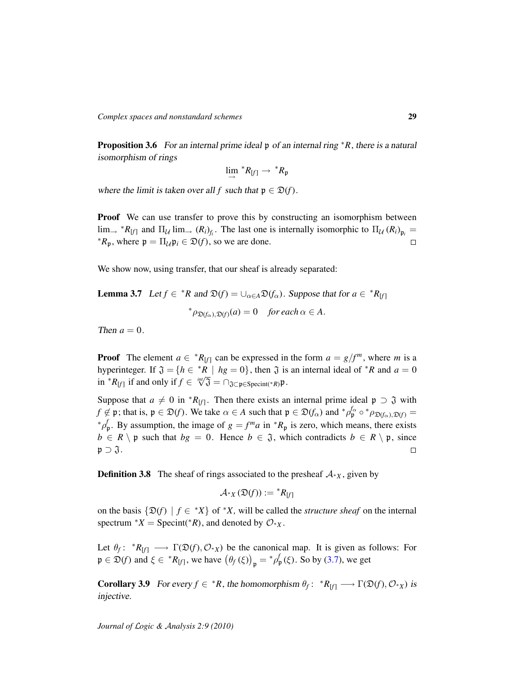Proposition 3.6 For an internal prime ideal p of an internal ring <sup>∗</sup>*R*, there is a natural isomorphism of rings

$$
\lim_{\longrightarrow}{}^*R_{[f]} \longrightarrow {}^*R_{\mathfrak{p}}
$$

where the limit is taken over all *f* such that  $p \in \mathcal{D}(f)$ .

**Proof** We can use transfer to prove this by constructing an isomorphism between  $\lim_{x \to \infty} {}^*R_{[f]}$  and  $\Pi_{\mathcal{U}} \lim_{x \to \infty} (R_i)_{f_i}$ . The last one is internally isomorphic to  $\Pi_{\mathcal{U}} (R_i)_{p_i} =$  ${}^*R_p$ , where  $p = \prod_{\mathcal{U}} p_i \in \mathfrak{D}(f)$ , so we are done.

We show now, using transfer, that our sheaf is already separated:

<span id="page-28-0"></span>**Lemma 3.7** Let  $f \in {^*R}$  and  $\mathfrak{D}(f) = \bigcup_{\alpha \in A} \mathfrak{D}(f_\alpha)$ . Suppose that for  $a \in {^*R}_{[f]}$  ${}^*\rho_{\mathfrak{D}(f_\alpha),\mathfrak{D}(f)}(a) = 0$  *for each*  $\alpha \in A$ .

Then  $a = 0$ .

**Proof** The element  $a \in {^*R}_{[f]}$  can be expressed in the form  $a = g/f^m$ , where *m* is a hyperinteger. If  $\mathfrak{J} = \{h \in {}^*R \mid hg = 0\}$ , then  $\mathfrak{J}$  is an internal ideal of  ${}^*R$  and  $a = 0$ in *\*R*<sub>[*f*</sub>] if and only if  $f \in \sqrt[m]{3} = \bigcap_{\mathfrak{J} \subset \mathfrak{p} \in \text{Specint}(\sqrt[k]{R})}$ .

Suppose that  $a \neq 0$  in  ${}^*R_{[f]}$ . Then there exists an internal prime ideal  $\mathfrak{p} \supset \mathfrak{J}$  with  $f \notin \mathfrak{p}$ ; that is,  $\mathfrak{p} \in \mathfrak{D}(f)$ . We take  $\alpha \in A$  such that  $\mathfrak{p} \in \mathfrak{D}(f_\alpha)$  and  ${}^*\rho_{\mathfrak{p}}^f \circ {}^*\rho_{\mathfrak{D}(f_\alpha),\mathfrak{D}(f)} =$ <sup>\*</sup> $ρ$ <sup>*f*</sup></sup> $<sup>1</sup>$ , By assumption, the image of *g* = *f*<sup>*m*</sup>*a* in <sup>\*</sup>*R*<sub>p</sub> is zero, which means, there exists</sup>  $b \in R \setminus \mathfrak{p}$  such that  $bg = 0$ . Hence  $b \in \mathfrak{J}$ , which contradicts  $b \in R \setminus \mathfrak{p}$ , since  $\mathfrak{p} \supset \mathfrak{J}.$  $\Box$ 

**Definition 3.8** The sheaf of rings associated to the presheaf  $A<sup>*</sup><sub>X</sub>$ , given by

$$
\mathcal{A}_{*X}(\mathfrak{D}(f)) := {}^{*}R_{[f]}
$$

on the basis  $\{\mathfrak{D}(f) \mid f \in {}^*X\}$  of  ${}^*X$ , will be called the *structure sheaf* on the internal spectrum  $*X$  = Specint( $*R$ ), and denoted by  $\mathcal{O}_{*X}$ .

Let  $\theta_f: {}^*R_{[f]} \longrightarrow \Gamma(\mathfrak{D}(f), \mathcal{O}_{*X})$  be the canonical map. It is given as follows: For  $\mathfrak{p} \in \mathfrak{D}(f)$  and  $\xi \in {^*R}_{[f]}$ , we have  $(\theta_f(\xi))_{\mathfrak{p}} = {^*{\rho}^f_{\mathfrak{p}}}(\xi)$ . So by [\(3.7\)](#page-28-0), we get

**Corollary 3.9** For every  $f \in {^*R}$ , the homomorphism  $\theta_f: {^*R}_{[f]} \longrightarrow \Gamma(\mathfrak{D}(f), \mathcal{O}_{*X})$  is injective.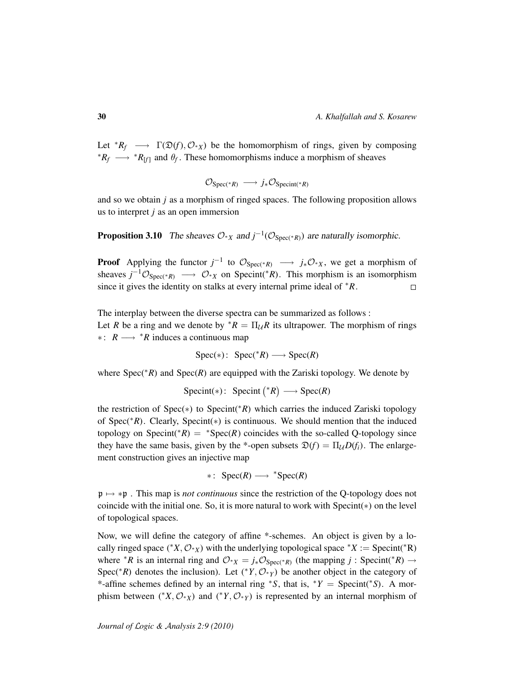Let  $*R_f \longrightarrow \Gamma(\mathfrak{D}(f), \mathcal{O}_{*X})$  be the homomorphism of rings, given by composing <sup>\*</sup> $R_f \longrightarrow$ <sup>\*</sup> $R_{[f]}$  and  $\theta_f$ . These homomorphisms induce a morphism of sheaves

$$
\mathcal{O}_{\text{Spec}(*R)} \longrightarrow j_*\mathcal{O}_{\text{Specint}(*R)}
$$

and so we obtain *j* as a morphism of ringed spaces. The following proposition allows us to interpret *j* as an open immersion

**Proposition 3.10** The sheaves  $O_{*X}$  and  $j^{-1}(O_{Spec(*R)})$  are naturally isomorphic.

**Proof** Applying the functor  $j^{-1}$  to  $\mathcal{O}_{\text{Spec}(*R)} \longrightarrow j_*\mathcal{O}_{*X}$ , we get a morphism of sheaves  $j^{-1}\mathcal{O}_{\text{Spec}(*R)} \longrightarrow \mathcal{O}_{*X}$  on Specint(\**R*). This morphism is an isomorphism since it gives the identity on stalks at every internal prime ideal of <sup>∗</sup>*R*.  $\Box$ 

The interplay between the diverse spectra can be summarized as follows : Let *R* be a ring and we denote by  $*R = \prod_{l} R$  its ultrapower. The morphism of rings ∗ : *R* −→ <sup>∗</sup>*R* induces a continuous map

$$
Spec(*)\colon Spec(^*R)\longrightarrow Spec(R)
$$

where Spec(∗*R*) and Spec(*R*) are equipped with the Zariski topology. We denote by

$$
Specint(*): Specint (*R) \longrightarrow Spec(R)
$$

the restriction of Spec(∗) to Specint(∗*R*) which carries the induced Zariski topology of Spec(∗*R*). Clearly, Specint(∗) is continuous. We should mention that the induced topology on Specint( ${}^*R$ ) =  ${}^*Spec(R)$  coincides with the so-called Q-topology since they have the same basis, given by the \*-open subsets  $\mathfrak{D}(f) = \Pi_{\mathcal{U}} D(f_i)$ . The enlargement construction gives an injective map

$$
* \colon \operatorname{Spec}(R) \longrightarrow {}^* \operatorname{Spec}(R)
$$

p 7→ ∗p . This map is *not continuous* since the restriction of the Q-topology does not coincide with the initial one. So, it is more natural to work with Specint(∗) on the level of topological spaces.

Now, we will define the category of affine \*-schemes. An object is given by a locally ringed space ( $*X, \mathcal{O}_{*X}$ ) with the underlying topological space  $*X :=$  Specint( $*R$ ) where <sup>\*</sup>*R* is an internal ring and  $O_{*X} = j_*O_{Spec(*R)}$  (the mapping *j* : Specint(\**R*) → Spec(<sup>\*</sup>*R*) denotes the inclusion). Let (<sup>\*</sup>*Y*,  $O_{*Y}$ ) be another object in the category of \*-affine schemes defined by an internal ring <sup>∗</sup>*S*, that is, <sup>∗</sup>*Y* = Specint(<sup>∗</sup> *S*). A morphism between (\**X*,  $\mathcal{O}_{*X}$ ) and (\**Y*,  $\mathcal{O}_{*Y}$ ) is represented by an internal morphism of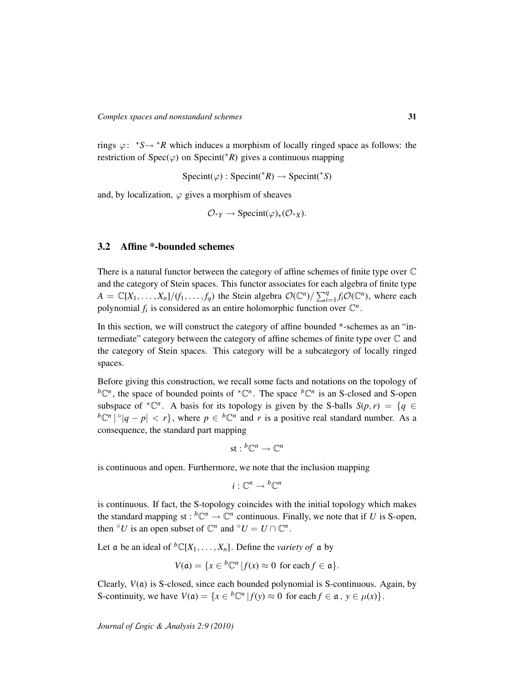rings  $\varphi$ :  $*S \rightarrow *R$  which induces a morphism of locally ringed space as follows: the restriction of  $Spec(\varphi)$  on  $Spec(it^*R)$  gives a continuous mapping

 $Specint(\varphi) : Specint(*R) \rightarrow Specint(*S)$ 

and, by localization,  $\varphi$  gives a morphism of sheaves

$$
\mathcal{O}_{*Y} \to \text{Specint}(\varphi)_*(\mathcal{O}_{*X}).
$$

# <span id="page-30-0"></span>3.2 Affine \*-bounded schemes

There is a natural functor between the category of affine schemes of finite type over C and the category of Stein spaces. This functor associates for each algebra of finite type  $A = \mathbb{C}[X_1, \dots, X_n]/(f_1, \dots, f_q)$  the Stein algebra  $\mathcal{O}(\mathbb{C}^n)/\sum_{i=1}^q f_i\mathcal{O}(\mathbb{C}^n)$ , where each polynomial  $f_i$  is considered as an entire holomorphic function over  $\mathbb{C}^n$ .

In this section, we will construct the category of affine bounded \*-schemes as an "intermediate" category between the category of affine schemes of finite type over  $\mathbb C$  and the category of Stein spaces. This category will be a subcategory of locally ringed spaces.

Before giving this construction, we recall some facts and notations on the topology of  ${}^b\mathbb{C}^n$ , the space of bounded points of  ${}^*\mathbb{C}^n$ . The space  ${}^b\mathbb{C}^n$  is an S-closed and S-open subspace of  ${}^*{\mathbb{C}}^n$ . A basis for its topology is given by the S-balls  $S(p,r) = \{q \in$  ${}^b\mathbb{C}^n \left| \{q - p \right| < r\}$ , where  $p \in {}^b\mathbb{C}^n$  and *r* is a positive real standard number. As a consequence, the standard part mapping

$$
\textup{st} : {^b\mathbb{C}^n} \to \mathbb{C}^n
$$

is continuous and open. Furthermore, we note that the inclusion mapping

$$
i:\mathbb{C}^n\to {^b\mathbb{C}^n}
$$

is continuous. If fact, the S-topology coincides with the initial topology which makes the standard mapping st :  ${}^b\mathbb{C}^n \to \mathbb{C}^n$  continuous. Finally, we note that if *U* is S-open, then  $\circ$ *U* is an open subset of  $\mathbb{C}^n$  and  $\circ$ *U* = *U*  $\cap$   $\mathbb{C}^n$ .

Let a be an ideal of  ${}^bC[X_1, \ldots, X_n]$ . Define the *variety of* a by

$$
V(\mathfrak{a}) = \{ x \in {}^{b}\mathbb{C}^n \, | \, f(x) \approx 0 \text{ for each } f \in \mathfrak{a} \}.
$$

Clearly,  $V(\mathfrak{a})$  is S-closed, since each bounded polynomial is S-continuous. Again, by S-continuity, we have  $V(\mathfrak{a}) = \{x \in {}^{b}\mathbb{C}^n | f(y) \approx 0 \text{ for each } f \in \mathfrak{a}, y \in \mu(x)\}.$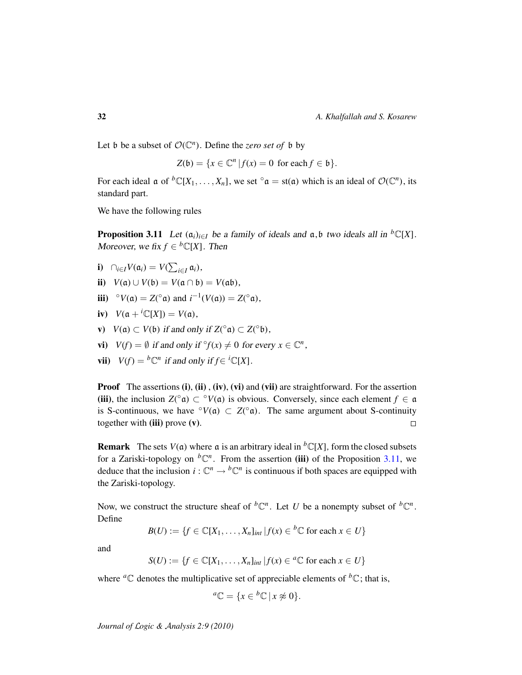Let b be a subset of  $O(\mathbb{C}^n)$ . Define the *zero set of* b by

$$
Z(\mathfrak{b}) = \{x \in \mathbb{C}^n \, | f(x) = 0 \text{ for each } f \in \mathfrak{b}\}.
$$

For each ideal  $\mathfrak{a}$  of  ${}^b\mathbb{C}[X_1,\ldots,X_n]$ , we set  ${}^{\circ}\mathfrak{a} = \text{st}(\mathfrak{a})$  which is an ideal of  $\mathcal{O}(\mathbb{C}^n)$ , its standard part.

We have the following rules

<span id="page-31-0"></span>**Proposition 3.11** Let  $(a_i)_{i \in I}$  be a family of ideals and  $a, b$  two ideals all in <sup>b</sup>C[X]. Moreover, we fix  $f \in {}^{b} \mathbb{C}[X]$ . Then

- **i**)  $\bigcap_{i \in I} V(\mathfrak{a}_i) = V(\sum_{i \in I} \mathfrak{a}_i),$
- ii)  $V(a) \cup V(b) = V(a \cap b) = V(a \mathfrak{b}),$
- iii) ° $V(\mathfrak{a}) = Z({}^{\circ} \mathfrak{a})$  and  $i^{-1}(V(\mathfrak{a})) = Z({}^{\circ} \mathfrak{a})$ ,
- iv)  $V(\mathfrak{a} + {}^{i}\mathbb{C}[X]) = V(\mathfrak{a}),$
- **v**)  $V(\mathfrak{a}) \subset V(\mathfrak{b})$  if and only if  $Z({}^{\circ}\mathfrak{a}) \subset Z({}^{\circ}\mathfrak{b})$ ,
- vi)  $V(f) = \emptyset$  if and only if  $\degree f(x) \neq 0$  for every  $x \in \mathbb{C}^n$ ,
- **vii**)  $V(f) = {}^b\mathbb{C}^n$  if and only if  $f \in {}^i\mathbb{C}[X]$ .

**Proof** The assertions (i), (ii), (iv), (vi) and (vii) are straightforward. For the assertion (iii), the inclusion  $Z({}^{\circ}\mathfrak{a}) \subset {}^{\circ}V(\mathfrak{a})$  is obvious. Conversely, since each element  $f \in \mathfrak{a}$ is S-continuous, we have  $\partial V(\mathfrak{a}) \subset Z(\partial \mathfrak{a})$ . The same argument about S-continuity together with  $(iii)$  prove  $(v)$ .  $\Box$ 

**Remark** The sets  $V(\mathfrak{a})$  where  $\mathfrak{a}$  is an arbitrary ideal in <sup>b</sup>C[X], form the closed subsets for a Zariski-topology on  ${}^b\mathbb{C}^n$ . From the assertion (iii) of the Proposition [3.11,](#page-31-0) we deduce that the inclusion  $i: \mathbb{C}^n \to {^b\mathbb{C}^n}$  is continuous if both spaces are equipped with the Zariski-topology.

Now, we construct the structure sheaf of  ${}^b\mathbb{C}^n$ . Let *U* be a nonempty subset of  ${}^b\mathbb{C}^n$ . Define

$$
B(U) := \{ f \in \mathbb{C}[X_1, \dots, X_n]_{int} | f(x) \in {}^b \mathbb{C} \text{ for each } x \in U \}
$$

and

$$
S(U) := \{ f \in \mathbb{C}[X_1, \dots, X_n]_{int} | f(x) \in {}^a \mathbb{C} \text{ for each } x \in U \}
$$

where <sup>*a*</sup> $\mathbb{C}$  denotes the multiplicative set of appreciable elements of <sup>*b*</sup> $\mathbb{C}$ ; that is,

$$
{}^a\mathbb{C} = \{x \in {}^b\mathbb{C} \mid x \not\approx 0\}.
$$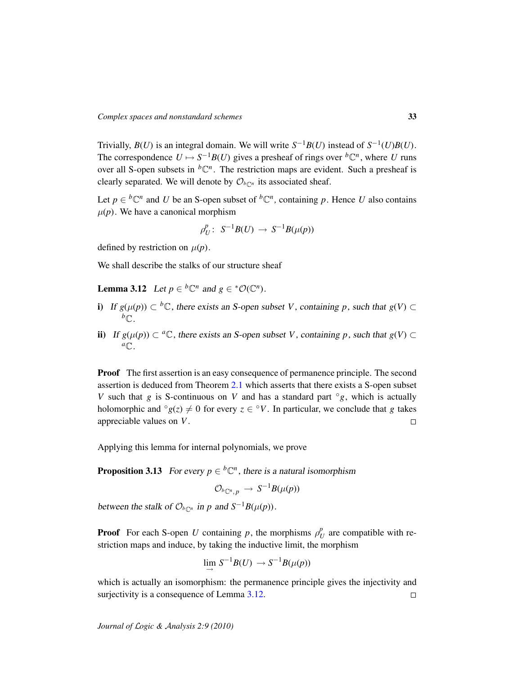Trivially,  $B(U)$  is an integral domain. We will write  $S^{-1}B(U)$  instead of  $S^{-1}(U)B(U)$ . The correspondence  $U \mapsto S^{-1}B(U)$  gives a presheaf of rings over  ${}^b\mathbb{C}^n$ , where *U* runs over all S-open subsets in  ${}^b\mathbb{C}^n$ . The restriction maps are evident. Such a presheaf is clearly separated. We will denote by  $\mathcal{O}_{b\mathbb{C}^n}$  its associated sheaf.

Let  $p \in {}^b\mathbb{C}^n$  and *U* be an S-open subset of  ${}^b\mathbb{C}^n$ , containing *p*. Hence *U* also contains  $\mu(p)$ . We have a canonical morphism

$$
\rho_U^p\colon\thinspace S^{-1}B(U)\to S^{-1}B(\mu(p))
$$

defined by restriction on  $\mu(p)$ .

We shall describe the stalks of our structure sheaf

<span id="page-32-0"></span>**Lemma 3.12** Let  $p \in {}^b\mathbb{C}^n$  and  $g \in {}^*\mathcal{O}(\mathbb{C}^n)$ .

- i) If  $g(\mu(p)) \subset {}^{b}\mathbb{C}$ , there exists an S-open subset *V*, containing *p*, such that  $g(V)$  ⊂  $b$ <sup> $\cap$ </sup>
- ii) If  $g(\mu(p)) \subset {}^a\mathbb{C}$ , there exists an S-open subset *V*, containing *p*, such that  $g(V)$  ⊂  ${}^a\mathbb{C}$ .

Proof The first assertion is an easy consequence of permanence principle. The second assertion is deduced from Theorem [2.1](#page-11-1) which asserts that there exists a S-open subset *V* such that *g* is S-continuous on *V* and has a standard part  $\degree g$ , which is actually holomorphic and  $^{\circ}g(z) \neq 0$  for every  $z \in {}^{\circ}V$ . In particular, we conclude that *g* takes appreciable values on *V*.  $\Box$ 

Applying this lemma for internal polynomials, we prove

**Proposition 3.13** For every  $p \in {}^b\mathbb{C}^n$ , there is a natural isomorphism

$$
\mathcal{O}_{^b\mathbb{C}^n,\,p}\,\to\,S^{-1}B(\mu(p))
$$

between the stalk of  $\mathcal{O}_{b\mathbb{C}^n}$  in *p* and  $S^{-1}B(\mu(p))$ .

**Proof** For each S-open *U* containing *p*, the morphisms  $\rho_I^p$  $U$  are compatible with restriction maps and induce, by taking the inductive limit, the morphism

$$
\lim_{\longrightarrow} S^{-1}B(U) \longrightarrow S^{-1}B(\mu(p))
$$

which is actually an isomorphism: the permanence principle gives the injectivity and surjectivity is a consequence of Lemma [3.12.](#page-32-0)  $\Box$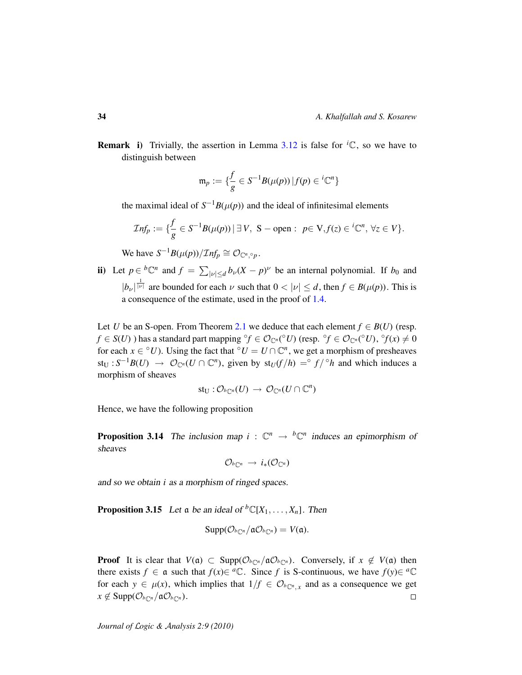**Remark** i) Trivially, the assertion in Lemma [3.12](#page-32-0) is false for  ${}^{i}C$ , so we have to distinguish between

$$
\mathfrak{m}_p:=\{\frac{f}{g}\in S^{-1}B(\mu(p))\,|\,f(p)\in {^i\mathbb{C}}^n\}
$$

the maximal ideal of  $S^{-1}B(\mu(p))$  and the ideal of infinitesimal elements

$$
\mathcal{I}nf_p := \{ \frac{f}{g} \in S^{-1}B(\mu(p)) \, | \, \exists \, V, \, S-\text{open} : \, p \in V, f(z) \in {}^{i}\mathbb{C}^n, \, \forall z \in V \}.
$$

We have  $S^{-1}B(\mu(p))/\mathcal{I}nf_p \cong \mathcal{O}_{\mathbb{C}^n, \circ_p}.$ 

ii) Let  $p \in {}^b\mathbb{C}^n$  and  $f = \sum_{|\nu| \leq d} b_{\nu}(X - p)^{\nu}$  be an internal polynomial. If  $b_0$  and  $|b_{\nu}|^{\frac{1}{|\nu|}}$  are bounded for each  $\nu$  such that  $0 < |\nu| \le d$ , then  $f \in B(\mu(p))$ . This is a consequence of the estimate, used in the proof of [1.4.](#page-8-0)

Let *U* be an S-open. From Theorem [2.1](#page-11-1) we deduce that each element  $f \in B(U)$  (resp. *f* ∈ *S*(*U*) ) has a standard part mapping °*f* ∈  $\mathcal{O}_{\mathbb{C}^n}$ (°*U*) (resp. °*f* ∈  $\mathcal{O}_{\mathbb{C}^n}$ (°*U*), °*f*(*x*) ≠ 0 for each  $x \in {}^{\circ}U$ ). Using the fact that  ${}^{\circ}U = U \cap \mathbb{C}^n$ , we get a morphism of presheaves  $\mathsf{st}_{\mathsf{U}} : S^{-1}B(U) \to \mathcal{O}_{\mathbb{C}^n}(U \cap \mathbb{C}^n)$ , given by  $\mathsf{st}_U(f/h) = \circ f / \circ h$  and which induces a morphism of sheaves

$$
\text{st}_U: \mathcal O_{\text{loc}^n}(U) \, \to \, \mathcal O_{\mathbb{C}^n}(U \cap \mathbb{C}^n)
$$

Hence, we have the following proposition

**Proposition 3.14** The inclusion map  $i : \mathbb{C}^n \to {^b\mathbb{C}^n}$  induces an epimorphism of sheaves

$$
\mathcal{O}_{\mathit{b}_{\mathbb{C}^n}}\,\to\,i_*(\mathcal{O}_{\mathbb{C}^n})
$$

and so we obtain *i* as a morphism of ringed spaces.

**Proposition 3.15** Let a be an ideal of  ${}^b\mathbb{C}[X_1, \ldots, X_n]$ . Then

$$
Supp(\mathcal{O}_{b\mathbb{C}^n}/\mathfrak{a}\mathcal{O}_{b\mathbb{C}^n})=V(\mathfrak{a}).
$$

**Proof** It is clear that  $V(\mathfrak{a}) \subset \text{Supp}(\mathcal{O}_{b\mathbb{C}^n}/\mathfrak{a}\mathcal{O}_{b\mathbb{C}^n})$ . Conversely, if  $x \notin V(\mathfrak{a})$  then there exists  $f \in \mathfrak{a}$  such that  $f(x) \in {}^a\mathbb{C}$ . Since f is S-continuous, we have  $f(y) \in {}^a\mathbb{C}$ for each  $y \in \mu(x)$ , which implies that  $1/f \in \mathcal{O}_{b_{\mathbb{C}^n, x}}$  and as a consequence we get  $x \notin \text{Supp}(\mathcal{O}_{b\subset n}/\mathfrak{a}\mathcal{O}_{b\subset n}).$  $\Box$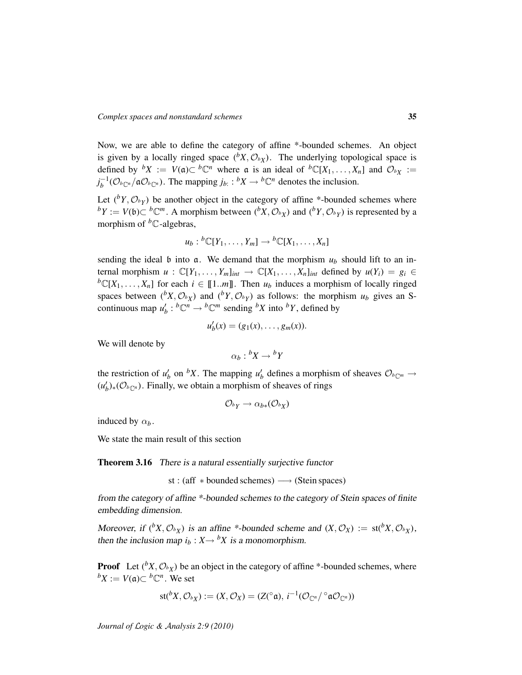Now, we are able to define the category of affine \*-bounded schemes. An object is given by a locally ringed space  $(^{b}X, \mathcal{O}_{b}$ . The underlying topological space is defined by  ${}^bX := V(\mathfrak{a}) \subset {}^b\mathbb{C}^n$  where  $\mathfrak{a}$  is an ideal of  ${}^b\mathbb{C}[X_1,\ldots,X_n]$  and  $\mathcal{O}_{^bX} :=$  $j_b^{-1}$ ( $\mathcal{O}_{b\mathbb{C}^n}/\mathfrak{a}\mathcal{O}_{b\mathbb{C}^n}$ ). The mapping  $j_b$ :  ${}^bX \to {}^b\mathbb{C}^n$  denotes the inclusion.

Let  $({}^{b}Y, \mathcal{O}_{b}Y)$  be another object in the category of affine \*-bounded schemes where *b*<sup>*Y*</sup> := *V*( $\mathfrak{b}$ )⊂ *b*<sup>*Cm*</sup>. A morphism between (*b*<sup>*X*</sup>,  $\mathcal{O}_{bX}$ ) and (*b*<sup>*Y*</sup>,  $\mathcal{O}_{bY}$ ) is represented by a morphism of  ${}^bC$ -algebras,

$$
u_b: {}^b\mathbb{C}[Y_1,\ldots,Y_m] \to {}^b\mathbb{C}[X_1,\ldots,X_n]
$$

sending the ideal b into  $\alpha$ . We demand that the morphism  $u_b$  should lift to an internal morphism  $u : \mathbb{C}[Y_1,\ldots,Y_m]_{int} \to \mathbb{C}[X_1,\ldots,X_n]_{int}$  defined by  $u(Y_i) = g_i \in$  ${}^b\mathbb{C}[X_1,\ldots,X_n]$  for each  $i \in [\![1..m]\!]$ . Then  $u_b$  induces a morphism of locally ringed spaces between  $(^{b}X, \mathcal{O}_{bX})$  and  $(^{b}Y, \mathcal{O}_{bY})$  as follows: the morphism  $u_b$  gives an Scontinuous map  $u'_b : {}^b\mathbb{C}^n \to {}^b\mathbb{C}^m$  sending  ${}^bX$  into  ${}^bY$ , defined by

$$
u'_b(x)=(g_1(x),\ldots,g_m(x)).
$$

We will denote by

$$
\alpha_b : {}^b X \to {}^b Y
$$

the restriction of  $u'_b$  on <sup>*b*</sup>X. The mapping  $u'_b$  defines a morphism of sheaves  $\mathcal{O}_{b_{\mathbb{C}}^m} \to$  $(u'_b)_*(\mathcal{O}_{b\mathbb{C}^n})$ . Finally, we obtain a morphism of sheaves of rings

$$
\mathcal{O}_{^bY} \rightarrow \alpha_{b*}(\mathcal{O}_{^bX})
$$

induced by  $\alpha_b$ .

We state the main result of this section

Theorem 3.16 There is a natural essentially surjective functor

st : (aff  $*$  bounded schemes)  $\longrightarrow$  (Stein spaces)

from the category of affine \*-bounded schemes to the category of Stein spaces of finite embedding dimension.

Moreover, if  $({}^bX, \mathcal{O}_{^bX})$  is an affine \*-bounded scheme and  $(X, \mathcal{O}_X) := \text{st}({}^bX, \mathcal{O}_{^bX})$ , then the inclusion map  $i_b$  :  $X \rightarrow {}^bX$  is a monomorphism.

**Proof** Let  $(^{b}X, \mathcal{O}_{bX})$  be an object in the category of affine \*-bounded schemes, where  ${}^bX$  := *V*( $\mathfrak{a}$ )⊂  ${}^b\mathbb{C}^n$ . We set

$$
\operatorname{st}({}^bX, \mathcal{O}_{^bX}) := (X, \mathcal{O}_X) = (Z({}^{\circ}\mathfrak{a}), i^{-1}(\mathcal{O}_{\mathbb{C}^n})^{\circ}\mathfrak{a}\mathcal{O}_{\mathbb{C}^n}))
$$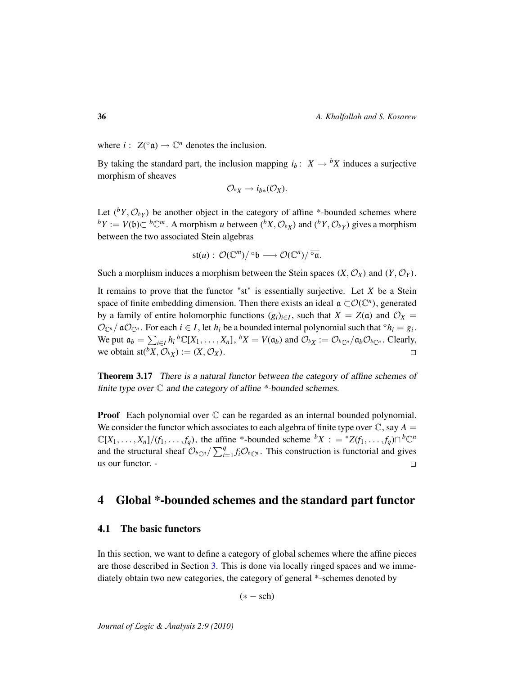where  $i: Z({}^{\circ}\mathfrak{a}) \to \mathbb{C}^n$  denotes the inclusion.

By taking the standard part, the inclusion mapping  $i_b$ :  $X \rightarrow {}^b X$  induces a surjective morphism of sheaves

$$
\mathcal{O}_{^bX}\to i_{b*}(\mathcal{O}_X).
$$

Let  $({}^bY, \mathcal{O}_{bY})$  be another object in the category of affine \*-bounded schemes where *b*<sup>*Y*</sup> := *V*( $\mathfrak{b}$ )⊂ *b*<sup>*Cm*</sup>. A morphism *u* between (*bX*,  $\mathcal{O}_{bX}$ ) and (*bY*,  $\mathcal{O}_{bY}$ ) gives a morphism between the two associated Stein algebras

$$
\mathrm{st}(u): \ \mathcal{O}(\mathbb{C}^m)/\overline{\circ b} \longrightarrow \mathcal{O}(\mathbb{C}^n)/\overline{\circ a}.
$$

Such a morphism induces a morphism between the Stein spaces  $(X, \mathcal{O}_X)$  and  $(Y, \mathcal{O}_Y)$ .

It remains to prove that the functor "st" is essentially surjective. Let *X* be a Stein space of finite embedding dimension. Then there exists an ideal  $\mathfrak{a} \subset \mathcal{O}(\mathbb{C}^n)$ , generated by a family of entire holomorphic functions  $(g_i)_{i \in I}$ , such that  $X = Z(\mathfrak{a})$  and  $\mathcal{O}_X =$  $\mathcal{O}_{\mathbb{C}^n}/\mathfrak{a}\mathcal{O}_{\mathbb{C}^n}$ . For each  $i \in I$ , let  $h_i$  be a bounded internal polynomial such that  $\circ h_i = g_i$ . We put  $\mathfrak{a}_b = \sum_{i \in I} h_i^b \mathbb{C}[X_1, \dots, X_n], {}^b X = V(\mathfrak{a}_b)$  and  $\mathcal{O}_{^b X} := \mathcal{O}_{^b \mathbb{C}^n} / \mathfrak{a}_b \mathcal{O}_{^b \mathbb{C}^n}$ . Clearly, we obtain  $\text{st}({}^bX, \mathcal{O}_{^bX}) := (X, \mathcal{O}_X)$ .  $\Box$ 

**Theorem 3.17** There is a natural functor between the category of affine schemes of finite type over  $\mathbb C$  and the category of affine  $*$ -bounded schemes.

**Proof** Each polynomial over  $\mathbb C$  can be regarded as an internal bounded polynomial. We consider the functor which associates to each algebra of finite type over  $\mathbb{C}$ , say  $A =$  $\mathbb{C}[X_1,\ldots,X_n]/(f_1,\ldots,f_q)$ , the affine \*-bounded scheme  ${}^bX:={}^*Z(f_1,\ldots,f_q)\cap {}^b\mathbb{C}^n$ and the structural sheaf  $\mathcal{O}_{b\text{C}n}/\sum_{i=1}^{q} f_i \mathcal{O}_{b\text{C}n}$ . This construction is functorial and gives us our functor. -  $\Box$ 

# <span id="page-35-0"></span>4 Global \*-bounded schemes and the standard part functor

# <span id="page-35-1"></span>4.1 The basic functors

In this section, we want to define a category of global schemes where the affine pieces are those described in Section [3.](#page-24-0) This is done via locally ringed spaces and we immediately obtain two new categories, the category of general \*-schemes denoted by

 $(* - sch)$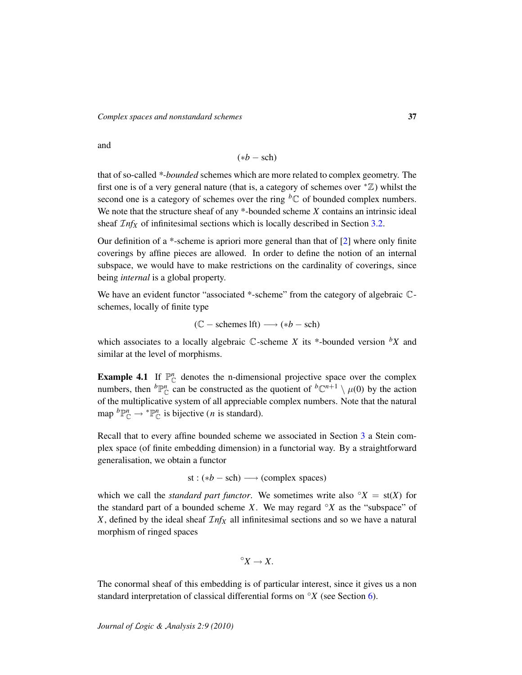and

$$
(*b - \text{sch})
$$

that of so-called *\*-bounded* schemes which are more related to complex geometry. The first one is of a very general nature (that is, a category of schemes over  $* \mathbb{Z}$ ) whilst the second one is a category of schemes over the ring  ${}^b\mathbb{C}$  of bounded complex numbers. We note that the structure sheaf of any \*-bounded scheme *X* contains an intrinsic ideal sheaf  $\mathcal{I}nf_X$  of infinitesimal sections which is locally described in Section [3.2.](#page-30-0)

Our definition of a \*-scheme is apriori more general than that of [\[2\]](#page-58-11) where only finite coverings by affine pieces are allowed. In order to define the notion of an internal subspace, we would have to make restrictions on the cardinality of coverings, since being *internal* is a global property.

We have an evident functor "associated \*-scheme" from the category of algebraic  $\mathbb{C}$ schemes, locally of finite type

$$
(\mathbb{C} - \text{ schemes } \mathsf{lft}) \longrightarrow (*b - \text{sch})
$$

which associates to a locally algebraic  $\mathbb C$ -scheme *X* its \*-bounded version  ${}^bX$  and similar at the level of morphisms.

<span id="page-36-0"></span>**Example 4.1** If  $\mathbb{P}_{\mathbb{C}}^n$  denotes the n-dimensional projective space over the complex numbers, then  ${}^b\mathbb{P}^n_{\mathbb{C}}$  can be constructed as the quotient of  ${}^b\mathbb{C}^{n+1} \setminus \mu(0)$  by the action of the multiplicative system of all appreciable complex numbers. Note that the natural map  ${}^b\mathbb{P}^n_{\mathbb{C}} \to {}^*\mathbb{P}^n_{\mathbb{C}}$  is bijective (*n* is standard).

Recall that to every affine bounded scheme we associated in Section [3](#page-24-0) a Stein complex space (of finite embedding dimension) in a functorial way. By a straightforward generalisation, we obtain a functor

$$
st:(*b-sch) \longrightarrow (complex spaces)
$$

which we call the *standard part functor*. We sometimes write also  $\mathcal{O}X = st(X)$  for the standard part of a bounded scheme *X*. We may regard  $\mathcal{O}(\mathbf{X})$  as the "subspace" of *X*, defined by the ideal sheaf  $\mathcal{I}nf_X$  all infinitesimal sections and so we have a natural morphism of ringed spaces

$$
^{\circ}X\rightarrow X.
$$

The conormal sheaf of this embedding is of particular interest, since it gives us a non standard interpretation of classical differential forms on ◦*X* (see Section [6\)](#page-46-0).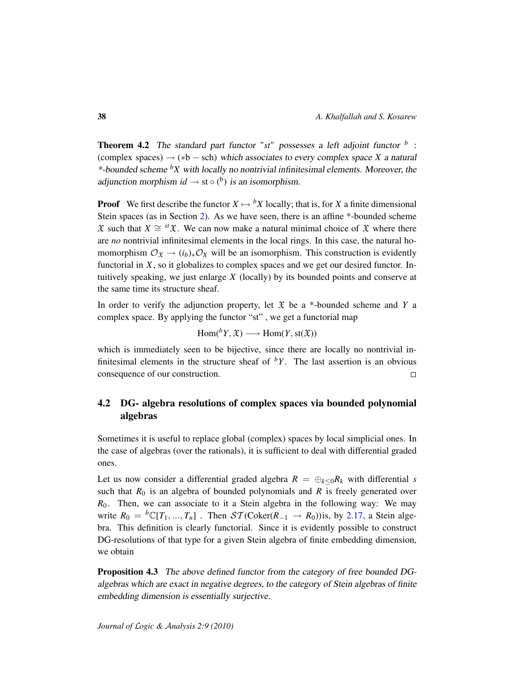Theorem 4.2 The standard part functor "*st*" possesses a left adjoint functor *<sup>b</sup>* : (complex spaces)  $\rightarrow$  (\*b – sch) which associates to every complex space *X* a natural \*-bounded scheme *<sup>b</sup>X* with locally no nontrivial infinitesimal elements. Moreover, the adjunction morphism  $id \rightarrow st \circ (b)$  is an isomorphism.

**Proof** We first describe the functor  $X \mapsto {}^b X$  locally; that is, for *X* a finite dimensional Stein spaces (as in Section [2\)](#page-10-0). As we have seen, there is an affine \*-bounded scheme  $\mathfrak X$  such that *X*  $\cong$  <sup>*st*</sup> $\mathfrak X$ . We can now make a natural minimal choice of  $\mathfrak X$  where there are *no* nontrivial infinitesimal elements in the local rings. In this case, the natural homomorphism  $\mathcal{O}_{\mathfrak{X}} \to (i_b)_*\mathcal{O}_X$  will be an isomorphism. This construction is evidently functorial in *X*, so it globalizes to complex spaces and we get our desired functor. Intuitively speaking, we just enlarge *X* (locally) by its bounded points and conserve at the same time its structure sheaf.

In order to verify the adjunction property, let  $\mathfrak X$  be a \*-bounded scheme and *Y* a complex space. By applying the functor "st" , we get a functorial map

$$
Hom({}^bY,\mathfrak{X})\longrightarrow Hom(Y,\text{st}(\mathfrak{X}))
$$

which is immediately seen to be bijective, since there are locally no nontrivial infinitesimal elements in the structure sheaf of  ${}^bY$ . The last assertion is an obvious consequence of our construction.  $\Box$ 

# <span id="page-37-0"></span>4.2 DG- algebra resolutions of complex spaces via bounded polynomial algebras

Sometimes it is useful to replace global (complex) spaces by local simplicial ones. In the case of algebras (over the rationals), it is sufficient to deal with differential graded ones.

Let us now consider a differential graded algebra  $R = \bigoplus_{k \leq 0} R_k$  with differential *s* such that  $R_0$  is an algebra of bounded polynomials and  $R$  is freely generated over  $R_0$ . Then, we can associate to it a Stein algebra in the following way: We may write  $R_0 = {}^b\mathbb{C}[T_1, ..., T_n]$ . Then  $ST(\text{Coker}(R_{-1} \rightarrow R_0))$  is, by [2.17,](#page-20-0) a Stein algebra. This definition is clearly functorial. Since it is evidently possible to construct DG-resolutions of that type for a given Stein algebra of finite embedding dimension, we obtain

Proposition 4.3 The above defined functor from the category of free bounded DGalgebras which are exact in negative degrees, to the category of Stein algebras of finite embedding dimension is essentially surjective.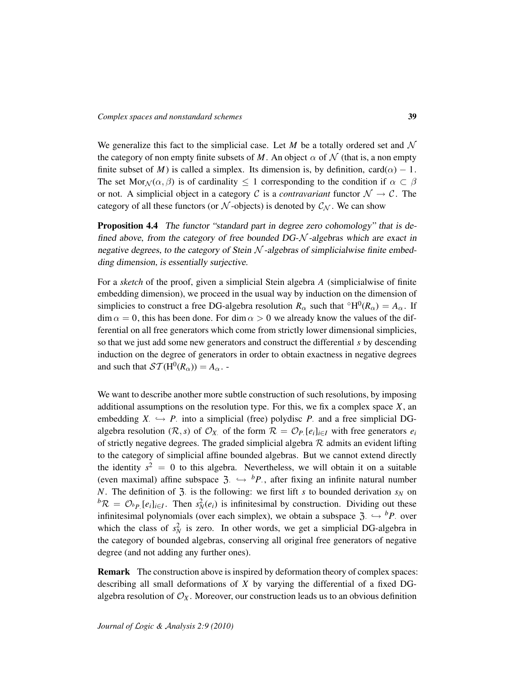We generalize this fact to the simplicial case. Let  $M$  be a totally ordered set and  $N$ the category of non empty finite subsets of M. An object  $\alpha$  of N (that is, a non empty finite subset of *M*) is called a simplex. Its dimension is, by definition, card( $\alpha$ ) – 1. The set Mor<sub>N</sub>( $\alpha$ ,  $\beta$ ) is of cardinality  $\leq 1$  corresponding to the condition if  $\alpha \subset \beta$ or not. A simplicial object in a category C is a *contravariant* functor  $\mathcal{N} \to \mathcal{C}$ . The category of all these functors (or  $N$ -objects) is denoted by  $C_N$ . We can show

Proposition 4.4 The functor "standard part in degree zero cohomology" that is defined above, from the category of free bounded  $DG-\mathcal{N}$ -algebras which are exact in negative degrees, to the category of Stein  $N$ -algebras of simplicialwise finite embedding dimension, is essentially surjective.

For a *sketch* of the proof, given a simplicial Stein algebra *A* (simplicialwise of finite embedding dimension), we proceed in the usual way by induction on the dimension of simplicies to construct a free DG-algebra resolution  $R_{\alpha}$  such that  $\mathrm{^{\circ}H^{0}}(R_{\alpha}) = A_{\alpha}$ . If  $\dim \alpha = 0$ , this has been done. For  $\dim \alpha > 0$  we already know the values of the differential on all free generators which come from strictly lower dimensional simplicies, so that we just add some new generators and construct the differential *s* by descending induction on the degree of generators in order to obtain exactness in negative degrees and such that  $ST(H^0(R_\alpha)) = A_\alpha$ .

We want to describe another more subtle construction of such resolutions, by imposing additional assumptions on the resolution type. For this, we fix a complex space *X*, an embedding  $X \hookrightarrow P$  into a simplicial (free) polydisc  $P$  and a free simplicial DGalgebra resolution ( $\mathcal{R}, s$ ) of  $\mathcal{O}_X$  of the form  $\mathcal{R} = \mathcal{O}_P$  [ $e_i$ ]<sub>*i*∈*I*</sub> with free generators  $e_i$ of strictly negative degrees. The graded simplicial algebra  $R$  admits an evident lifting to the category of simplicial affine bounded algebras. But we cannot extend directly the identity  $s^2 = 0$  to this algebra. Nevertheless, we will obtain it on a suitable (even maximal) affine subspace  $3 \rightarrow {^bP}$ , after fixing an infinite natural number *N*. The definition of 3. is the following: we first lift *s* to bounded derivation  $s_N$  on  ${}^b\mathcal{R} = \mathcal{O}_{b}$ <sub>*P*</sub>. [ $e_i$ ]<sub>*i*∈*I*</sub>. Then  $s_N^2(e_i)$  is infinitesimal by construction. Dividing out these infinitesimal polynomials (over each simplex), we obtain a subspace  $\mathfrak{Z} \hookrightarrow {^bP}$  over which the class of  $s_N^2$  is zero. In other words, we get a simplicial DG-algebra in the category of bounded algebras, conserving all original free generators of negative degree (and not adding any further ones).

Remark The construction above is inspired by deformation theory of complex spaces: describing all small deformations of *X* by varying the differential of a fixed DGalgebra resolution of  $\mathcal{O}_X$ . Moreover, our construction leads us to an obvious definition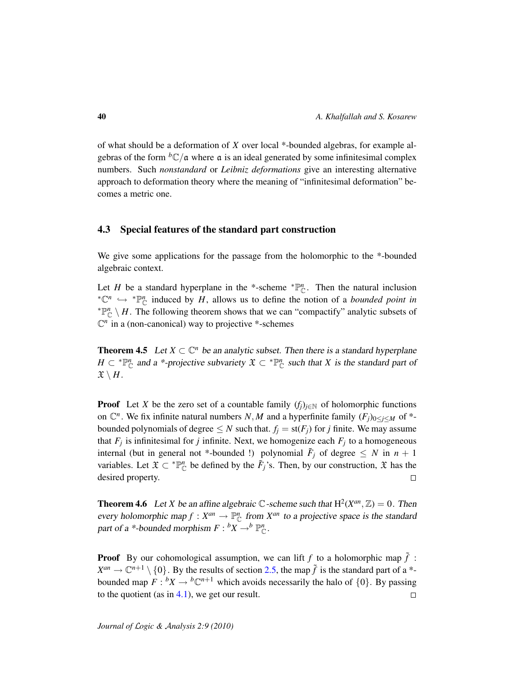of what should be a deformation of *X* over local \*-bounded algebras, for example algebras of the form  ${}^bC/a$  where a is an ideal generated by some infinitesimal complex numbers. Such *nonstandard* or *Leibniz deformations* give an interesting alternative approach to deformation theory where the meaning of "infinitesimal deformation" becomes a metric one.

# <span id="page-39-0"></span>4.3 Special features of the standard part construction

We give some applications for the passage from the holomorphic to the \*-bounded algebraic context.

Let *H* be a standard hyperplane in the \*-scheme  $\mathbb{P}_{\mathbb{C}}^n$ . Then the natural inclusion  ${}^*{\mathbb{C}}^n$   $\hookrightarrow {}^*{\mathbb{P}}^n_{\mathbb{C}}$  induced by *H*, allows us to define the notion of a *bounded point in*  $\mathbb{P}^n_{\mathbb{C}} \setminus H$ . The following theorem shows that we can "compactify" analytic subsets of  $\mathbb{C}^n$  in a (non-canonical) way to projective \*-schemes

**Theorem 4.5** Let  $X \subset \mathbb{C}^n$  be an analytic subset. Then there is a standard hyperplane  $H \subset \mathbb{P}_{\mathbb{C}}^n$  and a \*-projective subvariety  $\mathfrak{X} \subset \mathbb{P}_{\mathbb{C}}^n$  such that *X* is the standard part of  $\mathfrak{X} \setminus H$ .

**Proof** Let *X* be the zero set of a countable family  $(f_i)_{i \in \mathbb{N}}$  of holomorphic functions on  $\mathbb{C}^n$ . We fix infinite natural numbers *N*, *M* and a hyperfinite family  $(F_j)_{0 \le j \le M}$  of \*bounded polynomials of degree  $\leq N$  such that.  $f_j = st(F_j)$  for *j* finite. We may assume that  $F_j$  is infinitesimal for *j* infinite. Next, we homogenize each  $F_j$  to a homogeneous internal (but in general not \*-bounded !) polynomial  $\tilde{F}_j$  of degree  $\leq N$  in  $n+1$ variables. Let  $\mathfrak{X} \subset \mathbb{P}_{\mathbb{C}}^n$  be defined by the  $\tilde{F}_j$ 's. Then, by our construction,  $\mathfrak{X}$  has the desired property.  $\Box$ 

**Theorem 4.6** Let *X* be an affine algebraic  $\mathbb{C}$ -scheme such that  $H^2(X^{an}, \mathbb{Z}) = 0$ . Then every holomorphic map  $f: X^{an} \to \mathbb{P}_{\mathbb{C}}^n$  from  $X^{an}$  to a projective space is the standard part of a \*-bounded morphism  $F : {}^b X \to {}^b \mathbb{P}^n_{\mathbb{C}}$ .

**Proof** By our cohomological assumption, we can lift  $f$  to a holomorphic map  $\tilde{f}$ :  $X^{an} \to \mathbb{C}^{n+1} \setminus \{0\}$ . By the results of section [2.5,](#page-19-0) the map  $\tilde{f}$  is the standard part of a \*bounded map  $F: {}^{b}X \rightarrow {}^{b}\mathbb{C}^{n+1}$  which avoids necessarily the halo of  $\{0\}$ . By passing to the quotient (as in  $4.1$ ), we get our result.  $\Box$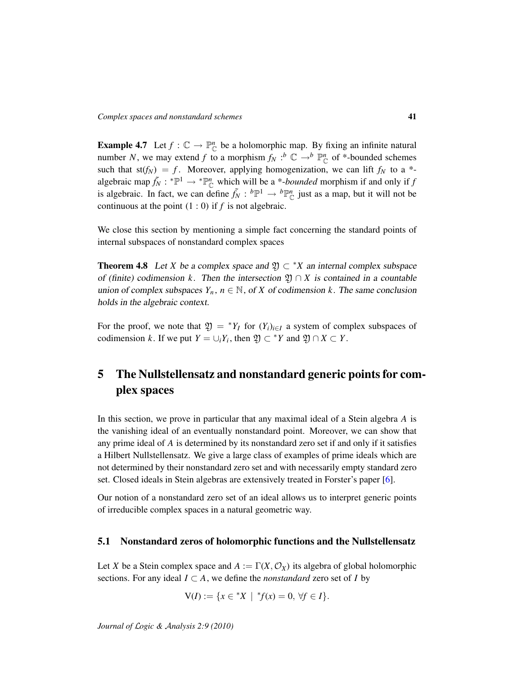**Example 4.7** Let  $f : \mathbb{C} \to \mathbb{P}_{\mathbb{C}}^n$  be a holomorphic map. By fixing an infinite natural number *N*, we may extend *f* to a morphism  $f_N : b \mathbb{C} \to b \mathbb{P}_{\mathbb{C}}^n$  of \*-bounded schemes such that  $st(f_N) = f$ . Moreover, applying homogenization, we can lift  $f_N$  to a \*algebraic map  $\tilde{f}_N$ :  $^*\mathbb{P}^1 \to ^*\mathbb{P}^n_{\mathbb{C}}$  which will be a \*-*bounded* morphism if and only if *f* is algebraic. In fact, we can define  $\tilde{f}_N : {}^b\mathbb{P}^1 \to {}^b\mathbb{P}^n_{\mathbb{C}}$  just as a map, but it will not be continuous at the point  $(1:0)$  if  $f$  is not algebraic.

We close this section by mentioning a simple fact concerning the standard points of internal subspaces of nonstandard complex spaces

**Theorem 4.8** Let *X* be a complex space and  $\mathfrak{Y} \subset {}^*X$  an internal complex subspace of (finite) codimension *k*. Then the intersection  $\mathfrak{Y} \cap X$  is contained in a countable union of complex subspaces  $Y_n$ ,  $n \in \mathbb{N}$ , of *X* of codimension *k*. The same conclusion holds in the algebraic context.

For the proof, we note that  $\mathfrak{Y} = {}^*Y_I$  for  $(Y_i)_{i \in I}$  a system of complex subspaces of codimension *k*. If we put  $Y = \bigcup_i Y_i$ , then  $\mathfrak{Y} \subset {}^*Y$  and  $\mathfrak{Y} \cap X \subset Y$ .

# <span id="page-40-0"></span>5 The Nullstellensatz and nonstandard generic points for complex spaces

In this section, we prove in particular that any maximal ideal of a Stein algebra *A* is the vanishing ideal of an eventually nonstandard point. Moreover, we can show that any prime ideal of *A* is determined by its nonstandard zero set if and only if it satisfies a Hilbert Nullstellensatz. We give a large class of examples of prime ideals which are not determined by their nonstandard zero set and with necessarily empty standard zero set. Closed ideals in Stein algebras are extensively treated in Forster's paper [\[6\]](#page-58-5).

Our notion of a nonstandard zero set of an ideal allows us to interpret generic points of irreducible complex spaces in a natural geometric way.

## <span id="page-40-1"></span>5.1 Nonstandard zeros of holomorphic functions and the Nullstellensatz

Let *X* be a Stein complex space and  $A := \Gamma(X, \mathcal{O}_X)$  its algebra of global holomorphic sections. For any ideal  $I \subset A$ , we define the *nonstandard* zero set of *I* by

$$
V(I) := \{ x \in {}^*X \mid {}^*f(x) = 0, \, \forall f \in I \}.
$$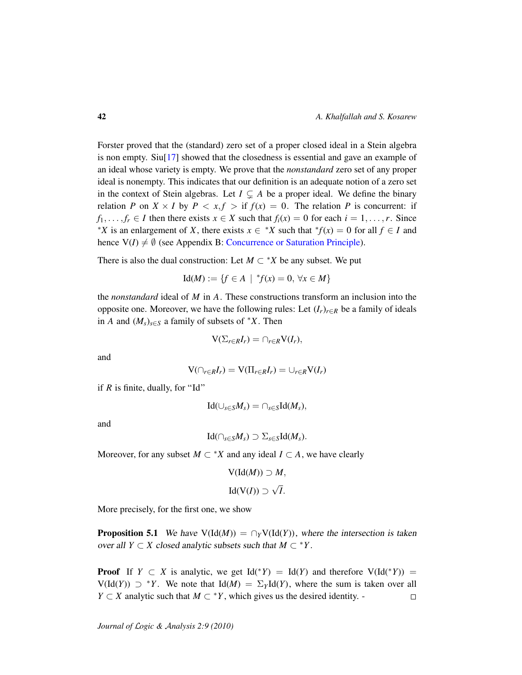Forster proved that the (standard) zero set of a proper closed ideal in a Stein algebra is non empty. Siu[\[17\]](#page-59-1) showed that the closedness is essential and gave an example of an ideal whose variety is empty. We prove that the *nonstandard* zero set of any proper ideal is nonempty. This indicates that our definition is an adequate notion of a zero set in the context of Stein algebras. Let  $I \subseteq A$  be a proper ideal. We define the binary relation *P* on  $X \times I$  by  $P \le x, f >$  if  $f(x) = 0$ . The relation *P* is concurrent: if  $f_1, \ldots, f_r \in I$  then there exists  $x \in X$  such that  $f_i(x) = 0$  for each  $i = 1, \ldots, r$ . Since <sup>\*</sup>*X* is an enlargement of *X*, there exists  $x \in$  <sup>\*</sup>*X* such that  ${}^*f(x) = 0$  for all  $f \in I$  and hence  $V(I) \neq \emptyset$  (see Appendix B: [Concurrence or Saturation Principle\)](#page-55-1).

There is also the dual construction: Let  $M \subset {}^*X$  be any subset. We put

$$
Id(M) := \{ f \in A \mid {}^*f(x) = 0, \, \forall x \in M \}
$$

the *nonstandard* ideal of *M* in *A*. These constructions transform an inclusion into the opposite one. Moreover, we have the following rules: Let (*Ir*)*r*∈*<sup>R</sup>* be a family of ideals in *A* and  $(M_s)_{s \in S}$  a family of subsets of  $*X$ . Then

$$
V(\Sigma_{r\in R}I_r)=\cap_{r\in R}V(I_r),
$$

and

$$
V(\cap_{r \in R} I_r) = V(\Pi_{r \in R} I_r) = \cup_{r \in R} V(I_r)
$$

if  $R$  is finite, dually, for "Id"

$$
\mathrm{Id}(\cup_{s\in S}M_s)=\cap_{s\in S}\mathrm{Id}(M_s),
$$

and

$$
\mathrm{Id}(\cap_{s\in S}M_s)\supset\Sigma_{s\in S}\mathrm{Id}(M_s).
$$

Moreover, for any subset  $M \subset {}^*X$  and any ideal  $I \subset A$ , we have clearly

$$
V(\text{Id}(M)) \supset M,
$$
  

$$
\text{Id}(V(I)) \supset \sqrt{I}.
$$

More precisely, for the first one, we show

**Proposition 5.1** We have  $V(\text{Id}(M)) = \bigcap_{Y} V(\text{Id}(Y))$ , where the intersection is taken over all *Y*  $\subset$  *X* closed analytic subsets such that *M*  $\subset$  \**Y*.

**Proof** If  $Y \subset X$  is analytic, we get  $Id({}^*Y) = Id(Y)$  and therefore  $V(Id({}^*Y)) =$  $V(\text{Id}(Y)) \supset {}^{*}Y$ . We note that  $\text{Id}(M) = \sum_{Y} \text{Id}(Y)$ , where the sum is taken over all *Y* ⊂ *X* analytic such that  $M \subset Y$ , which gives us the desired identity. - $\Box$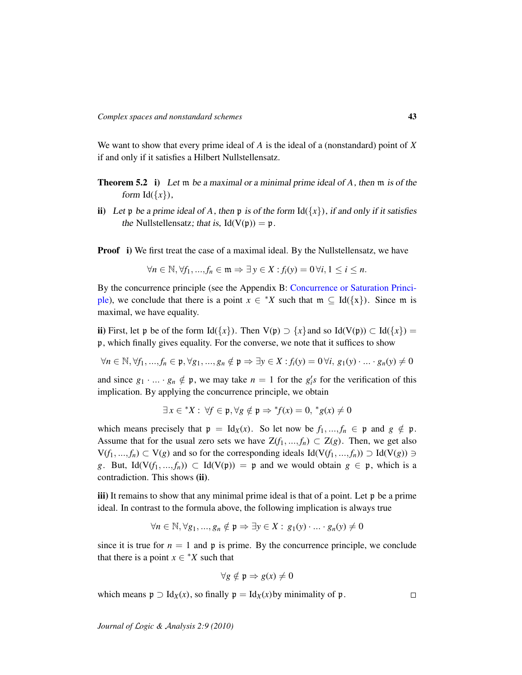We want to show that every prime ideal of *A* is the ideal of a (nonstandard) point of *X* if and only if it satisfies a Hilbert Nullstellensatz.

- Theorem 5.2 i) Let m be a maximal or a minimal prime ideal of *A*, then m is of the form  $Id({x}),$
- ii) Let p be a prime ideal of A, then p is of the form  $Id({x})$ , if and only if it satisfies the Nullstellensatz; that is,  $Id(V(p)) = p$ .

Proof i) We first treat the case of a maximal ideal. By the Nullstellensatz, we have

$$
\forall n \in \mathbb{N}, \forall f_1, ..., f_n \in \mathfrak{m} \Rightarrow \exists y \in X : f_i(y) = 0 \,\forall i, 1 \leq i \leq n.
$$

By the concurrence principle (see the Appendix B: [Concurrence or Saturation Princi](#page-55-1)[ple\)](#page-55-1), we conclude that there is a point  $x \in {}^*X$  such that  $m \subseteq Id({x})$ . Since m is maximal, we have equality.

ii) First, let p be of the form  $Id({x})$ . Then  $V(p) \supset {x}$  and so  $Id(V(p)) \subset Id({x}) =$ p, which finally gives equality. For the converse, we note that it suffices to show

 $∀n ∈ ℕ, ∀f<sub>1</sub>, ..., f<sub>n</sub> ∈ p, ∀g<sub>1</sub>, ..., g<sub>n</sub> ∉ p ⇒ ∃y ∈ X : f<sub>i</sub>(y) = 0 ∀i, g<sub>1</sub>(y) · ... · g<sub>n</sub>(y) ≠ 0$ 

and since  $g_1 \cdot ... \cdot g_n \notin \mathfrak{p}$ , we may take  $n = 1$  for the  $g_i$ 's for the verification of this implication. By applying the concurrence principle, we obtain

$$
\exists x \in {}^*X : \forall f \in \mathfrak{p}, \forall g \notin \mathfrak{p} \Rightarrow {}^*f(x) = 0, {}^*g(x) \neq 0
$$

which means precisely that  $p = Id_X(x)$ . So let now be  $f_1, ..., f_n \in p$  and  $g \notin p$ . Assume that for the usual zero sets we have  $Z(f_1, ..., f_n) \subset Z(g)$ . Then, we get also  $V(f_1, ..., f_n)$  ⊂  $V(g)$  and so for the corresponding ideals Id( $V(f_1, ..., f_n)$ ) ⊃ Id( $V(g)$ ) ∋ *g*. But, Id( $V(f_1,...,f_n)$ ) ⊂ Id( $V(p)$ ) = p and we would obtain *g*  $\in$  p, which is a contradiction. This shows (ii).

iii) It remains to show that any minimal prime ideal is that of a point. Let p be a prime ideal. In contrast to the formula above, the following implication is always true

$$
\forall n \in \mathbb{N}, \forall g_1, ..., g_n \notin \mathfrak{p} \Rightarrow \exists y \in X : g_1(y) \cdot ... \cdot g_n(y) \neq 0
$$

since it is true for  $n = 1$  and  $\mathfrak p$  is prime. By the concurrence principle, we conclude that there is a point  $x \in {}^*X$  such that

$$
\forall g \notin \mathfrak{p} \Rightarrow g(x) \neq 0
$$

which means  $\mathfrak{p} \supset \text{Id}_X(x)$ , so finally  $\mathfrak{p} = \text{Id}_X(x)$  by minimality of  $\mathfrak{p}$ .

 $\Box$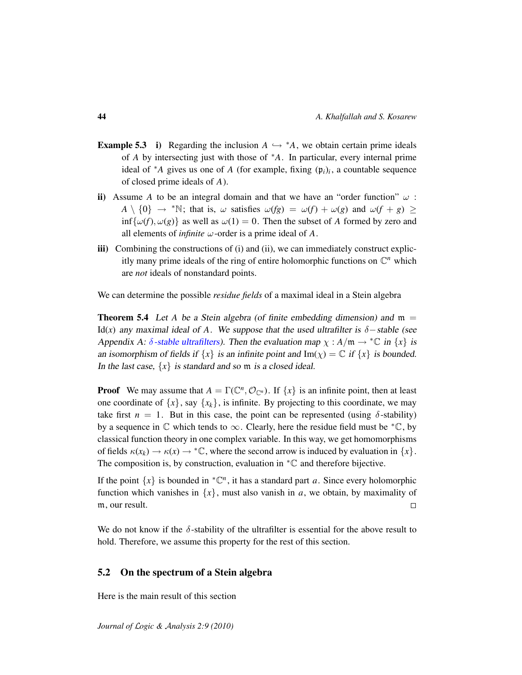- **Example 5.3** i) Regarding the inclusion  $A \hookrightarrow A$ , we obtain certain prime ideals of *A* by intersecting just with those of <sup>∗</sup>*A*. In particular, every internal prime ideal of  $*$ *A* gives us one of *A* (for example, fixing  $(\mathfrak{p}_i)_i$ , a countable sequence of closed prime ideals of *A*).
- ii) Assume *A* to be an integral domain and that we have an "order function"  $\omega$ :  $A \setminus \{0\} \rightarrow$  \*N; that is,  $\omega$  satisfies  $\omega(fg) = \omega(f) + \omega(g)$  and  $\omega(f + g) \ge$  $\inf{\{\omega(f), \omega(g)\}}$  as well as  $\omega(1) = 0$ . Then the subset of *A* formed by zero and all elements of *infinite*  $\omega$ -order is a prime ideal of A.
- iii) Combining the constructions of (i) and (ii), we can immediately construct explicitly many prime ideals of the ring of entire holomorphic functions on  $\mathbb{C}^n$  which are *not* ideals of nonstandard points.

We can determine the possible *residue fields* of a maximal ideal in a Stein algebra

**Theorem 5.4** Let A be a Stein algebra (of finite embedding dimension) and  $m =$ Id(*x*) any maximal ideal of *A*. We suppose that the used ultrafilter is  $\delta$  – stable (see Appendix A:  $\delta$ [-stable ultrafilters\)](#page-52-0). Then the evaluation map  $\chi : A/\mathfrak{m} \to {}^*\mathbb{C}$  in  $\{x\}$  is an isomorphism of fields if  $\{x\}$  is an infinite point and  $\text{Im}(\chi) = \mathbb{C}$  if  $\{x\}$  is bounded. In the last case,  $\{x\}$  is standard and so m is a closed ideal.

**Proof** We may assume that  $A = \Gamma(\mathbb{C}^n, \mathcal{O}_{\mathbb{C}^n})$ . If  $\{x\}$  is an infinite point, then at least one coordinate of  $\{x\}$ , say  $\{x_k\}$ , is infinite. By projecting to this coordinate, we may take first  $n = 1$ . But in this case, the point can be represented (using  $\delta$ -stability) by a sequence in  $\mathbb C$  which tends to  $\infty$ . Clearly, here the residue field must be  ${}^* \mathbb C$ , by classical function theory in one complex variable. In this way, we get homomorphisms of fields  $\kappa(x_k) \to \kappa(x) \to \infty$ , where the second arrow is induced by evaluation in  $\{x\}$ . The composition is, by construction, evaluation in  ${}^*\mathbb{C}$  and therefore bijective.

If the point  $\{x\}$  is bounded in  $^{\ast} \mathbb{C}^n$ , it has a standard part *a*. Since every holomorphic function which vanishes in  $\{x\}$ , must also vanish in *a*, we obtain, by maximality of m, our result.  $\Box$ 

We do not know if the  $\delta$ -stability of the ultrafilter is essential for the above result to hold. Therefore, we assume this property for the rest of this section.

# <span id="page-43-0"></span>5.2 On the spectrum of a Stein algebra

Here is the main result of this section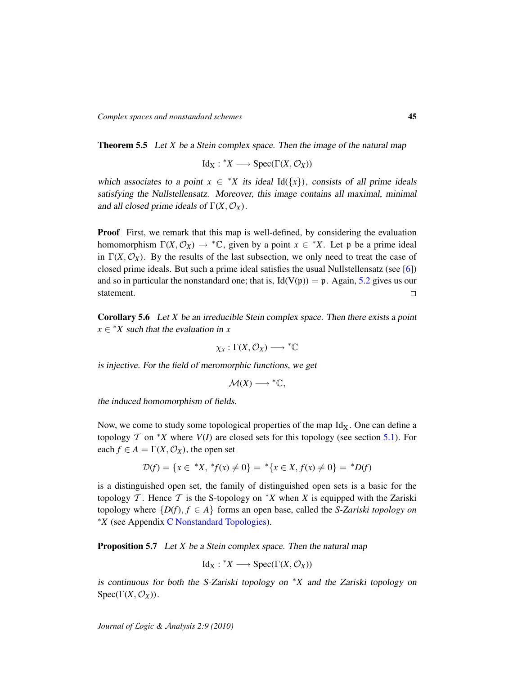Theorem 5.5 Let *X* be a Stein complex space. Then the image of the natural map

 $Id_X: {^*}X \longrightarrow \text{Spec}(\Gamma(X, \mathcal{O}_X))$ 

which associates to a point  $x \in {}^*X$  its ideal Id({*x*}), consists of all prime ideals satisfying the Nullstellensatz. Moreover, this image contains all maximal, minimal and all closed prime ideals of  $\Gamma(X, \mathcal{O}_X)$ .

Proof First, we remark that this map is well-defined, by considering the evaluation homomorphism  $\Gamma(X, \mathcal{O}_X) \to \text{``C},$  given by a point  $x \in \text{``X}.$  Let p be a prime ideal in  $\Gamma(X, \mathcal{O}_X)$ . By the results of the last subsection, we only need to treat the case of closed prime ideals. But such a prime ideal satisfies the usual Nullstellensatz (see [\[6\]](#page-58-5)) and so in particular the nonstandard one; that is,  $Id(V(p)) = p$ . Again, [5.2](#page-0-1) gives us our statement.  $\Box$ 

Corollary 5.6 Let *X* be an irreducible Stein complex space. Then there exists a point  $x \in$  \**X* such that the evaluation in *x* 

$$
\chi_x:\Gamma(X,\mathcal{O}_X)\longrightarrow {}^*\mathbb{C}
$$

is injective. For the field of meromorphic functions, we get

$$
\mathcal{M}(X) \longrightarrow {}^{\ast}\mathbb{C},
$$

the induced homomorphism of fields.

Now, we come to study some topological properties of the map  $Id_X$ . One can define a topology  $\mathcal T$  on <sup>\*</sup>*X* where  $V(I)$  are closed sets for this topology (see section [5.1\)](#page-40-1). For each  $f \in A = \Gamma(X, \mathcal{O}_X)$ , the open set

$$
\mathcal{D}(f) = \{x \in {}^*X, {}^*f(x) \neq 0\} = {}^*\{x \in X, f(x) \neq 0\} = {}^*D(f)
$$

is a distinguished open set, the family of distinguished open sets is a basic for the topology  $\mathcal T$ . Hence  $\mathcal T$  is the S-topology on  $^*X$  when *X* is equipped with the Zariski topology where  $\{D(f), f \in A\}$  forms an open base, called the *S-Zariski topology on* <sup>∗</sup>*X* (see Appendix [C Nonstandard Topologies\)](#page-55-0).

Proposition 5.7 Let *X* be a Stein complex space. Then the natural map

$$
Id_X: {}^*X \longrightarrow \text{Spec}(\Gamma(X, \mathcal{O}_X))
$$

is continuous for both the S-Zariski topology on <sup>∗</sup>*X* and the Zariski topology on  $Spec(\Gamma(X, \mathcal{O}_X)).$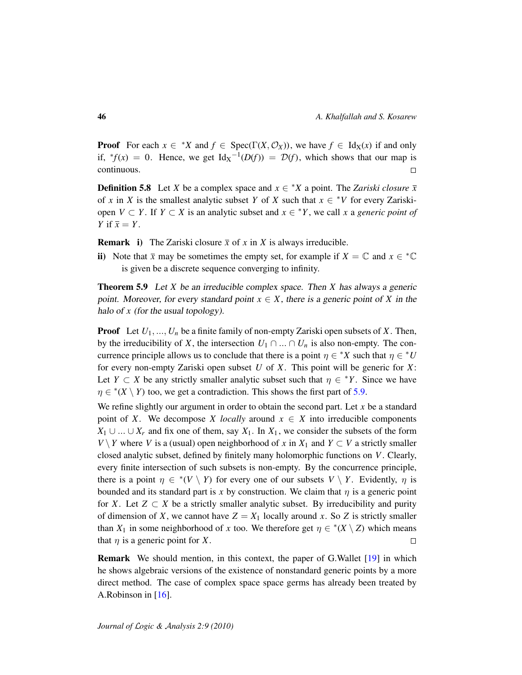**Proof** For each  $x \in {}^*X$  and  $f \in Spec(\Gamma(X, \mathcal{O}_X))$ , we have  $f \in Id_X(x)$  if and only if,  ${}^*f(x) = 0$ . Hence, we get  $\text{Id}_X^{-1}(D(f)) = D(f)$ , which shows that our map is continuous.  $\Box$ 

**Definition 5.8** Let *X* be a complex space and  $x \in X^*X$  a point. The *Zariski closure*  $\bar{x}$ of *x* in *X* is the smallest analytic subset *Y* of *X* such that  $x \in {}^*V$  for every Zariskiopen  $V \subset Y$ . If  $Y \subset X$  is an analytic subset and  $x \in {}^*Y$ , we call x a *generic point of Y* if  $\bar{x} = Y$ .

**Remark** i) The Zariski closure  $\bar{x}$  of x in X is always irreducible.

ii) Note that  $\bar{x}$  may be sometimes the empty set, for example if  $X = \mathbb{C}$  and  $x \in \mathbb{C}$ is given be a discrete sequence converging to infinity.

<span id="page-45-0"></span>Theorem 5.9 Let *X* be an irreducible complex space. Then *X* has always a generic point. Moreover, for every standard point  $x \in X$ , there is a generic point of X in the halo of *x* (for the usual topology).

Proof Let *U*1, ..., *U<sup>n</sup>* be a finite family of non-empty Zariski open subsets of *X*. Then, by the irreducibility of *X*, the intersection  $U_1 \cap ... \cap U_n$  is also non-empty. The concurrence principle allows us to conclude that there is a point  $\eta \in {}^*X$  such that  $\eta \in {}^*U$ for every non-empty Zariski open subset *U* of *X*. This point will be generic for *X*: Let *Y*  $\subset$  *X* be any strictly smaller analytic subset such that  $\eta \in {}^*Y$ . Since we have  $\eta \in {}^{\ast}(X \setminus Y)$  too, we get a contradiction. This shows the first part of [5.9.](#page-45-0)

We refine slightly our argument in order to obtain the second part. Let *x* be a standard point of *X*. We decompose *X* locally around  $x \in X$  into irreducible components *X*<sub>1</sub> ∪ ... ∪ *X<sub>r</sub>* and fix one of them, say *X*<sub>1</sub>. In *X*<sub>1</sub>, we consider the subsets of the form *V*  $\setminus$  *Y* where *V* is a (usual) open neighborhood of *x* in *X*<sub>1</sub> and *Y* ⊂ *V* a strictly smaller closed analytic subset, defined by finitely many holomorphic functions on *V*. Clearly, every finite intersection of such subsets is non-empty. By the concurrence principle, there is a point  $\eta \in {}^*V \setminus Y$  for every one of our subsets  $V \setminus Y$ . Evidently,  $\eta$  is bounded and its standard part is *x* by construction. We claim that  $\eta$  is a generic point for *X*. Let  $Z \subset X$  be a strictly smaller analytic subset. By irreducibility and purity of dimension of *X*, we cannot have  $Z = X_1$  locally around *x*. So *Z* is strictly smaller than  $X_1$  in some neighborhood of *x* too. We therefore get  $\eta \in {}^*(X \setminus Z)$  which means that  $\eta$  is a generic point for *X*.  $\Box$ 

Remark We should mention, in this context, the paper of G.Wallet [\[19\]](#page-59-2) in which he shows algebraic versions of the existence of nonstandard generic points by a more direct method. The case of complex space space germs has already been treated by A.Robinson in [\[16\]](#page-59-3).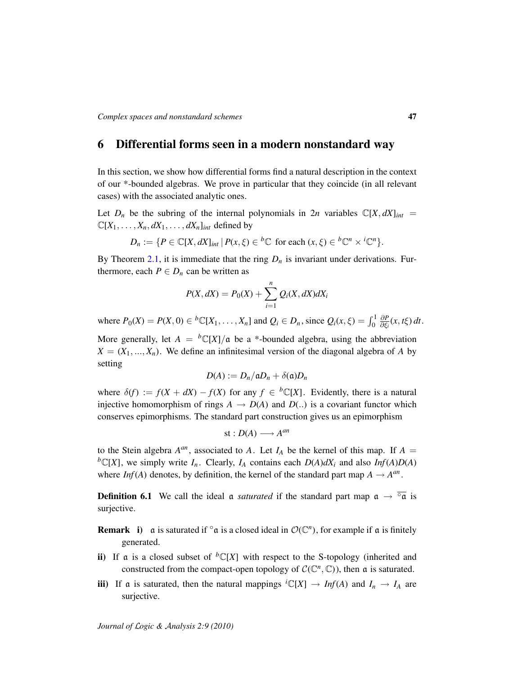# <span id="page-46-0"></span>6 Differential forms seen in a modern nonstandard way

In this section, we show how differential forms find a natural description in the context of our \*-bounded algebras. We prove in particular that they coincide (in all relevant cases) with the associated analytic ones.

Let  $D_n$  be the subring of the internal polynomials in  $2n$  variables  $\mathbb{C}[X, dX]_{int}$  $\mathbb{C}[X_1, \ldots, X_n, dX_1, \ldots, dX_n]$ *int* defined by

$$
D_n := \{ P \in \mathbb{C}[X, dX]_{int} \mid P(x, \xi) \in {}^b \mathbb{C} \text{ for each } (x, \xi) \in {}^b \mathbb{C}^n \times {}^i \mathbb{C}^n \}.
$$

By Theorem [2.1,](#page-11-1) it is immediate that the ring  $D_n$  is invariant under derivations. Furthermore, each  $P \in D_n$  can be written as

$$
P(X,dX) = P_0(X) + \sum_{i=1}^n Q_i(X,dX)dX_i
$$

where  $P_0(X) = P(X, 0) \in {}^b\mathbb{C}[X_1, \dots, X_n]$  and  $Q_i \in D_n$ , since  $Q_i(x, \xi) = \int_0^1$ ∂*P* ∂ξ*<sup>i</sup>* (*x*, *t*ξ) *dt*.

More generally, let  $A = {}^bC[X]/\mathfrak{a}$  be a \*-bounded algebra, using the abbreviation  $X = (X_1, \ldots, X_n)$ . We define an infinitesimal version of the diagonal algebra of *A* by setting

$$
D(A) := D_n/aD_n + \delta(\mathfrak{a})D_n
$$

where  $\delta(f) := f(X + dX) - f(X)$  for any  $f \in {}^{b} \mathbb{C}[X]$ . Evidently, there is a natural injective homomorphism of rings  $A \rightarrow D(A)$  and  $D(.)$  is a covariant functor which conserves epimorphisms. The standard part construction gives us an epimorphism

$$
st: D(A) \longrightarrow A^{an}
$$

to the Stein algebra  $A^{an}$ , associated to A. Let  $I_A$  be the kernel of this map. If  $A =$  ${}^b\mathbb{C}[X]$ , we simply write  $I_n$ . Clearly,  $I_A$  contains each  $D(A)dX_i$  and also  $Inf(A)D(A)$ where *Inf*(*A*) denotes, by definition, the kernel of the standard part map  $A \rightarrow A^{an}$ .

**Definition 6.1** We call the ideal a *saturated* if the standard part map  $\alpha \rightarrow \overline{°\alpha}$  is surjective.

**Remark** i) a is saturated if  $\circ$  a is a closed ideal in  $\mathcal{O}(\mathbb{C}^n)$ , for example if a is finitely generated.

- ii) If a is a closed subset of  ${}^b\mathbb{C}[X]$  with respect to the S-topology (inherited and constructed from the compact-open topology of  $C(\mathbb{C}^n,\mathbb{C})$ , then a is saturated.
- iii) If a is saturated, then the natural mappings  ${}^{i}\mathbb{C}[X] \rightarrow Inf(A)$  and  $I_n \rightarrow I_A$  are surjective.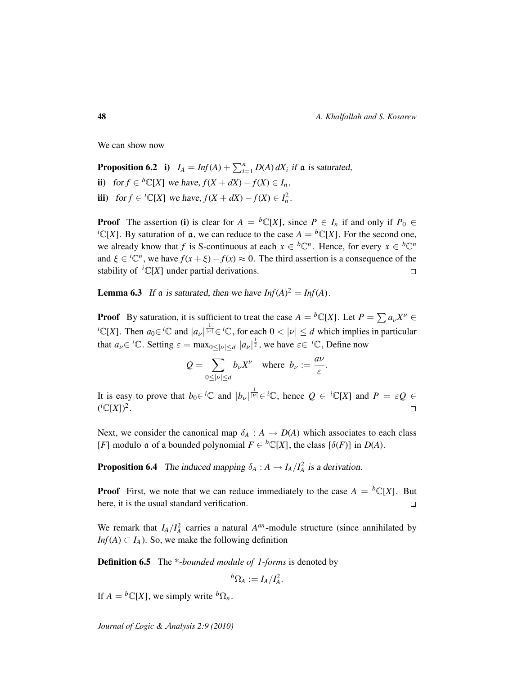We can show now

**Proposition 6.2** i)  $I_A = Inf(A) + \sum_{i=1}^n D(A) dX_i$  if a is saturated, ii) for  $f \in {}^{b} \mathbb{C}[X]$  we have,  $f(X + dX) - f(X) \in I_n$ , **iii**) for *f* ∈ <sup>*i*</sup>C[*X*] we have, *f*(*X* + *dX*) − *f*(*X*) ∈ *I*<sub>n</sub><sup>2</sup>.

**Proof** The assertion (i) is clear for  $A = {}^b\mathbb{C}[X]$ , since  $P \in I_n$  if and only if  $P_0 \in$  ${}^{i}C[X]$ . By saturation of a, we can reduce to the case  $A = {}^{b}C[X]$ . For the second one, we already know that *f* is S-continuous at each  $x \in {}^b\mathbb{C}^n$ . Hence, for every  $x \in {}^b\mathbb{C}^n$ and  $\xi \in {}^{i}\mathbb{C}^{n}$ , we have  $f(x + \xi) - f(x) \approx 0$ . The third assertion is a consequence of the stability of  ${}^{i}\mathbb{C}[X]$  under partial derivations.  $\Box$ 

<span id="page-47-0"></span>**Lemma 6.3** If a is saturated, then we have  $Inf(A)^2 = Inf(A)$ .

**Proof** By saturation, it is sufficient to treat the case  $A = {}^b\mathbb{C}[X]$ . Let  $P = \sum a_{\nu} X^{\nu} \in$ <sup>*i*</sup>C[*X*]. Then  $a_0 \in {}^{i} \mathbb{C}$  and  $|a_{\nu}|^{\frac{1}{|\nu|}} \in {}^{i} \mathbb{C}$ , for each  $0 < |\nu| \le d$  which implies in particular that  $a_{\nu} \in {}^{i} \mathbb{C}$ . Setting  $\varepsilon = \max_{0 \leq |\nu| \leq d} |a_{\nu}|^{\frac{1}{2}}$ , we have  $\varepsilon \in {}^{i} \mathbb{C}$ , Define now

$$
Q = \sum_{0 \leq |\nu| \leq d} b_{\nu} X^{\nu} \quad \text{where} \ \ b_{\nu} := \frac{a\nu}{\varepsilon}.
$$

It is easy to prove that  $b_0 \in {}^{i} \mathbb{C}$  and  $|b_\nu|^{\frac{1}{|\nu|}} \in {}^{i} \mathbb{C}$ , hence  $Q \in {}^{i} \mathbb{C}[X]$  and  $P = \varepsilon Q \in$  $({}^{i}\mathbb{C}[X])^2$ .  $\Box$ 

Next, we consider the canonical map  $\delta_A : A \to D(A)$  which associates to each class [*F*] modulo **a** of a bounded polynomial  $F \in {}^{b}\mathbb{C}[X]$ , the class  $[\delta(F)]$  in  $D(A)$ .

**Proposition 6.4** The induced mapping  $\delta_A : A \to I_A/I_A^2$  is a derivation.

**Proof** First, we note that we can reduce immediately to the case  $A = {}^b\mathbb{C}[X]$ . But here, it is the usual standard verification.  $\Box$ 

We remark that  $I_A/I_A^2$  carries a natural  $A^{an}$ -module structure (since annihilated by *Inf*(*A*)  $\subset$  *I<sub>A</sub>*). So, we make the following definition

Definition 6.5 The \*-*bounded module of 1-forms* is denoted by

$$
{}^b\Omega_A:=I_A/I_A^2.
$$

If  $A = {}^b\mathbb{C}[X]$ , we simply write  ${}^b\Omega_n$ .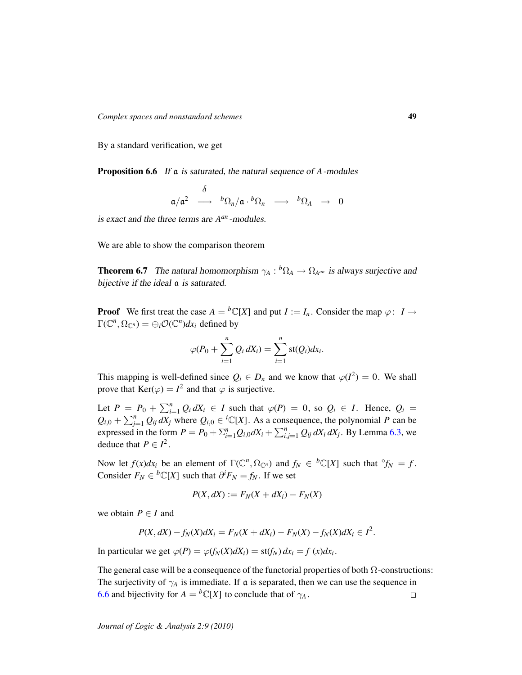By a standard verification, we get

<span id="page-48-0"></span>Proposition 6.6 If a is saturated, the natural sequence of *A*-modules

$$
\mathfrak{a}/\mathfrak{a}^2\ \stackrel{\delta}{\longrightarrow}\ {}^b\Omega_n/\mathfrak{a}\cdot {}^b\Omega_n\ \longrightarrow\ {}^b\Omega_A\ \rightarrow\ 0
$$

is exact and the three terms are  $A^{an}$ -modules.

We are able to show the comparison theorem

**Theorem 6.7** The natural homomorphism  $\gamma_A : {}^b\Omega_A \to \Omega_{A^{an}}$  is always surjective and bijective if the ideal  $\alpha$  is saturated.

**Proof** We first treat the case  $A = {}^b\mathbb{C}[X]$  and put  $I := I_n$ . Consider the map  $\varphi: I \to I$  $\Gamma(\mathbb{C}^n, \Omega_{\mathbb{C}^n}) = \bigoplus_i \mathcal{O}(\mathbb{C}^n) dx_i$  defined by

$$
\varphi(P_0+\sum_{i=1}^n Q_i dX_i)=\sum_{i=1}^n \operatorname{st}(Q_i) dx_i.
$$

This mapping is well-defined since  $Q_i \in D_n$  and we know that  $\varphi(I^2) = 0$ . We shall prove that  $\text{Ker}(\varphi) = I^2$  and that  $\varphi$  is surjective.

Let  $P = P_0 + \sum_{i=1}^n Q_i dX_i \in I$  such that  $\varphi(P) = 0$ , so  $Q_i \in I$ . Hence,  $Q_i =$  $Q_{i,0} + \sum_{j=1}^{n} Q_{ij} dX_j$  where  $Q_{i,0} \in {}^{i}\mathbb{C}[X]$ . As a consequence, the polynomial *P* can be expressed in the form  $P = P_0 + \sum_{i=1}^{n} Q_{i,0} dX_i + \sum_{i,j=1}^{n} Q_{ij} dX_i dX_j$ . By Lemma [6.3,](#page-47-0) we deduce that  $P \in I^2$ .

Now let  $f(x)dx_i$  be an element of  $\Gamma(\mathbb{C}^n, \Omega_{\mathbb{C}^n})$  and  $f_N \in {^b\mathbb{C}[X]}$  such that  $\partial f_N = f$ . Consider  $F_N \in {}^b\mathbb{C}[X]$  such that  $\partial^i F_N = f_N$ . If we set

$$
P(X, dX) := F_N(X + dX_i) - F_N(X)
$$

we obtain  $P \in I$  and

$$
P(X, dX) - f_N(X)dX_i = F_N(X + dX_i) - F_N(X) - f_N(X)dX_i \in I^2.
$$

In particular we get  $\varphi(P) = \varphi(f_N(X)dX_i) = \text{st}(f_N) dx_i = f(x)dx_i$ .

The general case will be a consequence of the functorial properties of both  $\Omega$ -constructions: The surjectivity of  $\gamma_A$  is immediate. If a is separated, then we can use the sequence in [6.6](#page-48-0) and bijectivity for  $A = {}^b\mathbb{C}[X]$  to conclude that of  $\gamma_A$ .  $\Box$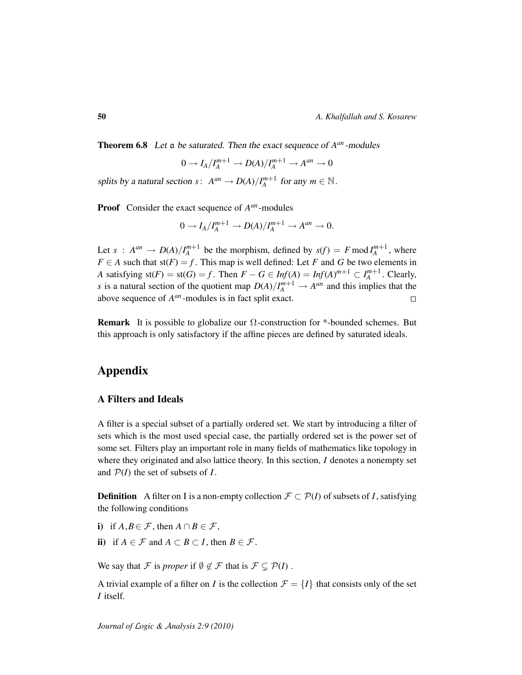Theorem 6.8 Let a be saturated. Then the exact sequence of  $A^{an}$ -modules

$$
0 \to I_A/I_A^{m+1} \to D(A)/I_A^{m+1} \to A^{an} \to 0
$$

splits by a natural section  $s: A^{an} \to D(A)/I_A^{m+1}$  for any  $m \in \mathbb{N}$ .

Proof Consider the exact sequence of  $A^{an}$ -modules

$$
0 \to I_A/I_A^{m+1} \to D(A)/I_A^{m+1} \to A^{an} \to 0.
$$

Let  $s$  :  $A^{an} \to D(A)/I_A^{m+1}$  be the morphism, defined by  $s(f) = F \mod I_A^{m+1}$ , where  $F \in A$  such that  $st(F) = f$ . This map is well defined: Let *F* and *G* be two elements in *A* satisfying  $st(F) = st(G) = f$ . Then  $F - G \in Inf(A) = Inf(A)^{m+1} \subset I_A^{m+1}$ . Clearly, *s* is a natural section of the quotient map  $D(A)/I_A^{m+1} \to A^{an}$  and this implies that the above sequence of *A an* -modules is in fact split exact.

**Remark** It is possible to globalize our  $\Omega$ -construction for \*-bounded schemes. But this approach is only satisfactory if the affine pieces are defined by saturated ideals.

# Appendix

# <span id="page-49-0"></span>A Filters and Ideals

A filter is a special subset of a partially ordered set. We start by introducing a filter of sets which is the most used special case, the partially ordered set is the power set of some set. Filters play an important role in many fields of mathematics like topology in where they originated and also lattice theory. In this section, *I* denotes a nonempty set and P(*I*) the set of subsets of *I*.

**Definition** A filter on I is a non-empty collection  $\mathcal{F} \subset \mathcal{P}(I)$  of subsets of *I*, satisfying the following conditions

- i) if  $A, B \in \mathcal{F}$ , then  $A \cap B \in \mathcal{F}$ ,
- ii) if  $A \in \mathcal{F}$  and  $A \subset B \subset I$ , then  $B \in \mathcal{F}$ .

We say that F is *proper* if  $\emptyset \notin \mathcal{F}$  that is  $\mathcal{F} \subseteq \mathcal{P}(I)$ .

A trivial example of a filter on *I* is the collection  $\mathcal{F} = \{I\}$  that consists only of the set *I* itself.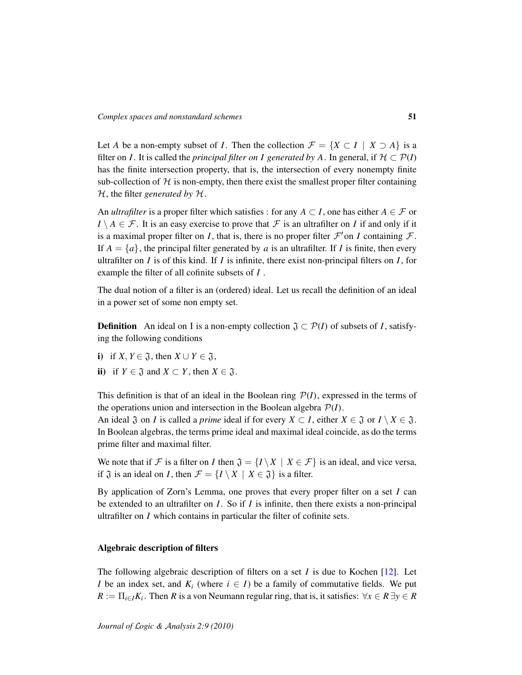Let *A* be a non-empty subset of *I*. Then the collection  $\mathcal{F} = \{X \subset I \mid X \supseteq A\}$  is a filter on *I*. It is called the *principal filter on I generated by A*. In general, if  $H \subset \mathcal{P}(I)$ has the finite intersection property, that is, the intersection of every nonempty finite sub-collection of  $H$  is non-empty, then there exist the smallest proper filter containing H, the filter *generated by* H.

An *ultrafilter* is a proper filter which satisfies : for any  $A \subset I$ , one has either  $A \in \mathcal{F}$  or  $I \setminus A \in \mathcal{F}$ . It is an easy exercise to prove that  $\mathcal{F}$  is an ultrafilter on *I* if and only if it is a maximal proper filter on *I*, that is, there is no proper filter  $\mathcal{F}'$  on *I* containing  $\mathcal{F}$ . If  $A = \{a\}$ , the principal filter generated by *a* is an ultrafilter. If *I* is finite, then every ultrafilter on *I* is of this kind. If *I* is infinite, there exist non-principal filters on *I*, for example the filter of all cofinite subsets of *I* .

The dual notion of a filter is an (ordered) ideal. Let us recall the definition of an ideal in a power set of some non empty set.

**Definition** An ideal on I is a non-empty collection  $\mathfrak{J} \subset \mathcal{P}(I)$  of subsets of *I*, satisfying the following conditions

- i) if  $X, Y \in \mathfrak{J}$ , then  $X \cup Y \in \mathfrak{J}$ ,
- ii) if  $Y \in \mathfrak{J}$  and  $X \subset Y$ , then  $X \in \mathfrak{J}$ .

This definition is that of an ideal in the Boolean ring  $P(I)$ , expressed in the terms of the operations union and intersection in the Boolean algebra  $P(I)$ .

An ideal  $\mathfrak{J}$  on *I* is called a *prime* ideal if for every  $X \subset I$ , either  $X \in \mathfrak{J}$  or  $I \setminus X \in \mathfrak{J}$ . In Boolean algebras, the terms prime ideal and maximal ideal coincide, as do the terms prime filter and maximal filter.

We note that if F is a filter on *I* then  $\mathfrak{J} = \{I \setminus X \mid X \in \mathcal{F}\}\$ is an ideal, and vice versa, if  $\mathfrak J$  is an ideal on *I*, then  $\mathcal F = \{I \setminus X \mid X \in \mathfrak J\}$  is a filter.

By application of Zorn's Lemma, one proves that every proper filter on a set *I* can be extended to an ultrafilter on *I*. So if *I* is infinite, then there exists a non-principal ultrafilter on *I* which contains in particular the filter of cofinite sets.

## Algebraic description of filters

*Journal of* L*ogic &* A*nalysis 2:9 (2010)*

The following algebraic description of filters on a set *I* is due to Kochen [\[12\]](#page-58-12). Let *I* be an index set, and  $K_i$  (where  $i \in I$ ) be a family of commutative fields. We put  $R := \prod_{i \in I} K_i$ . Then *R* is a von Neumann regular ring, that is, it satisfies:  $\forall x \in R \exists y \in R$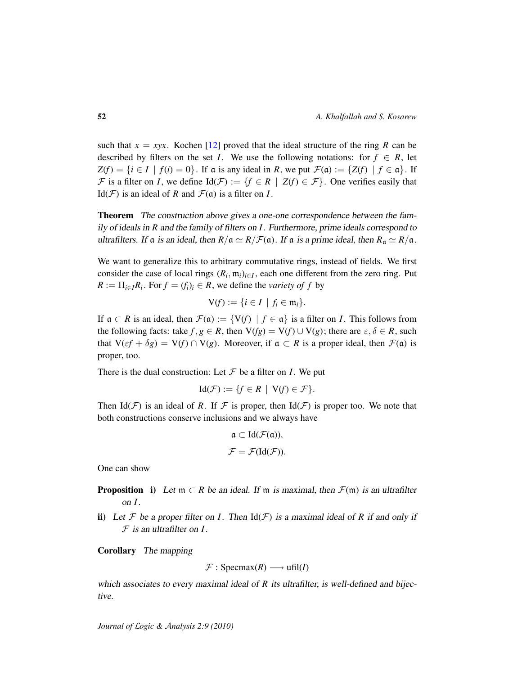such that  $x = xyx$ . Kochen [\[12\]](#page-58-12) proved that the ideal structure of the ring *R* can be described by filters on the set *I*. We use the following notations: for  $f \in R$ , let  $Z(f) = \{i \in I \mid f(i) = 0\}$ . If a is any ideal in *R*, we put  $\mathcal{F}(\mathfrak{a}) := \{Z(f) \mid f \in \mathfrak{a}\}\$ . If F is a filter on *I*, we define  $Id(\mathcal{F}) := \{f \in R \mid Z(f) \in \mathcal{F}\}\)$ . One verifies easily that Id( $\mathcal{F}$ ) is an ideal of *R* and  $\mathcal{F}(\alpha)$  is a filter on *I*.

Theorem The construction above gives a one-one correspondence between the family of ideals in *R* and the family of filters on *I*. Furthermore, prime ideals correspond to ultrafilters. If  $\alpha$  is an ideal, then  $R/\alpha \simeq R/\mathcal{F}(\alpha)$ . If  $\alpha$  is a prime ideal, then  $R_\alpha \simeq R/\alpha$ .

We want to generalize this to arbitrary commutative rings, instead of fields. We first consider the case of local rings  $(R_i, m_i)_{i \in I}$ , each one different from the zero ring. Put  $R := \prod_{i \in I} R_i$ . For  $f = (f_i)_i \in R$ , we define the *variety of*  $f$  by

$$
\mathsf{V}(f):=\{i\in I\mid f_i\in\mathfrak{m}_i\}.
$$

If  $\alpha \subset R$  is an ideal, then  $\mathcal{F}(\alpha) := \{V(f) \mid f \in \alpha\}$  is a filter on *I*. This follows from the following facts: take  $f, g \in R$ , then  $V(fg) = V(f) \cup V(g)$ ; there are  $\varepsilon, \delta \in R$ , such that  $V(\varepsilon f + \delta g) = V(f) \cap V(g)$ . Moreover, if  $\alpha \subset R$  is a proper ideal, then  $\mathcal{F}(\alpha)$  is proper, too.

There is the dual construction: Let  $\mathcal F$  be a filter on *I*. We put

$$
Id(\mathcal{F}) := \{ f \in R \mid V(f) \in \mathcal{F} \}.
$$

Then Id( $F$ ) is an ideal of R. If F is proper, then Id( $F$ ) is proper too. We note that both constructions conserve inclusions and we always have

$$
\mathfrak{a} \subset \mathrm{Id}(\mathcal{F}(\mathfrak{a})),
$$
  

$$
\mathcal{F} = \mathcal{F}(\mathrm{Id}(\mathcal{F})).
$$

One can show

**Proposition** i) Let  $m \subset R$  be an ideal. If m is maximal, then  $\mathcal{F}(m)$  is an ultrafilter on *I*.

ii) Let  $\mathcal F$  be a proper filter on *I*. Then  $\text{Id}(\mathcal F)$  is a maximal ideal of R if and only if F is an ultrafilter on *I*.

Corollary The mapping

 $\mathcal{F}:$  Specmax(*R*)  $\longrightarrow$  ufil(*I*)

which associates to every maximal ideal of *R* its ultrafilter, is well-defined and bijective.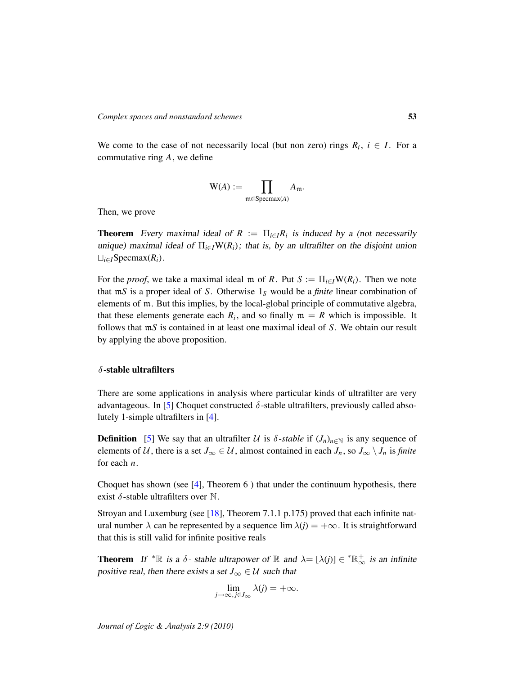We come to the case of not necessarily local (but non zero) rings  $R_i$ ,  $i \in I$ . For a commutative ring *A*, we define

$$
\mathrm{W}(A) := \prod_{\mathfrak{m} \in \mathrm{Specmax}(A)} A_{\mathfrak{m}}.
$$

Then, we prove

**Theorem** Every maximal ideal of  $R := \prod_{i \in I} R_i$  is induced by a (not necessarily unique) maximal ideal of  $\Pi_{i\in I}W(R_i)$ ; that is, by an ultrafilter on the disjoint union  $\sqcup$ <sub>*i∈I*</sub>Specmax( $R$ <sup>*i*</sup>).

For the *proof*, we take a maximal ideal m of *R*. Put  $S := \prod_{i \in I} W(R_i)$ . Then we note that m*S* is a proper ideal of *S*. Otherwise 1*<sup>S</sup>* would be a *finite* linear combination of elements of m. But this implies, by the local-global principle of commutative algebra, that these elements generate each  $R_i$ , and so finally  $m = R$  which is impossible. It follows that m*S* is contained in at least one maximal ideal of *S*. We obtain our result by applying the above proposition.

# $\delta$ -stable ultrafilters

<span id="page-52-0"></span>There are some applications in analysis where particular kinds of ultrafilter are very advantageous. In [\[5\]](#page-58-13) Choquet constructed  $\delta$ -stable ultrafilters, previously called absolutely 1-simple ultrafilters in [\[4\]](#page-58-14).

**Definition** [\[5\]](#page-58-13) We say that an ultrafilter U is  $\delta$ -stable if  $(J_n)_{n \in \mathbb{N}}$  is any sequence of elements of U, there is a set  $J_{\infty} \in U$ , almost contained in each  $J_n$ , so  $J_{\infty} \setminus J_n$  is *finite* for each *n*.

Choquet has shown (see [\[4\]](#page-58-14), Theorem 6 ) that under the continuum hypothesis, there exist  $\delta$ -stable ultrafilters over N.

Stroyan and Luxemburg (see [\[18\]](#page-59-0), Theorem 7.1.1 p.175) proved that each infinite natural number  $\lambda$  can be represented by a sequence  $\lim \lambda(i) = +\infty$ . It is straightforward that this is still valid for infinite positive reals

**Theorem** If  ${}^* \mathbb{R}$  is a  $\delta$ -stable ultrapower of  $\mathbb{R}$  and  $\lambda = [\lambda(j)] \in {}^* \mathbb{R}^+_{\infty}$  is an infinite positive real, then there exists a set  $J_{\infty} \in \mathcal{U}$  such that

$$
\lim_{j\to\infty, j\in J_\infty} \lambda(j) = +\infty.
$$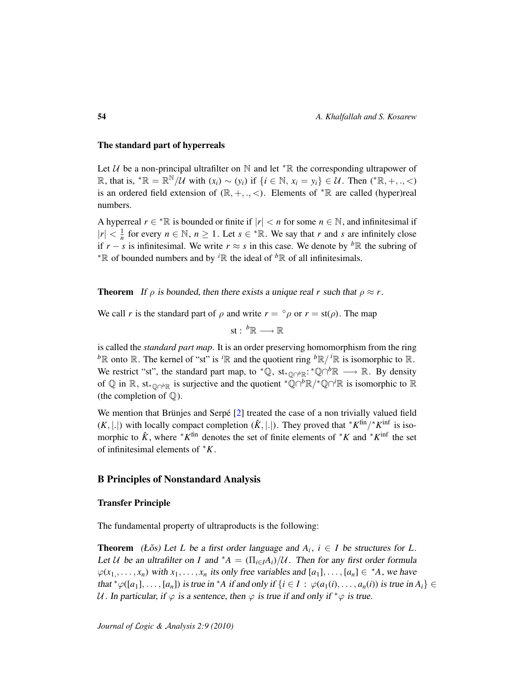## The standard part of hyperreals

Let  $U$  be a non-principal ultrafilter on  $\mathbb N$  and let  $* \mathbb R$  the corresponding ultrapower of  $\mathbb{R}$ , that is,  $^*$  ℝ =  $\mathbb{R}^{\mathbb{N}}/U$  with  $(x_i) \sim (y_i)$  if  $\{i \in \mathbb{N}, x_i = y_i\} \in U$ . Then  $(^*$  ℝ, +, ., <) is an ordered field extension of  $(\mathbb{R}, +, \cdot, <)$ . Elements of  $^*\mathbb{R}$  are called (hyper)real numbers.

A hyperreal  $r \in \mathbb{R}$  is bounded or finite if  $|r| < n$  for some  $n \in \mathbb{N}$ , and infinitesimal if  $|r| < \frac{1}{n}$  for every  $n \in \mathbb{N}$ ,  $n \ge 1$ . Let  $s \in {^*}\mathbb{R}$ . We say that *r* and *s* are infinitely close if  $r - s$  is infinitesimal. We write  $r \approx s$  in this case. We denote by <sup>b</sup>R the subring of <sup>∗</sup>R of bounded numbers and by *<sup>i</sup>*R the ideal of *<sup>b</sup>*R of all infinitesimals.

**Theorem** If  $\rho$  is bounded, then there exists a unique real *r* such that  $\rho \approx r$ .

We call *r* is the standard part of  $\rho$  and write  $r = \rho \rho$  or  $r = st(\rho)$ . The map

$$
\textup{st}:\ ^{b}\mathbb{R}\longrightarrow \mathbb{R}
$$

is called the *standard part map*. It is an order preserving homomorphism from the ring  ${}^b\mathbb{R}$  onto  $\mathbb{R}$ . The kernel of "st" is  ${}^i\mathbb{R}$  and the quotient ring  ${}^b\mathbb{R}/{}^i\mathbb{R}$  is isomorphic to  $\mathbb{R}$ . We restrict "st", the standard part map, to  $^*\mathbb{Q}$ , st<sub>\* $\mathbb{Q} \cap^b \mathbb{R}$  →  $\mathbb{R}$ . By density</sub> of  $\mathbb Q$  in  $\mathbb R$ , st<sub>\*Q∩</sub>*b*<sub>R</sub> is surjective and the quotient \* $\mathbb Q \cap^b \mathbb R$ /\* $\mathbb Q \cap^i \mathbb R$  is isomorphic to  $\mathbb R$ (the completion of  $\mathbb{Q}$ ).

We mention that Brünjes and Serpé [\[2\]](#page-58-11) treated the case of a non trivially valued field  $(K, |.|)$  with locally compact completion  $(\hat{K}, |.|)$ . They proved that  $*K^{\text{fin}}$  /\* $K^{\text{inf}}$  is isomorphic to  $\hat{K}$ , where <sup>∗</sup>*K*<sup>fin</sup> denotes the set of finite elements of <sup>∗</sup>*K* and <sup>∗</sup>*K*<sup>inf</sup> the set of infinitesimal elements of <sup>∗</sup>*K*.

### B Principles of Nonstandard Analysis

### Transfer Principle

The fundamental property of ultraproducts is the following:

**Theorem** (Łǒs) Let L be a first order language and  $A_i$ ,  $i \in I$  be structures for L. Let U be an ultrafilter on *I* and \* $A = (\prod_{i \in I} A_i)/U$ . Then for any first order formula  $\varphi(x_1, \ldots, x_n)$  with  $x_1, \ldots, x_n$  its only free variables and  $[a_1], \ldots, [a_n] \in A$ , we have that  $^*\varphi([a_1], \ldots, [a_n])$  is true in  $^*A$  if and only if  $\{i \in I : \varphi(a_1(i), \ldots, a_n(i))$  is true in  $A_i\} \in$ U. In particular, if  $\varphi$  is a sentence, then  $\varphi$  is true if and only if  $*\varphi$  is true.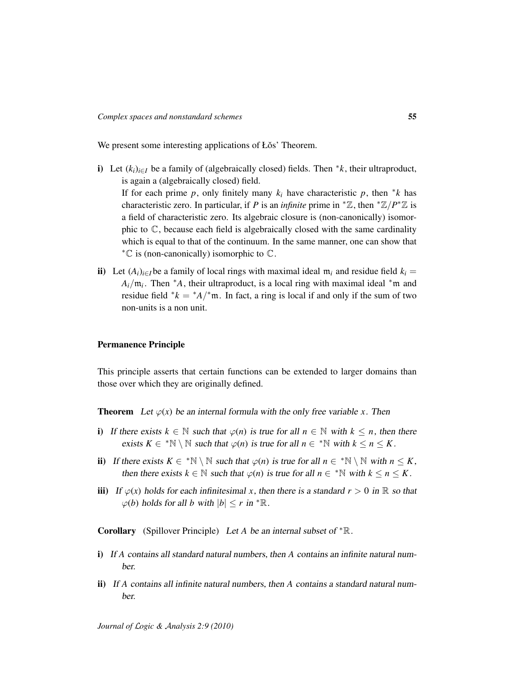We present some interesting applications of Łos' Theorem.

- i) Let  $(k_i)_{i \in I}$  be a family of (algebraically closed) fields. Then  $*k$ , their ultraproduct, is again a (algebraically closed) field. If for each prime  $p$ , only finitely many  $k_i$  have characteristic  $p$ , then  $*k$  has characteristic zero. In particular, if *P* is an *infinite* prime in  $^* \mathbb{Z}$ , then  $^* \mathbb{Z}/P^* \mathbb{Z}$  is a field of characteristic zero. Its algebraic closure is (non-canonically) isomorphic to  $\mathbb{C}$ , because each field is algebraically closed with the same cardinality which is equal to that of the continuum. In the same manner, one can show that  $*$ € is (non-canonically) isomorphic to  $\mathbb{C}$ .
- ii) Let  $(A_i)_{i \in I}$  be a family of local rings with maximal ideal  $m_i$  and residue field  $k_i =$  $A_i/\mathfrak{m}_i$ . Then <sup>\*</sup>A, their ultraproduct, is a local ring with maximal ideal <sup>\*</sup>m and residue field  $* k = A$ <sup>\*</sup>m. In fact, a ring is local if and only if the sum of two non-units is a non unit.

### Permanence Principle

This principle asserts that certain functions can be extended to larger domains than those over which they are originally defined.

**Theorem** Let  $\varphi(x)$  be an internal formula with the only free variable *x*. Then

- i) If there exists  $k \in \mathbb{N}$  such that  $\varphi(n)$  is true for all  $n \in \mathbb{N}$  with  $k \leq n$ , then there exists  $K \in \mathbb{N} \setminus \mathbb{N}$  such that  $\varphi(n)$  is true for all  $n \in \mathbb{N}$  with  $k \leq n \leq K$ .
- ii) If there exists  $K \in \mathbb{N} \setminus \mathbb{N}$  such that  $\varphi(n)$  is true for all  $n \in \mathbb{N} \setminus \mathbb{N}$  with  $n \leq K$ , then there exists  $k \in \mathbb{N}$  such that  $\varphi(n)$  is true for all  $n \in \mathbb{N}$  with  $k \leq n \leq K$ .
- iii) If  $\varphi(x)$  holds for each infinitesimal x, then there is a standard  $r > 0$  in R so that  $\varphi(b)$  holds for all *b* with  $|b| \le r$  in  ${}^* \mathbb{R}$ .

Corollary (Spillover Principle) Let *A* be an internal subset of <sup>∗</sup>R.

- i) If *A* contains all standard natural numbers, then *A* contains an infinite natural number.
- ii) If *A* contains all infinite natural numbers, then *A* contains a standard natural number.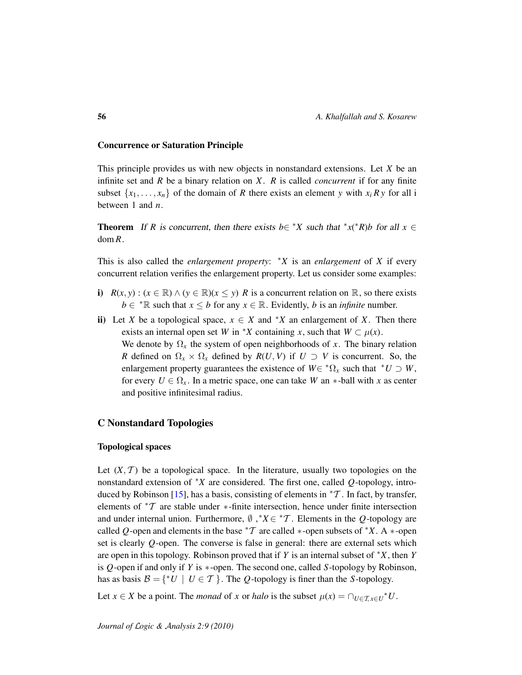## Concurrence or Saturation Principle

<span id="page-55-1"></span>This principle provides us with new objects in nonstandard extensions. Let *X* be an infinite set and *R* be a binary relation on *X*. *R* is called *concurrent* if for any finite subset  $\{x_1, \ldots, x_n\}$  of the domain of *R* there exists an element *y* with  $x_i R y$  for all i between 1 and *n*.

**Theorem** If *R* is concurrent, then there exists  $b \in {}^*X$  such that  ${}^*x({}^*R)b$  for all  $x \in$ dom *R*.

This is also called the *enlargement property*: <sup>∗</sup>*X* is an *enlargement* of *X* if every concurrent relation verifies the enlargement property. Let us consider some examples:

- i)  $R(x, y)$  : ( $x \in \mathbb{R}$ ) ∧ ( $y \in \mathbb{R}$ )( $x \le y$ ) *R* is a concurrent relation on  $\mathbb{R}$ , so there exists *b* ∈ <sup>\*</sup> $\mathbb R$  such that *x* ≤ *b* for any *x* ∈  $\mathbb R$ . Evidently, *b* is an *infinite* number.
- ii) Let *X* be a topological space,  $x \in X$  and  $*X$  an enlargement of *X*. Then there exists an internal open set *W* in \**X* containing *x*, such that  $W \subset \mu(x)$ . We denote by  $\Omega_x$  the system of open neighborhoods of *x*. The binary relation *R* defined on  $\Omega_x \times \Omega_x$  defined by  $R(U, V)$  if  $U \supset V$  is concurrent. So, the enlargement property guarantees the existence of  $W \in {^* \Omega_x}$  such that  $^*U \supset W$ , for every  $U \in \Omega_x$ . In a metric space, one can take *W* an \*-ball with *x* as center and positive infinitesimal radius.

## C Nonstandard Topologies

### <span id="page-55-0"></span>Topological spaces

Let  $(X, \mathcal{T})$  be a topological space. In the literature, usually two topologies on the nonstandard extension of <sup>∗</sup>*X* are considered. The first one, called *Q*-topology, intro-duced by Robinson [\[15\]](#page-58-0), has a basis, consisting of elements in  ${}^*\mathcal{T}$ . In fact, by transfer, elements of <sup>∗</sup>T are stable under ∗-finite intersection, hence under finite intersection and under internal union. Furthermore,  $\emptyset$ ,  $X \in {}^*T$ . Elements in the *Q*-topology are called *Q*-open and elements in the base  $*T$  are called  $*$ -open subsets of  $*X$ . A  $*$ -open set is clearly *Q*-open. The converse is false in general: there are external sets which are open in this topology. Robinson proved that if *Y* is an internal subset of <sup>∗</sup>*X*, then *Y* is *Q*-open if and only if *Y* is ∗-open. The second one, called *S*-topology by Robinson, has as basis  $\mathcal{B} = \{ {}^*U \mid U \in \mathcal{T} \}$ . The *Q*-topology is finer than the *S*-topology.

Let  $x \in X$  be a point. The *monad* of *x* or *halo* is the subset  $\mu(x) = \bigcap_{U \in \mathcal{T}, x \in U} U^*$ .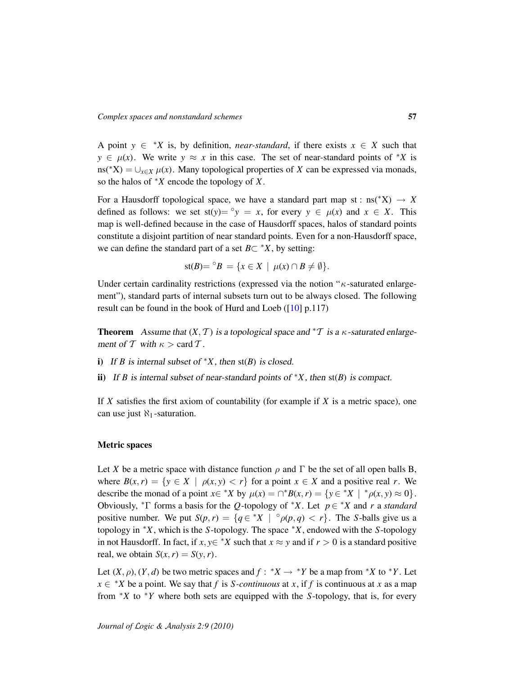A point  $y \in {}^*X$  is, by definition, *near-standard*, if there exists  $x \in X$  such that  $y \in \mu(x)$ . We write  $y \approx x$  in this case. The set of near-standard points of \**X* is ns(<sup>\*</sup>X) =  $\bigcup_{x \in X} \mu(x)$ . Many topological properties of *X* can be expressed via monads, so the halos of <sup>∗</sup>*X* encode the topology of *X*.

For a Hausdorff topological space, we have a standard part map st :  $ns(*X) \rightarrow X$ defined as follows: we set  $\text{st}(y) = \gamma y = x$ , for every  $y \in \mu(x)$  and  $x \in X$ . This map is well-defined because in the case of Hausdorff spaces, halos of standard points constitute a disjoint partition of near standard points. Even for a non-Hausdorff space, we can define the standard part of a set  $B \subset {}^*X$ , by setting:

$$
\mathrm{st}(B) = {}^{\circ}B = \{ x \in X \mid \mu(x) \cap B \neq \emptyset \}.
$$

Under certain cardinality restrictions (expressed via the notion " $\kappa$ -saturated enlargement"), standard parts of internal subsets turn out to be always closed. The following result can be found in the book of Hurd and Loeb ([\[10\]](#page-58-15) p.117)

**Theorem** Assume that  $(X, \mathcal{T})$  is a topological space and  ${}^* \mathcal{T}$  is a  $\kappa$ -saturated enlargement of T with  $\kappa > \text{card } T$ .

- i) If *B* is internal subset of  $X$ , then st(*B*) is closed.
- ii) If *B* is internal subset of near-standard points of  $*X$ , then  $st(B)$  is compact.

If *X* satisfies the first axiom of countability (for example if *X* is a metric space), one can use just  $\aleph_1$ -saturation.

## Metric spaces

<span id="page-56-0"></span>Let *X* be a metric space with distance function  $\rho$  and  $\Gamma$  be the set of all open balls B, where  $B(x, r) = \{y \in X \mid \rho(x, y) < r\}$  for a point  $x \in X$  and a positive real *r*. We describe the monad of a point  $x \in {}^*X$  by  $\mu(x) = \bigcap {}^*B(x, r) = \{y \in {}^*X \mid {}^*\rho(x, y) \approx 0\}.$ Obviously, <sup>∗</sup>Γ forms a basis for the *Q*-topology of <sup>∗</sup>*X*. Let *p* ∈ <sup>∗</sup>*X* and *r* a *standard* positive number. We put  $S(p, r) = \{q \in {}^*X \mid {}^{\circ}\rho(p, q) < r\}$ . The *S*-balls give us a topology in <sup>∗</sup>*X*, which is the *S*-topology. The space <sup>∗</sup>*X*, endowed with the *S*-topology in not Hausdorff. In fact, if *x*,  $y \in X$  such that  $x \approx y$  and if  $r > 0$  is a standard positive real, we obtain  $S(x, r) = S(y, r)$ .

Let  $(X, \rho), (Y, d)$  be two metric spaces and  $f : X \to Y$  be a map from  $X$  to  $*Y$ . Let  $x \in$  \**X* be a point. We say that *f* is *S-continuous* at *x*, if *f* is continuous at *x* as a map from <sup>∗</sup>*X* to <sup>∗</sup>*Y* where both sets are equipped with the *S*-topology, that is, for every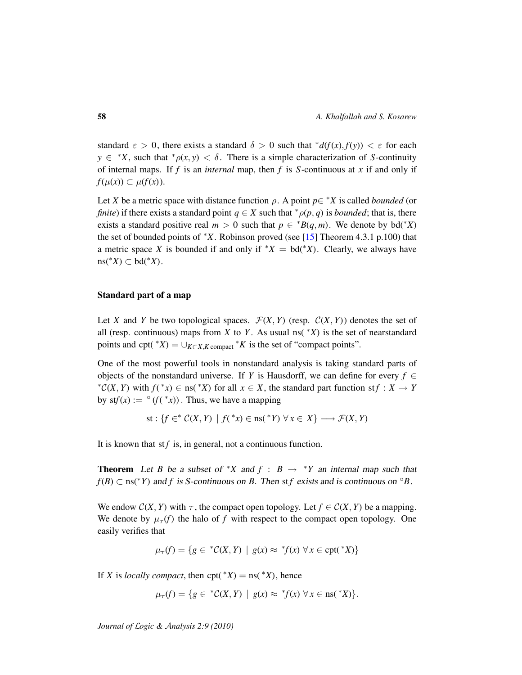standard  $\varepsilon > 0$ , there exists a standard  $\delta > 0$  such that  $d(f(x), f(y)) < \varepsilon$  for each  $y \in {}^*X$ , such that  ${}^* \rho(x, y) < \delta$ . There is a simple characterization of *S*-continuity of internal maps. If *f* is an *internal* map, then *f* is *S-*continuous at *x* if and only if *f*( $\mu(x)$ ) ⊂  $\mu(f(x))$ .

Let *X* be a metric space with distance function  $\rho$ . A point  $p \in {}^*X$  is called *bounded* (or *finite*) if there exists a standard point  $q \in X$  such that  $*_{\rho}(p,q)$  is *bounded*; that is, there exists a standard positive real  $m > 0$  such that  $p \in {}^*B(q,m)$ . We denote by bd(<sup>\*</sup>*X*) the set of bounded points of <sup>∗</sup>*X*. Robinson proved (see [\[15\]](#page-58-0) Theorem 4.3.1 p.100) that a metric space *X* is bounded if and only if  $X = bd(YX)$ . Clearly, we always have  $ns(^*X)$  ⊂ bd( $^*X$ ).

## Standard part of a map

<span id="page-57-0"></span>Let *X* and *Y* be two topological spaces.  $\mathcal{F}(X, Y)$  (resp.  $\mathcal{C}(X, Y)$ ) denotes the set of all (resp. continuous) maps from *X* to *Y*. As usual ns( $*X$ ) is the set of nearstandard points and cpt( $*X$ ) =  $\bigcup_{K \subset X, K}$  compact  $*K$  is the set of "compact points".

One of the most powerful tools in nonstandard analysis is taking standard parts of objects of the nonstandard universe. If *Y* is Hausdorff, we can define for every  $f \in$ \* $\mathcal{C}(X, Y)$  with  $f(*x) \in \text{ns}(*X)$  for all  $x \in X$ , the standard part function st $f : X \to Y$ by  $\text{st}f(x) := \circ (f(\,^*)).$  Thus, we have a mapping

st: 
$$
\{f \in^* C(X, Y) \mid f({}^*x) \in \text{ns}({}^*Y) \forall x \in X\} \longrightarrow \mathcal{F}(X, Y)
$$

It is known that st $f$  is, in general, not a continuous function.

**Theorem** Let *B* be a subset of \**X* and  $f : B \rightarrow Y$  an internal map such that  $f(B) \subset \text{ns}(*Y)$  and *f* is S-continuous on *B*. Then st *f* exists and is continuous on  $\circ B$ .

We endow  $C(X, Y)$  with  $\tau$ , the compact open topology. Let  $f \in C(X, Y)$  be a mapping. We denote by  $\mu_{\tau}(f)$  the halo of f with respect to the compact open topology. One easily verifies that

$$
\mu_{\tau}(f) = \{ g \in {}^*C(X,Y) \mid g(x) \approx {}^*f(x) \,\forall x \in \text{cpt}({}^*X) \}
$$

If *X* is *locally compact*, then  $cpt(x^*X) = \text{ns}(\,^*X)$ , hence

$$
\mu_{\tau}(f) = \{ g \in {}^*C(X,Y) \mid g(x) \approx {}^*f(x) \,\forall x \in \text{ns}({}^*X) \}.
$$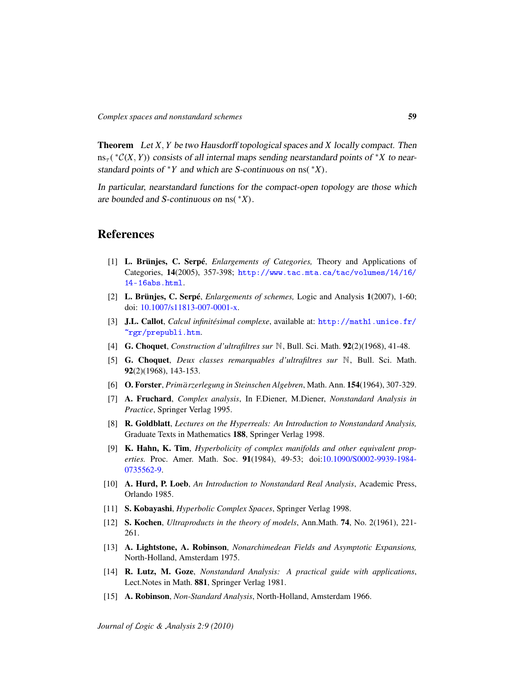Theorem Let *X*, *Y* be two Hausdorff topological spaces and *X* locally compact. Then  $ms_\tau$ <sup>(\*</sup>C(*X*, *Y*)) consists of all internal maps sending nearstandard points of \**X* to nearstandard points of <sup>∗</sup>*Y* and which are S-continuous on ns( <sup>∗</sup>*X*).

In particular, nearstandard functions for the compact-open topology are those which are bounded and S-continuous on ns( <sup>∗</sup>*X*).

# References

- <span id="page-58-4"></span><span id="page-58-2"></span>[1] L. Brünjes, C. Serpé, *Enlargements of Categories,* Theory and Applications of Categories, 14(2005), 357-398; [http://www.tac.mta.ca/tac/volumes/14/16/](http://www.tac.mta.ca/tac/volumes/14/16/14-16abs.html) [14-16abs.html](http://www.tac.mta.ca/tac/volumes/14/16/14-16abs.html).
- <span id="page-58-11"></span>[2] L. Brünjes, C. Serpé, *Enlargements of schemes,* Logic and Analysis 1(2007), 1-60; doi: [10.1007/s11813-007-0001-x.](http://dx.doi.org/10.1007/s11813-007-0001-x)
- <span id="page-58-6"></span>[3] J.L. Callot, *Calcul infinitésimal complexe*, available at: [http://math1.unice.fr/](http://math1.unice.fr/~rgr/prepubli.htm) [~rgr/prepubli.htm](http://math1.unice.fr/~rgr/prepubli.htm).
- <span id="page-58-14"></span>[4] G. Choquet, *Construction d'ultrafiltres sur* N, Bull. Sci. Math. 92(2)(1968), 41-48.
- <span id="page-58-13"></span>[5] G. Choquet, *Deux classes remarquables d'ultrafiltres sur* N, Bull. Sci. Math. 92(2)(1968), 143-153.
- <span id="page-58-5"></span>[6] **O. Forster**, *Primärzerlegung in Steinschen Algebren*, Math. Ann. 154(1964), 307-329.
- <span id="page-58-7"></span>[7] A. Fruchard, *Complex analysis*, In F.Diener, M.Diener, *Nonstandard Analysis in Practice*, Springer Verlag 1995.
- <span id="page-58-1"></span>[8] R. Goldblatt, *Lectures on the Hyperreals: An Introduction to Nonstandard Analysis,* Graduate Texts in Mathematics 188, Springer Verlag 1998.
- <span id="page-58-10"></span>[9] K. Hahn, K. Tim, *Hyperbolicity of complex manifolds and other equivalent properties.* Proc. Amer. Math. Soc. 91(1984), 49-53; doi[:10.1090/S0002-9939-1984-](http://dx.doi.org/10.1090/S0002-9939-1984-0735562-9) [0735562-9.](http://dx.doi.org/10.1090/S0002-9939-1984-0735562-9)
- <span id="page-58-15"></span>[10] A. Hurd, P. Loeb, *An Introduction to Nonstandard Real Analysis*, Academic Press, Orlando 1985.
- <span id="page-58-9"></span>[11] S. Kobayashi, *Hyperbolic Complex Spaces*, Springer Verlag 1998.
- <span id="page-58-12"></span>[12] S. Kochen, *Ultraproducts in the theory of models*, Ann.Math. 74, No. 2(1961), 221- 261.
- <span id="page-58-3"></span>[13] A. Lightstone, A. Robinson, *Nonarchimedean Fields and Asymptotic Expansions,* North-Holland, Amsterdam 1975.
- <span id="page-58-8"></span>[14] R. Lutz, M. Goze, *Nonstandard Analysis: A practical guide with applications*, Lect.Notes in Math. 881, Springer Verlag 1981.
- <span id="page-58-0"></span>[15] A. Robinson, *Non-Standard Analysis*, North-Holland, Amsterdam 1966.